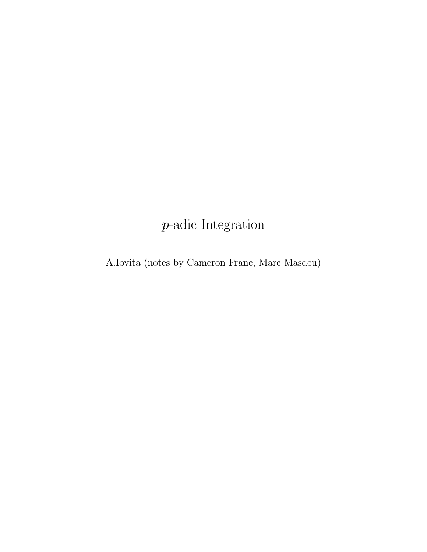# p-adic Integration

A.Iovita (notes by Cameron Franc, Marc Masdeu)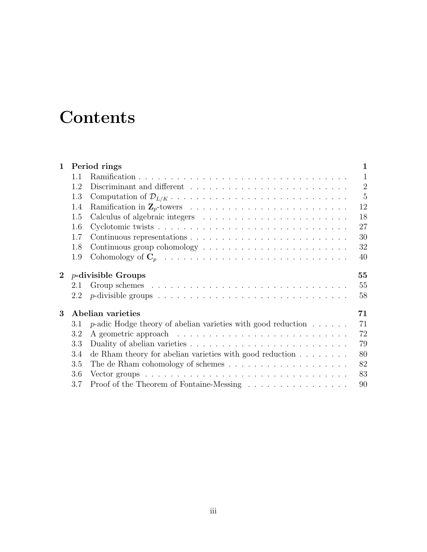# **Contents**

| $\mathbf{1}$ | Period rings                       |                                                                               | 1              |
|--------------|------------------------------------|-------------------------------------------------------------------------------|----------------|
|              | 1.1                                |                                                                               | $\mathbf{1}$   |
|              | 1.2                                |                                                                               | $\overline{2}$ |
|              | 1.3                                |                                                                               | $\overline{5}$ |
|              | 1.4                                |                                                                               | 12             |
|              | 1.5                                |                                                                               | 18             |
|              | 1.6                                |                                                                               | 27             |
|              | 1.7                                |                                                                               | 30             |
|              | 1.8                                |                                                                               | 32             |
|              | 1.9                                |                                                                               | 40             |
|              | 55<br>2 <i>p</i> -divisible Groups |                                                                               |                |
|              | 2.1                                |                                                                               | 55             |
|              | 2.2                                |                                                                               | 58             |
| 3            | Abelian varieties<br>71            |                                                                               |                |
|              | 3.1                                | $p$ -adic Hodge theory of abelian varieties with good reduction $\dots \dots$ | 71             |
|              | 3.2                                |                                                                               | 72             |
|              | 3.3                                |                                                                               | 79             |
|              | 3.4                                | de Rham theory for abelian varieties with good reduction $\dots \dots$        | 80             |
|              | 3.5                                |                                                                               | 82             |
|              | 3.6                                |                                                                               | 83             |
|              | 3.7                                | Proof of the Theorem of Fontaine-Messing $\ldots \ldots \ldots \ldots \ldots$ | 90             |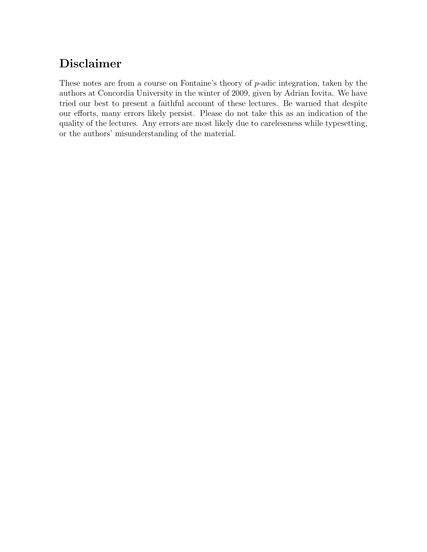## Disclaimer

These notes are from a course on Fontaine's theory of p-adic integration, taken by the authors at Concordia University in the winter of 2009, given by Adrian Iovita. We have tried our best to present a faithful account of these lectures. Be warned that despite our efforts, many errors likely persist. Please do not take this as an indication of the quality of the lectures. Any errors are most likely due to carelessness while typesetting, or the authors' misunderstanding of the material.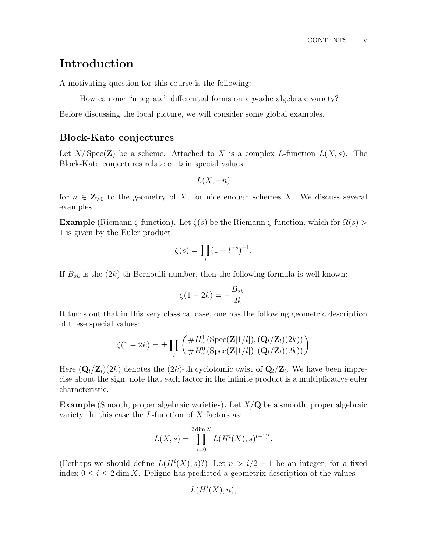## Introduction

A motivating question for this course is the following:

How can one "integrate" differential forms on a p-adic algebraic variety?

Before discussing the local picture, we will consider some global examples.

### Block-Kato conjectures

Let  $X/\operatorname{Spec}(\mathbf{Z})$  be a scheme. Attached to X is a complex L-function  $L(X, s)$ . The Block-Kato conjectures relate certain special values:

$$
L(X, -n)
$$

for  $n \in \mathbb{Z}_{\geq 0}$  to the geometry of X, for nice enough schemes X. We discuss several examples.

**Example** (Riemann  $\zeta$ -function). Let  $\zeta(s)$  be the Riemann  $\zeta$ -function, which for  $\Re(s)$ 1 is given by the Euler product:

$$
\zeta(s) = \prod_{l} (1 - l^{-s})^{-1}.
$$

If  $B_{2k}$  is the  $(2k)$ -th Bernoulli number, then the following formula is well-known:

$$
\zeta(1-2k) = -\frac{B_{2k}}{2k}.
$$

It turns out that in this very classical case, one has the following geometric description of these special values:

$$
\zeta(1-2k) = \pm \prod_{l} \left( \frac{\#H^1_{\text{et}}(\text{Spec}(\mathbf{Z}[1/l]),(\mathbf{Q}_l/\mathbf{Z}_l)(2k))}{\#H^0_{\text{et}}(\text{Spec}(\mathbf{Z}[1/l]),(\mathbf{Q}_l/\mathbf{Z}_l)(2k))} \right)
$$

Here  $(Q_l/Z_l)(2k)$  denotes the  $(2k)$ -th cyclotomic twist of  $Q_l/Z_l$ . We have been imprecise about the sign; note that each factor in the infinite product is a multiplicative euler characteristic.

**Example** (Smooth, proper algebraic varieties). Let  $X/Q$  be a smooth, proper algebraic variety. In this case the  $L$ -function of  $X$  factors as:

$$
L(X,s) = \prod_{i=0}^{2 \dim X} L(H^{i}(X),s)^{(-1)^{i}}.
$$

(Perhaps we should define  $L(H^{i}(X), s)$ ?) Let  $n > i/2 + 1$  be an integer, for a fixed index  $0 \leq i \leq 2 \dim X$ . Deligne has predicted a geometrix description of the values

$$
L(H^i(X), n),
$$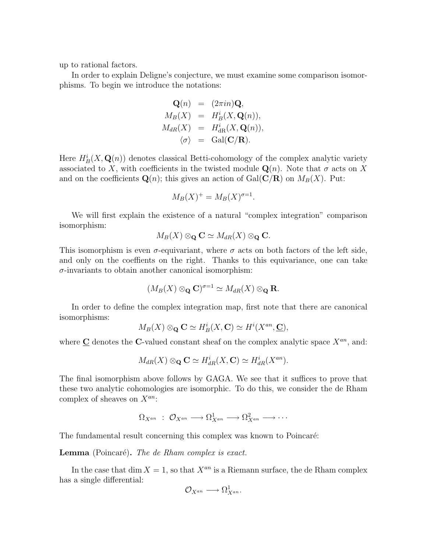up to rational factors.

In order to explain Deligne's conjecture, we must examine some comparison isomorphisms. To begin we introduce the notations:

$$
\mathbf{Q}(n) = (2\pi in)\mathbf{Q},
$$
  
\n
$$
M_B(X) = H_B^i(X, \mathbf{Q}(n)),
$$
  
\n
$$
M_{dR}(X) = H_{dR}^i(X, \mathbf{Q}(n)),
$$
  
\n
$$
\langle \sigma \rangle = \text{Gal}(\mathbf{C}/\mathbf{R}).
$$

Here  $H_B^i(X, \mathbf{Q}(n))$  denotes classical Betti-cohomology of the complex analytic variety associated to X, with coefficients in the twisted module  $\mathbf{Q}(n)$ . Note that  $\sigma$  acts on X and on the coefficients  $\mathbf{Q}(n)$ ; this gives an action of Gal( $\mathbf{C}/\mathbf{R}$ ) on  $M_B(X)$ . Put:

$$
M_B(X)^+ = M_B(X)^{\sigma=1}.
$$

We will first explain the existence of a natural "complex integration" comparison isomorphism:

$$
M_B(X)\otimes_{\mathbf{Q}}\mathbf{C}\simeq M_{dR}(X)\otimes_{\mathbf{Q}}\mathbf{C}.
$$

This isomorphism is even  $\sigma$ -equivariant, where  $\sigma$  acts on both factors of the left side, and only on the coeffients on the right. Thanks to this equivariance, one can take  $\sigma$ -invariants to obtain another canonical isomorphism:

$$
(M_B(X)\otimes_\mathbf{Q}\mathbf{C})^{\sigma=1}\simeq M_{dR}(X)\otimes_\mathbf{Q}\mathbf{R}.
$$

In order to define the complex integration map, first note that there are canonical isomorphisms:

$$
M_B(X) \otimes_{\mathbf{Q}} \mathbf{C} \simeq H^i_B(X, \mathbf{C}) \simeq H^i(X^{an}, \mathbf{C}),
$$

where  $\underline{\mathbf{C}}$  denotes the **C**-valued constant sheaf on the complex analytic space  $X^{an}$ , and:

$$
M_{dR}(X) \otimes_{\mathbf{Q}} \mathbf{C} \simeq H_{dR}^i(X, \mathbf{C}) \simeq H_{dR}^i(X^{an}).
$$

The final isomorphism above follows by GAGA. We see that it suffices to prove that these two analytic cohomologies are isomorphic. To do this, we consider the de Rham complex of sheaves on  $X^{an}$ :

$$
\Omega_{X^{an}} \; : \; \mathcal{O}_{X^{an}} \longrightarrow \Omega^1_{X^{an}} \longrightarrow \Omega^2_{X^{an}} \longrightarrow \cdots
$$

The fundamental result concerning this complex was known to Poincaré:

**Lemma** (Poincaré). The de Rham complex is exact.

In the case that dim  $X = 1$ , so that  $X^{an}$  is a Riemann surface, the de Rham complex has a single differential:

$$
\mathcal{O}_{X^{an}} \longrightarrow \Omega^1_{X^{an}}.
$$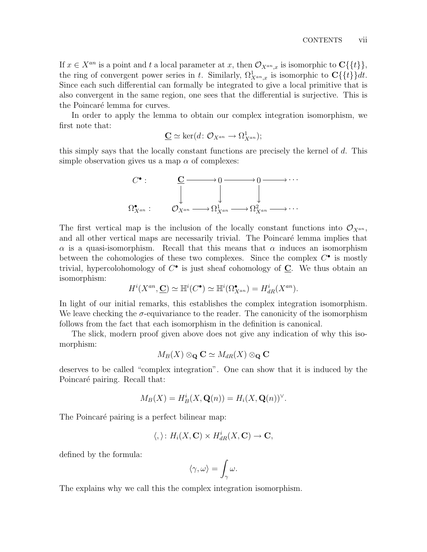If  $x \in X^{an}$  is a point and t a local parameter at x, then  $\mathcal{O}_{X^{an},x}$  is isomorphic to  $\mathbf{C} \{ \{t\} \},$ the ring of convergent power series in t. Similarly,  $\Omega^1_{X^{an},x}$  is isomorphic to  $\mathbf{C} \{ \{t\} \} dt$ . Since each such differential can formally be integrated to give a local primitive that is also convergent in the same region, one sees that the differential is surjective. This is the Poincaré lemma for curves.

In order to apply the lemma to obtain our complex integration isomorphism, we first note that:

$$
\mathbf{\underline{C}} \simeq \ker(d \colon \mathcal{O}_{X^{an}} \to \Omega^1_{X^{an}});
$$

this simply says that the locally constant functions are precisely the kernel of d. This simple observation gives us a map  $\alpha$  of complexes:

$$
C^{\bullet}: \qquad \underbrace{C}_{\bigcup_{\lambda \in \Lambda} \longrightarrow 0} \longrightarrow 0 \longrightarrow \cdots
$$
  

$$
\Omega^{\bullet}_{X^{an}}: \qquad \mathcal{O}_{X^{an}} \longrightarrow \Omega^1_{X^{an}} \longrightarrow \Omega^2_{X^{an}} \longrightarrow \cdots
$$

The first vertical map is the inclusion of the locally constant functions into  $\mathcal{O}_{X^{an}}$ , and all other vertical maps are necessarily trivial. The Poincaré lemma implies that  $\alpha$  is a quasi-isomorphism. Recall that this means that  $\alpha$  induces an isomorphism between the cohomologies of these two complexes. Since the complex  $C^{\bullet}$  is mostly trivial, hypercolohomology of  $C^{\bullet}$  is just sheaf cohomology of  $\underline{C}$ . We thus obtain an isomorphism:

$$
H^i(X^{an}, \underline{\mathbf{C}}) \simeq \mathbb{H}^i(C^{\bullet}) \simeq \mathbb{H}^i(\Omega^{\bullet}_{X^{an}}) = H^i_{dR}(X^{an}).
$$

In light of our initial remarks, this establishes the complex integration isomorphism. We leave checking the  $\sigma$ -equivariance to the reader. The canonicity of the isomorphism follows from the fact that each isomorphism in the definition is canonical.

The slick, modern proof given above does not give any indication of why this isomorphism:

$$
M_B(X)\otimes_{\mathbf{Q}}\mathbf{C}\simeq M_{dR}(X)\otimes_{\mathbf{Q}}\mathbf{C}
$$

deserves to be called "complex integration". One can show that it is induced by the Poincaré pairing. Recall that:

$$
M_B(X) = H^i_B(X, \mathbf{Q}(n)) = H_i(X, \mathbf{Q}(n))^\vee.
$$

The Poincaré pairing is a perfect bilinear map:

$$
\langle,\rangle\colon H_i(X,\mathbf{C})\times H_{dR}^i(X,\mathbf{C})\to\mathbf{C},
$$

defined by the formula:

$$
\langle \gamma, \omega \rangle = \int_{\gamma} \omega.
$$

The explains why we call this the complex integration isomorphism.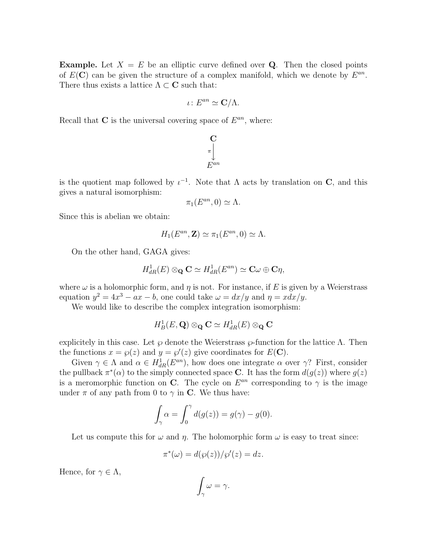**Example.** Let  $X = E$  be an elliptic curve defined over **Q**. Then the closed points of  $E(\mathbf{C})$  can be given the structure of a complex manifold, which we denote by  $E^{an}$ . There thus exists a lattice  $\Lambda \subset \mathbf{C}$  such that:

$$
\iota\colon E^{an}\simeq \mathbf{C}/\Lambda.
$$

Recall that  $C$  is the universal covering space of  $E^{an}$ , where:

 $\mathbf C$ π  $\vec{E}^{an}$ 

is the quotient map followed by  $\iota^{-1}$ . Note that  $\Lambda$  acts by translation on **C**, and this gives a natural isomorphism:

$$
\pi_1(E^{an}, 0) \simeq \Lambda.
$$

Since this is abelian we obtain:

$$
H_1(E^{an}, \mathbf{Z}) \simeq \pi_1(E^{an}, 0) \simeq \Lambda.
$$

On the other hand, GAGA gives:

$$
H_{dR}^1(E)\otimes_{\mathbf{Q}}\mathbf{C}\simeq H_{dR}^1(E^{an})\simeq \mathbf{C}\omega\oplus \mathbf{C}\eta,
$$

where  $\omega$  is a holomorphic form, and  $\eta$  is not. For instance, if E is given by a Weierstrass equation  $y^2 = 4x^3 - ax - b$ , one could take  $\omega = dx/y$  and  $\eta = x dx/y$ .

We would like to describe the complex integration isomorphism:

$$
H^1_B(E,\mathbf{Q}) \otimes_{\mathbf{Q}} \mathbf{C} \simeq H^1_{dR}(E) \otimes_{\mathbf{Q}} \mathbf{C}
$$

explicitely in this case. Let  $\wp$  denote the Weierstrass  $\wp$ -function for the lattice  $\Lambda$ . Then the functions  $x = \wp(z)$  and  $y = \wp'(z)$  give coordinates for  $E(\mathbf{C})$ .

Given  $\gamma \in \Lambda$  and  $\alpha \in H_{dR}^1(E^{an})$ , how does one integrate  $\alpha$  over  $\gamma$ ? First, consider the pullback  $\pi^*(\alpha)$  to the simply connected space C. It has the form  $d(g(z))$  where  $g(z)$ is a meromorphic function on C. The cycle on  $E^{an}$  corresponding to  $\gamma$  is the image under  $\pi$  of any path from 0 to  $\gamma$  in C. We thus have:

$$
\int_{\gamma} \alpha = \int_0^{\gamma} d(g(z)) = g(\gamma) - g(0).
$$

Let us compute this for  $\omega$  and  $\eta$ . The holomorphic form  $\omega$  is easy to treat since:

$$
\pi^*(\omega) = d(\wp(z)) / \wp'(z) = dz.
$$

Hence, for  $\gamma \in \Lambda$ ,

$$
\int_{\gamma} \omega = \gamma.
$$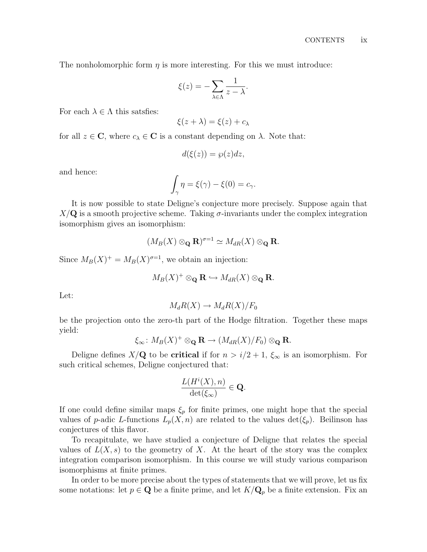The nonholomorphic form  $\eta$  is more interesting. For this we must introduce:

$$
\xi(z) = -\sum_{\lambda \in \Lambda} \frac{1}{z - \lambda}.
$$

For each  $\lambda \in \Lambda$  this satsfies:

$$
\xi(z+\lambda) = \xi(z) + c_{\lambda}
$$

for all  $z \in \mathbb{C}$ , where  $c_{\lambda} \in \mathbb{C}$  is a constant depending on  $\lambda$ . Note that:

$$
d(\xi(z)) = \wp(z)dz,
$$

and hence:

$$
\int_{\gamma} \eta = \xi(\gamma) - \xi(0) = c_{\gamma}.
$$

It is now possible to state Deligne's conjecture more precisely. Suppose again that  $X/\mathbf{Q}$  is a smooth projective scheme. Taking  $\sigma$ -invariants under the complex integration isomorphism gives an isomorphism:

$$
(M_B(X)\otimes_\mathbf{Q}\mathbf{R})^{\sigma=1}\simeq M_{dR}(X)\otimes_\mathbf{Q}\mathbf{R}.
$$

Since  $M_B(X)^+ = M_B(X)^{\sigma=1}$ , we obtain an injection:

$$
M_B(X)^+ \otimes_{\mathbf{Q}} \mathbf{R} \hookrightarrow M_{dR}(X) \otimes_{\mathbf{Q}} \mathbf{R}.
$$

Let:

$$
M_dR(X) \to M_dR(X)/F_0
$$

be the projection onto the zero-th part of the Hodge filtration. Together these maps yield:

$$
\xi_{\infty} \colon M_B(X)^{+} \otimes_{\mathbf{Q}} \mathbf{R} \to (M_{dR}(X)/F_0) \otimes_{\mathbf{Q}} \mathbf{R}.
$$

Deligne defines  $X/\mathbf{Q}$  to be **critical** if for  $n > i/2 + 1$ ,  $\xi_{\infty}$  is an isomorphism. For such critical schemes, Deligne conjectured that:

$$
\frac{L(H^i(X),n)}{\det(\xi_\infty)} \in \mathbf{Q}.
$$

If one could define similar maps  $\xi_p$  for finite primes, one might hope that the special values of p-adic L-functions  $L_p(X, n)$  are related to the values  $\det(\xi_p)$ . Beilinson has conjectures of this flavor.

To recapitulate, we have studied a conjecture of Deligne that relates the special values of  $L(X, s)$  to the geometry of X. At the heart of the story was the complex integration comparison isomorphism. In this course we will study various comparison isomorphisms at finite primes.

In order to be more precise about the types of statements that we will prove, let us fix some notations: let  $p \in \mathbf{Q}$  be a finite prime, and let  $K/\mathbf{Q}_p$  be a finite extension. Fix an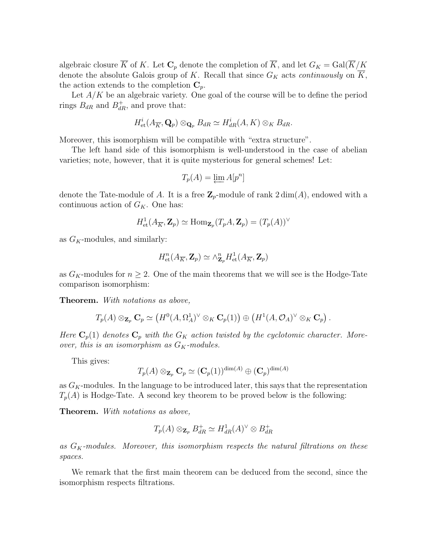algebraic closure  $\overline{K}$  of K. Let  $\mathbf{C}_p$  denote the completion of  $\overline{K}$ , and let  $G_K = \text{Gal}(\overline{K}/K)$ denote the absolute Galois group of K. Recall that since  $G_K$  acts *continuously* on K, the action extends to the completion  $C_p$ .

Let  $A/K$  be an algebraic variety. One goal of the course will be to define the period rings  $B_{dR}$  and  $B_{dR}^+$ , and prove that:

$$
H^i_{\text{et}}(A_{\overline{K}},\mathbf{Q}_p)\otimes_{\mathbf{Q}_p}B_{dR}\simeq H^i_{dR}(A,K)\otimes_KB_{dR}.
$$

Moreover, this isomorphism will be compatible with "extra structure".

The left hand side of this isomorphism is well-understood in the case of abelian varieties; note, however, that it is quite mysterious for general schemes! Let:

$$
T_p(A) = \varprojlim A[p^n]
$$

denote the Tate-module of A. It is a free  $\mathbb{Z}_p$ -module of rank  $2 \dim(A)$ , endowed with a continuous action of  $G_K$ . One has:

$$
H^1_{\text{et}}(A_{\overline{K}}, \mathbf{Z}_p) \simeq \text{Hom}_{\mathbf{Z}_p}(T_p A, \mathbf{Z}_p) = (T_p(A))^{\vee}
$$

as  $G_K$ -modules, and similarly:

$$
H^n_{\mathrm{et}}(A_{\overline{K}}, \mathbf{Z}_p) \simeq \wedge^n_{\mathbf{Z}_p} H^1_{\mathrm{et}}(A_{\overline{K}}, \mathbf{Z}_p)
$$

as  $G_K$ -modules for  $n \geq 2$ . One of the main theorems that we will see is the Hodge-Tate comparison isomorphism:

**Theorem.** With notations as above,

$$
T_p(A) \otimes_{\mathbf{Z}_p} \mathbf{C}_p \simeq \left(H^0(A, \Omega_A^1)^{\vee} \otimes_K \mathbf{C}_p(1)\right) \oplus \left(H^1(A, \mathcal{O}_A)^{\vee} \otimes_K \mathbf{C}_p\right).
$$

Here  $\mathbf{C}_p(1)$  denotes  $\mathbf{C}_p$  with the  $G_K$  action twisted by the cyclotomic character. Moreover, this is an isomorphism as  $G_K$ -modules.

This gives:

$$
T_p(A) \otimes_{\mathbf{Z}_p} \mathbf{C}_p \simeq (\mathbf{C}_p(1))^{\dim(A)} \oplus (\mathbf{C}_p)^{\dim(A)}
$$

as  $G_K$ -modules. In the language to be introduced later, this says that the representation  $T_p(A)$  is Hodge-Tate. A second key theorem to be proved below is the following:

Theorem. With notations as above.

$$
T_p(A) \otimes_{\mathbf{Z}_p} B^+_{dR} \simeq H^1_{dR}(A)^\vee \otimes B^+_{dR}
$$

as  $G_K$ -modules. Moreover, this isomorphism respects the natural filtrations on these spaces.

We remark that the first main theorem can be deduced from the second, since the isomorphism respects filtrations.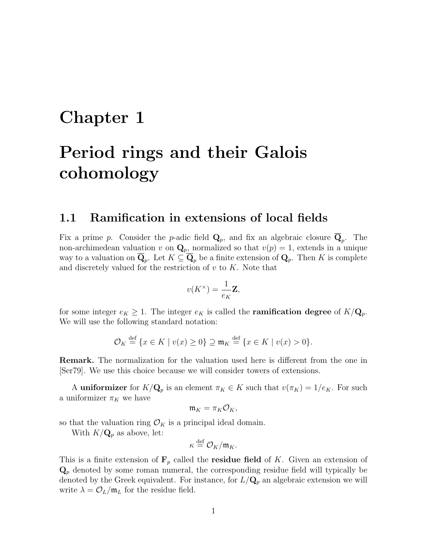## Chapter 1

# Period rings and their Galois cohomology

## 1.1 Ramification in extensions of local fields

Fix a prime p. Consider the p-adic field  $\mathbf{Q}_p$ , and fix an algebraic closure  $\mathbf{Q}_p$ . The non-archimedean valuation v on  $\mathbf{Q}_p$ , normalized so that  $v(p) = 1$ , extends in a unique way to a valuation on  $\overline{\mathbf{Q}}_p$ . Let  $K \subseteq \overline{\mathbf{Q}}_p$  be a finite extension of  $\mathbf{Q}_p$ . Then K is complete and discretely valued for the restriction of  $v$  to  $K$ . Note that

$$
v(K^{\times}) = \frac{1}{e_K} \mathbf{Z},
$$

for some integer  $e_K \geq 1$ . The integer  $e_K$  is called the **ramification degree** of  $K/\mathbf{Q}_p$ . We will use the following standard notation:

$$
\mathcal{O}_K \stackrel{\text{def}}{=} \{x \in K \mid v(x) \ge 0\} \supseteq \mathfrak{m}_K \stackrel{\text{def}}{=} \{x \in K \mid v(x) > 0\}.
$$

Remark. The normalization for the valuation used here is different from the one in [Ser79]. We use this choice because we will consider towers of extensions.

A uniformizer for  $K/\mathbf{Q}_p$  is an element  $\pi_K \in K$  such that  $v(\pi_K) = 1/e_K$ . For such a uniformizer  $\pi_K$  we have

$$
\mathfrak{m}_K = \pi_K \mathcal{O}_K,
$$

so that the valuation ring  $\mathcal{O}_K$  is a principal ideal domain.

With  $K/\mathbf{Q}_p$  as above, let:

$$
\kappa \stackrel{\text{def}}{=} \mathcal{O}_K/\mathfrak{m}_K.
$$

This is a finite extension of  $\mathbf{F}_p$  called the **residue field** of K. Given an extension of  $\mathbf{Q}_p$  denoted by some roman numeral, the corresponding residue field will typically be denoted by the Greek equivalent. For instance, for  $L/\mathbf{Q}_p$  an algebraic extension we will write  $\lambda = \mathcal{O}_L/\mathfrak{m}_L$  for the residue field.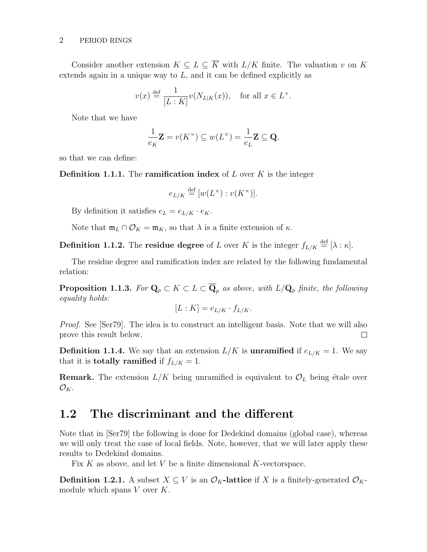#### 2 PERIOD RINGS

Consider another extension  $K \subseteq L \subseteq \overline{K}$  with  $L/K$  finite. The valuation v on K extends again in a unique way to  $L$ , and it can be defined explicitly as

$$
v(x) \stackrel{\text{def}}{=} \frac{1}{[L:K]} v(N_{L|K}(x)), \quad \text{for all } x \in L^{\times}.
$$

Note that we have

$$
\frac{1}{e_K}\mathbf{Z}=v(K^\times)\subseteq w(L^\times)=\frac{1}{e_L}\mathbf{Z}\subseteq\mathbf{Q},
$$

so that we can define:

**Definition 1.1.1.** The **ramification index** of  $L$  over  $K$  is the integer

$$
e_{L/K} \stackrel{\text{def}}{=} [w(L^{\times}) : v(K^{\times})].
$$

By definition it satisfies  $e_L = e_{L/K} \cdot e_K$ .

Note that  $\mathfrak{m}_L \cap \mathcal{O}_K = \mathfrak{m}_K$ , so that  $\lambda$  is a finite extension of  $\kappa$ .

**Definition 1.1.2.** The **residue degree** of L over K is the integer  $f_{L/K} \stackrel{\text{def}}{=} [\lambda : \kappa]$ .

The residue degree and ramification index are related by the following fundamental relation:

**Proposition 1.1.3.** For  $\mathbf{Q}_p \subset K \subset L \subset \overline{\mathbf{Q}}_p$  as above, with  $L/\mathbf{Q}_p$  finite, the following equality holds:

$$
[L:K] = e_{L/K} \cdot f_{L/K}.
$$

Proof. See [Ser79]. The idea is to construct an intelligent basis. Note that we will also prove this result below.  $\Box$ 

**Definition 1.1.4.** We say that an extension  $L/K$  is **unramified** if  $e_{L/K} = 1$ . We say that it is **totally ramified** if  $f_{L/K} = 1$ .

**Remark.** The extension  $L/K$  being unramified is equivalent to  $\mathcal{O}_L$  being étale over  $\mathcal{O}_K$ .

### 1.2 The discriminant and the different

Note that in [Ser79] the following is done for Dedekind domains (global case), whereas we will only treat the case of local fields. Note, however, that we will later apply these results to Dedekind domains.

Fix  $K$  as above, and let  $V$  be a finite dimensional  $K$ -vectorspace.

**Definition 1.2.1.** A subset  $X \subseteq V$  is an  $\mathcal{O}_K$ -lattice if X is a finitely-generated  $\mathcal{O}_K$ module which spans  $V$  over  $K$ .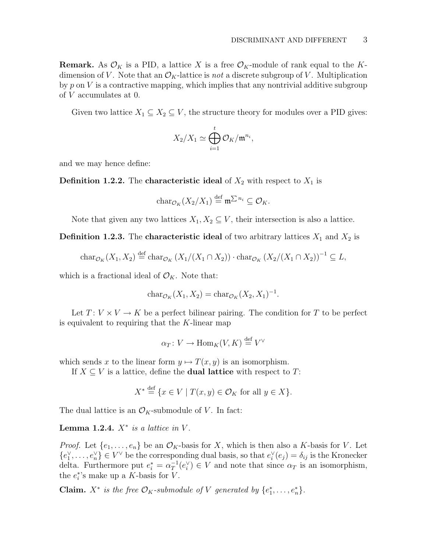**Remark.** As  $\mathcal{O}_K$  is a PID, a lattice X is a free  $\mathcal{O}_K$ -module of rank equal to the Kdimension of V. Note that an  $\mathcal{O}_K$ -lattice is not a discrete subgroup of V. Multiplication by  $p$  on  $V$  is a contractive mapping, which implies that any nontrivial additive subgroup of V accumulates at 0.

Given two lattice  $X_1 \subseteq X_2 \subseteq V$ , the structure theory for modules over a PID gives:

$$
X_2/X_1 \simeq \bigoplus_{i=1}^t \mathcal{O}_K/\mathfrak{m}^{n_i},
$$

and we may hence define:

**Definition 1.2.2.** The characteristic ideal of  $X_2$  with respect to  $X_1$  is

$$
char_{\mathcal{O}_K}(X_2/X_1) \stackrel{\text{def}}{=} \mathfrak{m}^{\sum n_i} \subseteq \mathcal{O}_K.
$$

Note that given any two lattices  $X_1, X_2 \subseteq V$ , their intersection is also a lattice.

**Definition 1.2.3.** The characteristic ideal of two arbitrary lattices  $X_1$  and  $X_2$  is

$$
char_{\mathcal{O}_{K}}(X_{1}, X_{2}) \stackrel{\text{def}}{=} char_{\mathcal{O}_{K}}(X_{1}/(X_{1} \cap X_{2})) \cdot char_{\mathcal{O}_{K}}(X_{2}/(X_{1} \cap X_{2}))^{-1} \subseteq L,
$$

which is a fractional ideal of  $\mathcal{O}_K$ . Note that:

$$
char_{\mathcal{O}_K}(X_1, X_2) = char_{\mathcal{O}_K}(X_2, X_1)^{-1}.
$$

Let  $T: V \times V \rightarrow K$  be a perfect bilinear pairing. The condition for T to be perfect is equivalent to requiring that the K-linear map

$$
\alpha_T \colon V \to \text{Hom}_K(V, K) \stackrel{\text{def}}{=} V^\vee
$$

which sends x to the linear form  $y \mapsto T(x, y)$  is an isomorphism.

If  $X \subseteq V$  is a lattice, define the **dual lattice** with respect to T:

$$
X^* \stackrel{\text{def}}{=} \{ x \in V \mid T(x, y) \in \mathcal{O}_K \text{ for all } y \in X \}.
$$

The dual lattice is an  $\mathcal{O}_K$ -submodule of V. In fact:

Lemma 1.2.4.  $X^*$  is a lattice in V.

*Proof.* Let  $\{e_1, \ldots, e_n\}$  be an  $\mathcal{O}_K$ -basis for X, which is then also a K-basis for V. Let  ${e_1^{\vee}, \ldots, e_n^{\vee}} \in V^{\vee}$  be the corresponding dual basis, so that  $e_i^{\vee}(e_j) = \delta_{ij}$  is the Kronecker delta. Furthermore put  $e_i^* = \alpha_T^{-1}$  $T(T^1(e_i^{\vee}) \in V$  and note that since  $\alpha_T$  is an isomorphism, the  $e_i^*$ 's make up a K-basis for V.

**Claim.**  $X^*$  is the free  $\mathcal{O}_K$ -submodule of V generated by  $\{e_1^*, \ldots, e_n^*\}$ .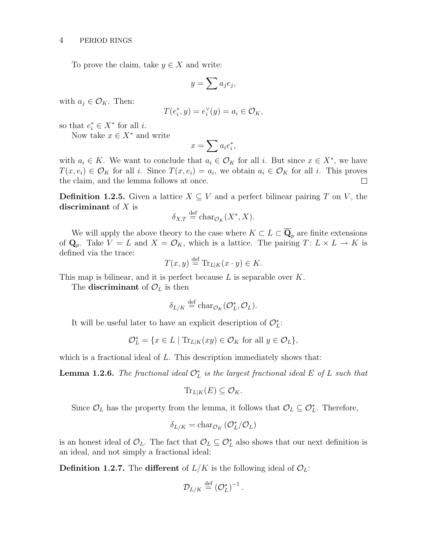To prove the claim, take  $y \in X$  and write:

$$
y = \sum a_j e_j,
$$

with  $a_j \in \mathcal{O}_K$ . Then:

$$
T(e_i^*, y) = e_i^{\vee}(y) = a_i \in \mathcal{O}_K,
$$

so that  $e_i^* \in X^*$  for all *i*.

Now take  $x \in X^*$  and write

$$
x = \sum a_i e_i^*,
$$

with  $a_i \in K$ . We want to conclude that  $a_i \in \mathcal{O}_K$  for all i. But since  $x \in X^*$ , we have  $T(x, e_i) \in \mathcal{O}_K$  for all i. Since  $T(x, e_i) = a_i$ , we obtain  $a_i \in \mathcal{O}_K$  for all i. This proves the claim, and the lemma follows at once.  $\Box$ 

**Definition 1.2.5.** Given a lattice  $X \subseteq V$  and a perfect bilinear pairing T on V, the discriminant of  $X$  is

$$
\delta_{X,T} \stackrel{\text{def}}{=} \text{char}_{\mathcal{O}_K}(X^*, X).
$$

We will apply the above theory to the case where  $K \subset L \subset \overline{\mathbf{Q}}_p$  are finite extensions of  $\mathbf{Q}_p$ . Take  $V = L$  and  $X = \mathcal{O}_K$ , which is a lattice. The pairing  $T: L \times L \rightarrow K$  is defined via the trace:

$$
T(x, y) \stackrel{\text{def}}{=} \text{Tr}_{L|K}(x \cdot y) \in K.
$$

This map is bilinear, and it is perfect because  $L$  is separable over  $K$ .

The **discriminant** of  $\mathcal{O}_L$  is then

$$
\delta_{L/K} \stackrel{\text{def}}{=} \text{char}_{\mathcal{O}_K}(\mathcal{O}_L^*, \mathcal{O}_L).
$$

It will be useful later to have an explicit description of  $\mathcal{O}_L^*$ :

$$
\mathcal{O}_L^* = \{ x \in L \mid \text{Tr}_{L|K}(xy) \in \mathcal{O}_K \text{ for all } y \in \mathcal{O}_L \},
$$

which is a fractional ideal of  $L$ . This description immediately shows that:

**Lemma 1.2.6.** The fractional ideal  $\mathcal{O}_L^*$  is the largest fractional ideal E of L such that

$$
\text{Tr}_{L|K}(E) \subseteq \mathcal{O}_K.
$$

Since  $\mathcal{O}_L$  has the property from the lemma, it follows that  $\mathcal{O}_L \subseteq \mathcal{O}_L^*$ . Therefore,

$$
\delta_{L/K} = \mathrm{char}_{\mathcal{O}_K} \left( \mathcal{O}_L^* / \mathcal{O}_L \right)
$$

is an honest ideal of  $\mathcal{O}_L$ . The fact that  $\mathcal{O}_L \subseteq \mathcal{O}_L^*$  also shows that our next definition is an ideal, and not simply a fractional ideal:

**Definition 1.2.7.** The **different** of  $L/K$  is the following ideal of  $\mathcal{O}_L$ :

$$
\mathcal{D}_{L/K} \stackrel{\text{def}}{=} (\mathcal{O}_L^*)^{-1}.
$$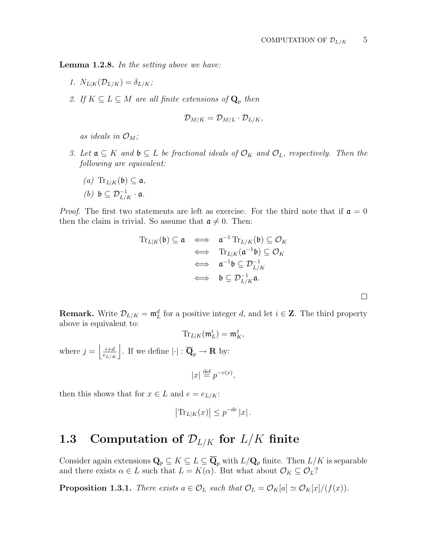$\Box$ 

Lemma 1.2.8. In the setting above we have:

- 1.  $N_{L|K}(\mathcal{D}_{L/K}) = \delta_{L/K};$
- 2. If  $K \subseteq L \subseteq M$  are all finite extensions of  $\mathbf{Q}_p$  then

$$
\mathcal{D}_{M/K}=\mathcal{D}_{M/L}\cdot \mathcal{D}_{L/K},
$$

as ideals in  $\mathcal{O}_M$ ;

- 3. Let  $\mathfrak{a} \subseteq K$  and  $\mathfrak{b} \subseteq L$  be fractional ideals of  $\mathcal{O}_K$  and  $\mathcal{O}_L$ , respectively. Then the following are equivalent:
	- (a)  $\text{Tr}_{L|K}(\mathfrak{b}) \subset \mathfrak{a}$ ,
	- (b)  $\mathfrak{b} \subseteq \mathcal{D}_{L/K}^{-1} \cdot \mathfrak{a}.$

*Proof.* The first two statements are left as exercise. For the third note that if  $\mathfrak{a} = 0$ then the claim is trivial. So assume that  $\mathfrak{a} \neq 0$ . Then:

$$
\mathrm{Tr}_{L|K}(\mathfrak{b}) \subseteq \mathfrak{a} \iff \mathfrak{a}^{-1} \mathrm{Tr}_{L/K}(\mathfrak{b}) \subseteq \mathcal{O}_K
$$
  
\n
$$
\iff \mathrm{Tr}_{L|K}(\mathfrak{a}^{-1}\mathfrak{b}) \subseteq \mathcal{O}_K
$$
  
\n
$$
\iff \mathfrak{a}^{-1}\mathfrak{b} \subseteq \mathcal{D}_{L/K}^{-1}
$$
  
\n
$$
\iff \mathfrak{b} \subseteq \mathcal{D}_{L/K}^{-1}\mathfrak{a}.
$$

**Remark.** Write  $\mathcal{D}_{L/K} = \mathfrak{m}_L^d$  for a positive integer d, and let  $i \in \mathbf{Z}$ . The third property above is equivalent to:  $\text{Tr}_{L|K}(\mathfrak{m}_L^i) = \mathfrak{m}_K^j,$ 

where  $j = \left| \frac{i+d}{e_{L/K}} \right|$ . If we define  $|\cdot| : \overline{\mathbf{Q}}_p \to \mathbf{R}$  by:

$$
|x| \stackrel{\text{def}}{=} p^{-v(x)},
$$

then this shows that for  $x \in L$  and  $e = e_{L/K}$ :

$$
\left|\text{Tr}_{L|K}(x)\right| \leq p^{-de} |x|.
$$

## 1.3 Computation of  $\mathcal{D}_{L/K}$  for  $L/K$  finite

Consider again extensions  $\mathbf{Q}_p \subseteq K \subseteq L \subseteq \overline{\mathbf{Q}}_p$  with  $L/\mathbf{Q}_p$  finite. Then  $L/K$  is separable and there exists  $\alpha \in L$  such that  $L = K(\alpha)$ . But what about  $\mathcal{O}_K \subseteq \mathcal{O}_L$ ?

**Proposition 1.3.1.** There exists  $a \in \mathcal{O}_L$  such that  $\mathcal{O}_L = \mathcal{O}_K[a] \simeq \mathcal{O}_K[x]/(f(x))$ .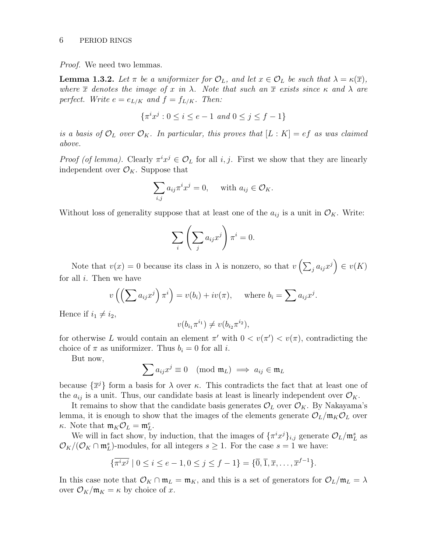#### 6 PERIOD RINGS

Proof. We need two lemmas.

**Lemma 1.3.2.** Let  $\pi$  be a uniformizer for  $\mathcal{O}_L$ , and let  $x \in \mathcal{O}_L$  be such that  $\lambda = \kappa(\overline{x})$ , where  $\bar{x}$  denotes the image of x in  $\lambda$ . Note that such an  $\bar{x}$  exists since  $\kappa$  and  $\lambda$  are perfect. Write  $e = e_{L/K}$  and  $f = f_{L/K}$ . Then:

$$
\{\pi^i x^j : 0 \le i \le e-1 \text{ and } 0 \le j \le f-1\}
$$

is a basis of  $\mathcal{O}_L$  over  $\mathcal{O}_K$ . In particular, this proves that  $[L:K] = ef$  as was claimed above.

Proof (of lemma). Clearly  $\pi^i x^j \in \mathcal{O}_L$  for all i, j. First we show that they are linearly independent over  $\mathcal{O}_K$ . Suppose that

$$
\sum_{i,j} a_{ij} \pi^i x^j = 0, \quad \text{ with } a_{ij} \in \mathcal{O}_K.
$$

Without loss of generality suppose that at least one of the  $a_{ij}$  is a unit in  $\mathcal{O}_K$ . Write:

$$
\sum_{i} \left( \sum_{j} a_{ij} x^{j} \right) \pi^{i} = 0.
$$

Note that  $v(x) = 0$  because its class in  $\lambda$  is nonzero, so that  $v\left(\sum_j a_{ij} x^j\right) \in v(K)$ for all  $i$ . Then we have

$$
v\left(\left(\sum a_{ij}x^j\right)\pi^i\right) = v(b_i) + iv(\pi), \quad \text{where } b_i = \sum a_{ij}x^j.
$$

Hence if  $i_1 \neq i_2$ ,

$$
v(b_{i_1}\pi^{i_1}) \neq v(b_{i_2}\pi^{i_2}),
$$

for otherwise L would contain an element  $\pi'$  with  $0 < v(\pi') < v(\pi)$ , contradicting the choice of  $\pi$  as uniformizer. Thus  $b_i = 0$  for all i.

But now,

$$
\sum a_{ij} x^j \equiv 0 \pmod{\mathfrak{m}_L} \implies a_{ij} \in \mathfrak{m}_L
$$

because  $\{\bar{x}^j\}$  form a basis for  $\lambda$  over  $\kappa$ . This contradicts the fact that at least one of the  $a_{ij}$  is a unit. Thus, our candidate basis at least is linearly independent over  $\mathcal{O}_K$ .

It remains to show that the candidate basis generates  $\mathcal{O}_L$  over  $\mathcal{O}_K$ . By Nakayama's lemma, it is enough to show that the images of the elements generate  $\mathcal{O}_L/\mathfrak{m}_K\mathcal{O}_L$  over *κ*. Note that  $\mathfrak{m}_K \mathcal{O}_L = \mathfrak{m}_L^e$ .

We will in fact show, by induction, that the images of  $\{\pi^i x^j\}_{i,j}$  generate  $\mathcal{O}_L/\mathfrak{m}_L^s$  as  $\mathcal{O}_K/(\mathcal{O}_K \cap \mathfrak{m}_L^s)$ -modules, for all integers  $s \geq 1$ . For the case  $s = 1$  we have:

$$
\{\overline{\pi^i x^j} \mid 0 \le i \le e-1, 0 \le j \le f-1\} = \{\overline{0}, \overline{1}, \overline{x}, \dots, \overline{x}^{f-1}\}.
$$

In this case note that  $\mathcal{O}_K \cap \mathfrak{m}_L = \mathfrak{m}_K$ , and this is a set of generators for  $\mathcal{O}_L/\mathfrak{m}_L = \lambda$ over  $\mathcal{O}_K/\mathfrak{m}_K = \kappa$  by choice of x.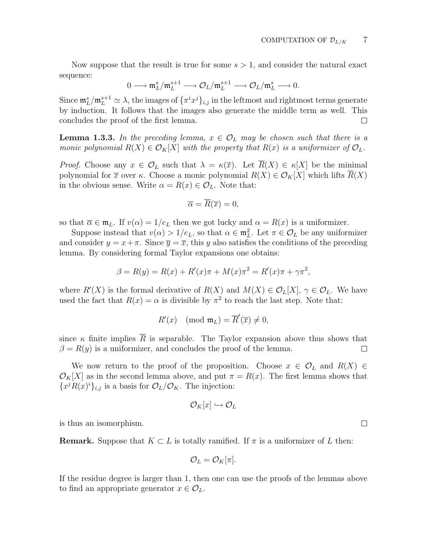Now suppose that the result is true for some  $s > 1$ , and consider the natural exact sequence:

$$
0 \longrightarrow \mathfrak{m}_L^s / \mathfrak{m}_L^{s+1} \longrightarrow \mathcal{O}_L / \mathfrak{m}_L^{s+1} \longrightarrow \mathcal{O}_L / \mathfrak{m}_L^s \longrightarrow 0.
$$

Since  $\mathfrak{m}_L^s/\mathfrak{m}_L^{s+1} \simeq \lambda$ , the images of  $\{\pi^i x^j\}_{i,j}$  in the leftmost and rightmost terms generate by induction. It follows that the images also generate the middle term as well. This concludes the proof of the first lemma.  $\Box$ 

**Lemma 1.3.3.** In the preceding lemma,  $x \in \mathcal{O}_L$  may be chosen such that there is a monic polynomial  $R(X) \in \mathcal{O}_K[X]$  with the property that  $R(x)$  is a uniformizer of  $\mathcal{O}_L$ .

*Proof.* Choose any  $x \in \mathcal{O}_L$  such that  $\lambda = \kappa(\overline{x})$ . Let  $\overline{R}(X) \in \kappa[X]$  be the minimal polynomial for  $\bar{x}$  over  $\kappa$ . Choose a monic polynomial  $R(X) \in \mathcal{O}_K[X]$  which lifts  $R(X)$ in the obvious sense. Write  $\alpha = R(x) \in \mathcal{O}_L$ . Note that:

$$
\overline{\alpha} = \overline{R}(\overline{x}) = 0,
$$

so that  $\overline{\alpha} \in \mathfrak{m}_L$ . If  $v(\alpha) = 1/e_L$  then we got lucky and  $\alpha = R(x)$  is a uniformizer.

Suppose instead that  $v(\alpha) > 1/e_L$ , so that  $\alpha \in \mathfrak{m}_L^2$ . Let  $\pi \in \mathcal{O}_L$  be any uniformizer and consider  $y = x + \pi$ . Since  $\overline{y} = \overline{x}$ , this y also satisfies the conditions of the preceding lemma. By considering formal Taylor expansions one obtains:

$$
\beta = R(y) = R(x) + R'(x)\pi + M(x)\pi^{2} = R'(x)\pi + \gamma\pi^{2},
$$

where  $R'(X)$  is the formal derivative of  $R(X)$  and  $M(X) \in \mathcal{O}_L[X], \gamma \in \mathcal{O}_L$ . We have used the fact that  $R(x) = \alpha$  is divisible by  $\pi^2$  to reach the last step. Note that:

$$
R'(x) \pmod{\mathfrak{m}_L} = \overline{R}'(\overline{x}) \neq 0,
$$

since  $\kappa$  finite implies  $\overline{R}$  is separable. The Taylor expansion above thus shows that  $\beta = R(y)$  is a uniformizer, and concludes the proof of the lemma.  $\Box$ 

We now return to the proof of the proposition. Choose  $x \in \mathcal{O}_L$  and  $R(X) \in$  $\mathcal{O}_K[X]$  as in the second lemma above, and put  $\pi = R(x)$ . The first lemma shows that  ${x^{j}R(x)^{i}}_{i,j}$  is a basis for  $\mathcal{O}_{L}/\mathcal{O}_{K}$ . The injection:

$$
\mathcal{O}_K[x] \hookrightarrow \mathcal{O}_L
$$

is thus an isomorphism.

**Remark.** Suppose that  $K \subset L$  is totally ramified. If  $\pi$  is a uniformizer of L then:

$$
\mathcal{O}_L=\mathcal{O}_K[\pi].
$$

If the residue degree is larger than 1, then one can use the proofs of the lemmas above to find an appropriate generator  $x \in \mathcal{O}_L$ .

 $\Box$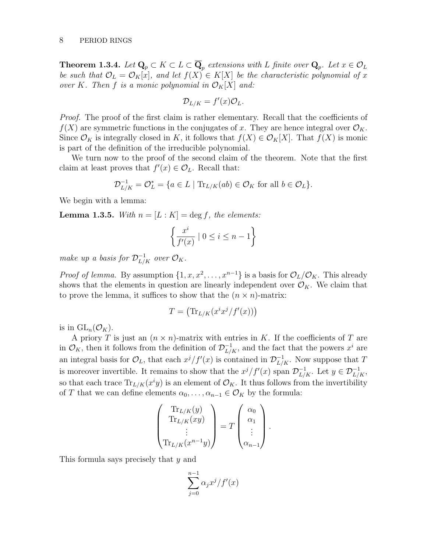**Theorem 1.3.4.** Let  $\mathbf{Q}_p \subset K \subset L \subset \mathbf{Q}_p$  extensions with L finite over  $\mathbf{Q}_p$ . Let  $x \in \mathcal{O}_L$ be such that  $\mathcal{O}_L = \mathcal{O}_K[x]$ , and let  $f(X) \in K[X]$  be the characteristic polynomial of x over K. Then f is a monic polynomial in  $\mathcal{O}_K[X]$  and:

$$
\mathcal{D}_{L/K} = f'(x)\mathcal{O}_L.
$$

Proof. The proof of the first claim is rather elementary. Recall that the coefficients of  $f(X)$  are symmetric functions in the conjugates of x. They are hence integral over  $\mathcal{O}_K$ . Since  $\mathcal{O}_K$  is integrally closed in K, it follows that  $f(X) \in \mathcal{O}_K[X]$ . That  $f(X)$  is monic is part of the definition of the irreducible polynomial.

We turn now to the proof of the second claim of the theorem. Note that the first claim at least proves that  $f'(x) \in \mathcal{O}_L$ . Recall that:

$$
\mathcal{D}_{L/K}^{-1} = \mathcal{O}_L^* = \{ a \in L \mid \text{Tr}_{L/K}(ab) \in \mathcal{O}_K \text{ for all } b \in \mathcal{O}_L \}.
$$

We begin with a lemma:

**Lemma 1.3.5.** With  $n = [L : K] = \deg f$ , the elements:

$$
\left\{ \frac{x^i}{f'(x)} \mid 0 \le i \le n-1 \right\}
$$

make up a basis for  $\mathcal{D}_{L/K}^{-1}$  over  $\mathcal{O}_K$ .

*Proof of lemma.* By assumption  $\{1, x, x^2, \ldots, x^{n-1}\}$  is a basis for  $\mathcal{O}_L/\mathcal{O}_K$ . This already shows that the elements in question are linearly independent over  $\mathcal{O}_K$ . We claim that to prove the lemma, it suffices to show that the  $(n \times n)$ -matrix:

$$
T = \left(\text{Tr}_{L/K}(x^ix^j/f'(x))\right)
$$

is in  $\mathrm{GL}_n(\mathcal{O}_K)$ .

A priory T is just an  $(n \times n)$ -matrix with entries in K. If the coefficients of T are in  $\mathcal{O}_K$ , then it follows from the definition of  $\mathcal{D}_{L/K}^{-1}$ , and the fact that the powers  $x^i$  are an integral basis for  $\mathcal{O}_L$ , that each  $x^j/f'(x)$  is contained in  $\mathcal{D}_{L/K}^{-1}$ . Now suppose that T is moreover invertible. It remains to show that the  $x^j/f'(x)$  span  $\mathcal{D}_{L/K}^{-1}$ . Let  $y \in \mathcal{D}_{L/K}^{-1}$ , so that each trace  $\text{Tr}_{L/K}(x^i y)$  is an element of  $\mathcal{O}_K$ . It thus follows from the invertibility of T that we can define elements  $\alpha_0, \ldots, \alpha_{n-1} \in \mathcal{O}_K$  by the formula:

$$
\begin{pmatrix} \operatorname{Tr}_{L/K}(y) \\ \operatorname{Tr}_{L/K}(xy) \\ \vdots \\ \operatorname{Tr}_{L/K}(x^{n-1}y) \end{pmatrix} = T \begin{pmatrix} \alpha_0 \\ \alpha_1 \\ \vdots \\ \alpha_{n-1} \end{pmatrix}.
$$

This formula says precisely that y and

$$
\sum_{j=0}^{n-1} \alpha_j x^j / f'(x)
$$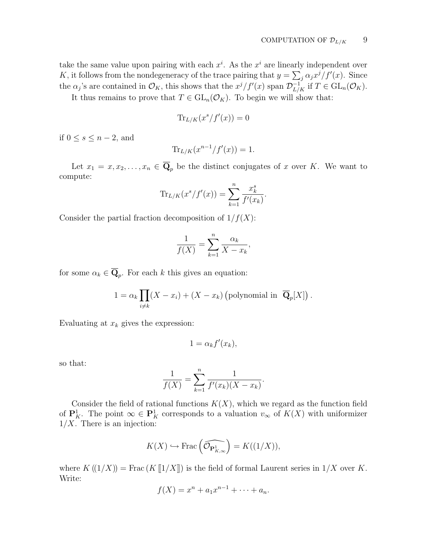take the same value upon pairing with each  $x^i$ . As the  $x^i$  are linearly independent over K, it follows from the nondegeneracy of the trace pairing that  $y = \sum_j \alpha_j x^j/f'(x)$ . Since the  $\alpha_j$ 's are contained in  $\mathcal{O}_K$ , this shows that the  $x^j/f'(x)$  span  $\mathcal{D}_{L/K}^{-1}$  if  $T \in GL_n(\mathcal{O}_K)$ .

It thus remains to prove that  $T \in GL_n(\mathcal{O}_K)$ . To begin we will show that:

$$
\text{Tr}_{L/K}(x^s/f'(x)) = 0
$$

if  $0 \leq s \leq n-2$ , and

$$
\text{Tr}_{L/K}(x^{n-1}/f'(x)) = 1.
$$

Let  $x_1 = x, x_2, \ldots, x_n \in \overline{\mathbf{Q}}_p$  be the distinct conjugates of x over K. We want to compute:

$$
\text{Tr}_{L/K}(x^s/f'(x)) = \sum_{k=1}^n \frac{x_k^s}{f'(x_k)}.
$$

Consider the partial fraction decomposition of  $1/f(X)$ :

$$
\frac{1}{f(X)} = \sum_{k=1}^{n} \frac{\alpha_k}{X - x_k},
$$

for some  $\alpha_k \in \mathbf{Q}_p$ . For each k this gives an equation:

$$
1 = \alpha_k \prod_{i \neq k} (X - x_i) + (X - x_k) \text{ (polynomial in } \overline{\mathbf{Q}}_p[X]).
$$

Evaluating at  $x_k$  gives the expression:

$$
1 = \alpha_k f'(x_k),
$$

so that:

$$
\frac{1}{f(X)} = \sum_{k=1}^{n} \frac{1}{f'(x_k)(X - x_k)}.
$$

Consider the field of rational functions  $K(X)$ , which we regard as the function field of  $\mathbf{P}_K^1$ . The point  $\infty \in \mathbf{P}_K^1$  corresponds to a valuation  $v_{\infty}$  of  $K(X)$  with uniformizer  $1/X$ . There is an injection:

$$
K(X) \hookrightarrow \operatorname{Frac}\left(\widehat{\mathcal{O}_{\mathbf{P}^1_{K,\infty}}}\right) = K((1/X)),
$$

where  $K((1/X)) = \text{Frac}(K \llbracket 1/X \rrbracket)$  is the field of formal Laurent series in  $1/X$  over K. Write:

$$
f(X) = x^n + a_1 x^{n-1} + \dots + a_n.
$$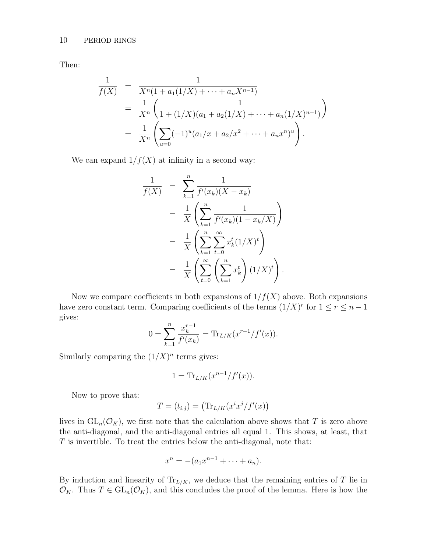Then:

$$
\frac{1}{f(X)} = \frac{1}{X^n (1 + a_1(1/X) + \dots + a_n X^{n-1})}
$$
\n
$$
= \frac{1}{X^n} \left( \frac{1}{1 + (1/X)(a_1 + a_2(1/X) + \dots + a_n(1/X)^{n-1})} \right)
$$
\n
$$
= \frac{1}{X^n} \left( \sum_{u=0}^{\infty} (-1)^u (a_1/x + a_2/x^2 + \dots + a_n x^n)^u \right).
$$

We can expand  $1/f(X)$  at infinity in a second way:

$$
\frac{1}{f(X)} = \sum_{k=1}^{n} \frac{1}{f'(x_k)(X - x_k)} \n= \frac{1}{X} \left( \sum_{k=1}^{n} \frac{1}{f'(x_k)(1 - x_k/X)} \right) \n= \frac{1}{X} \left( \sum_{k=1}^{n} \sum_{t=0}^{\infty} x_k^t (1/X)^t \right) \n= \frac{1}{X} \left( \sum_{t=0}^{\infty} \left( \sum_{k=1}^{n} x_k^t \right) (1/X)^t \right).
$$

Now we compare coefficients in both expansions of  $1/f(X)$  above. Both expansions have zero constant term. Comparing coefficients of the terms  $(1/X)^r$  for  $1 \le r \le n-1$ gives:

$$
0 = \sum_{k=1}^{n} \frac{x_k^{r-1}}{f'(x_k)} = \text{Tr}_{L/K}(x^{r-1}/f'(x)).
$$

Similarly comparing the  $(1/X)^n$  terms gives:

$$
1 = \text{Tr}_{L/K}(x^{n-1}/f'(x)).
$$

Now to prove that:

$$
T = (t_{i,j}) = \left(\text{Tr}_{L/K}(x^i x^j / f'(x)\right)
$$

lives in  $GL_n(\mathcal{O}_K)$ , we first note that the calculation above shows that T is zero above the anti-diagonal, and the anti-diagonal entries all equal 1. This shows, at least, that  $T$  is invertible. To treat the entries below the anti-diagonal, note that:

$$
x^n = -(a_1x^{n-1} + \cdots + a_n).
$$

By induction and linearity of  $\text{Tr}_{L/K}$ , we deduce that the remaining entries of T lie in  $\mathcal{O}_K$ . Thus  $T \in GL_n(\mathcal{O}_K)$ , and this concludes the proof of the lemma. Here is how the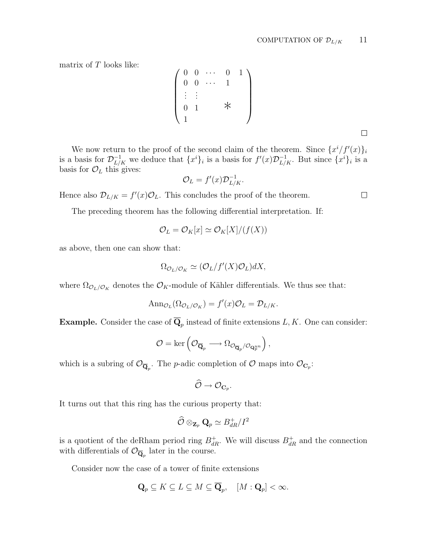matrix of  $T$  looks like:

$$
\begin{pmatrix}\n0 & 0 & \cdots & 0 & 1 \\
0 & 0 & \cdots & 1 & \\
\vdots & \vdots & & & \\
0 & 1 & & \ast & \\
1 & & & & \n\end{pmatrix}
$$

We now return to the proof of the second claim of the theorem. Since  ${x^{i}/f'(x)}_{i}$ is a basis for  $\mathcal{D}_{L/K}^{-1}$  we deduce that  $\{x^i\}_i$  is a basis for  $f'(x)\mathcal{D}_{L/K}^{-1}$ . But since  $\{x^i\}_i$  is a basis for  $\mathcal{O}_L$  this gives:

$$
\mathcal{O}_L = f'(x)\mathcal{D}_{L/K}^{-1}.
$$

Hence also  $\mathcal{D}_{L/K} = f'(x)\mathcal{O}_L$ . This concludes the proof of the theorem.

The preceding theorem has the following differential interpretation. If:

$$
\mathcal{O}_L = \mathcal{O}_K[x] \simeq \mathcal{O}_K[X]/(f(X))
$$

as above, then one can show that:

$$
\Omega_{\mathcal{O}_L/\mathcal{O}_K} \simeq (\mathcal{O}_L/f'(X)\mathcal{O}_L)dX,
$$

where  $\Omega_{\mathcal{O}_L/\mathcal{O}_K}$  denotes the  $\mathcal{O}_K$ -module of Kähler differentials. We thus see that:

$$
Ann_{\mathcal{O}_L}(\Omega_{\mathcal{O}_L/\mathcal{O}_K}) = f'(x)\mathcal{O}_L = \mathcal{D}_{L/K}.
$$

**Example.** Consider the case of  $\mathbf{Q}_p$  instead of finite extensions L, K. One can consider:

$$
\mathcal{O} = \ker \left( \mathcal{O}_{\overline{\mathbf{Q}}_p} \longrightarrow \Omega_{\mathcal{O}_{\overline{\mathbf{Q}}_p}/\mathcal{O}_{\mathbf{Q}_p^{un}}}\right),
$$

which is a subring of  $\mathcal{O}_{\overline{\mathbf{Q}}_p}$ . The *p*-adic completion of  $\mathcal{O}$  maps into  $\mathcal{O}_{\mathbf{C}_p}$ :

$$
\widehat{\mathcal{O}} \to \mathcal{O}_{\mathbf{C}_p}.
$$

It turns out that this ring has the curious property that:

$$
\widehat{\mathcal{O}} \otimes_{\mathbf{Z}_p} \mathbf{Q}_p \simeq B_{dR}^+/I^2
$$

is a quotient of the deRham period ring  $B_{dR}^+$ . We will discuss  $B_{dR}^+$  and the connection with differentials of  $\mathcal{O}_{\overline{\mathbf{Q}}_p}$  later in the course.

Consider now the case of a tower of finite extensions

$$
\mathbf{Q}_p \subseteq K \subseteq L \subseteq M \subseteq \overline{\mathbf{Q}}_p, \quad [M:\mathbf{Q}_p] < \infty.
$$

 $\Box$ 

 $\Box$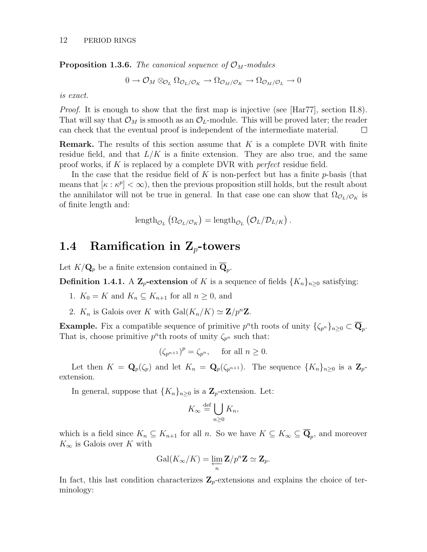**Proposition 1.3.6.** The canonical sequence of  $\mathcal{O}_M$ -modules

$$
0\to \mathcal{O}_M\otimes_{\mathcal{O}_L}\Omega_{\mathcal{O}_L/\mathcal{O}_K}\to \Omega_{\mathcal{O}_M/\mathcal{O}_K}\to \Omega_{\mathcal{O}_M/\mathcal{O}_L}\to 0
$$

is exact.

*Proof.* It is enough to show that the first map is injective (see  $\text{[Har77]}$ , section II.8). That will say that  $\mathcal{O}_M$  is smooth as an  $\mathcal{O}_L$ -module. This will be proved later; the reader can check that the eventual proof is independent of the intermediate material.  $\Box$ 

**Remark.** The results of this section assume that  $K$  is a complete DVR with finite residue field, and that  $L/K$  is a finite extension. They are also true, and the same proof works, if K is replaced by a complete DVR with *perfect* residue field.

In the case that the residue field of  $K$  is non-perfect but has a finite  $p$ -basis (that means that  $[\kappa : \kappa^p] < \infty$ , then the previous proposition still holds, but the result about the annihilator will not be true in general. In that case one can show that  $\Omega_{\mathcal{O}_L/\mathcal{O}_K}$  is of finite length and:

$$
\operatorname{length}_{\mathcal{O}_L} (\Omega_{\mathcal{O}_L/\mathcal{O}_K}) = \operatorname{length}_{\mathcal{O}_L} (\mathcal{O}_L/\mathcal{D}_{L/K}).
$$

## 1.4 Ramification in  $\mathbb{Z}_p$ -towers

Let  $K/\mathbf{Q}_p$  be a finite extension contained in  $\mathbf{Q}_p$ .

**Definition 1.4.1.** A  $\mathbf{Z}_p$ -extension of K is a sequence of fields  $\{K_n\}_{n\geq 0}$  satisfying:

1.  $K_0 = K$  and  $K_n \subseteq K_{n+1}$  for all  $n \geq 0$ , and

2.  $K_n$  is Galois over K with  $Gal(K_n/K) \simeq \mathbf{Z}/p^n\mathbf{Z}$ .

**Example.** Fix a compatible sequence of primitive  $p^n$ th roots of unity  $\{\zeta_{p^n}\}_{n\geq 0} \subset \overline{\mathbf{Q}}_p$ . That is, choose primitive  $p^n$ th roots of unity  $\zeta_{p^n}$  such that:

$$
(\zeta_{p^{n+1}})^p = \zeta_{p^n}, \quad \text{ for all } n \ge 0.
$$

Let then  $K = \mathbf{Q}_p(\zeta_p)$  and let  $K_n = \mathbf{Q}_p(\zeta_{p^{n+1}})$ . The sequence  $\{K_n\}_{n\geq 0}$  is a  $\mathbf{Z}_p$ extension.

In general, suppose that  $\{K_n\}_{n\geq 0}$  is a  $\mathbb{Z}_p$ -extension. Let:

$$
K_{\infty} \stackrel{\text{def}}{=} \bigcup_{n \geq 0} K_n,
$$

which is a field since  $K_n \subseteq K_{n+1}$  for all n. So we have  $K \subseteq K_\infty \subseteq \mathbf{Q}_p$ , and moreover  $K_{\infty}$  is Galois over K with

$$
Gal(K_{\infty}/K)=\varprojlim_{n}\mathbf{Z}/p^{n}\mathbf{Z}\simeq \mathbf{Z}_{p}.
$$

In fact, this last condition characterizes  $\mathbb{Z}_p$ -extensions and explains the choice of terminology: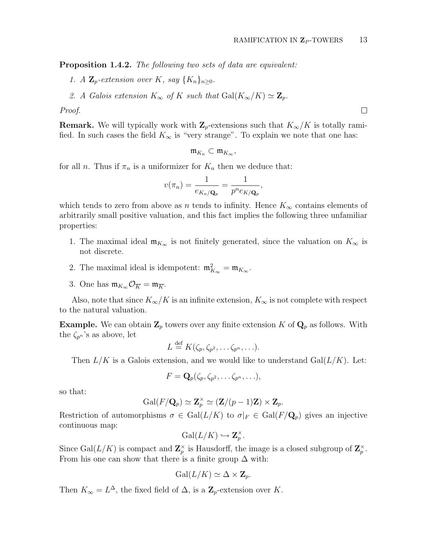$\Box$ 

Proposition 1.4.2. The following two sets of data are equivalent:

- 1. A  $\mathbf{Z}_p$ -extension over K, say  $\{K_n\}_{n\geq 0}$ .
- 2. A Galois extension  $K_{\infty}$  of K such that  $Gal(K_{\infty}/K) \simeq \mathbb{Z}_p$ .

#### Proof.

**Remark.** We will typically work with  $\mathbb{Z}_p$ -extensions such that  $K_\infty/K$  is totally ramified. In such cases the field  $K_{\infty}$  is "very strange". To explain we note that one has:

$$
\mathfrak{m}_{K_n}\subset \mathfrak{m}_{K_\infty},
$$

for all *n*. Thus if  $\pi_n$  is a uniformizer for  $K_n$  then we deduce that:

$$
v(\pi_n) = \frac{1}{e_{K_n/\mathbf{Q}_p}} = \frac{1}{p^n e_{K/\mathbf{Q}_p}},
$$

which tends to zero from above as n tends to infinity. Hence  $K_{\infty}$  contains elements of arbitrarily small positive valuation, and this fact implies the following three unfamiliar properties:

- 1. The maximal ideal  $\mathfrak{m}_{K_{\infty}}$  is not finitely generated, since the valuation on  $K_{\infty}$  is not discrete.
- 2. The maximal ideal is idempotent:  $\mathfrak{m}_{K_{\infty}}^2 = \mathfrak{m}_{K_{\infty}}$ .
- 3. One has  $\mathfrak{m}_{K_{\infty}}\mathcal{O}_{\overline{K}} = \mathfrak{m}_{\overline{K}}$ .

Also, note that since  $K_{\infty}/K$  is an infinite extension,  $K_{\infty}$  is not complete with respect to the natural valuation.

**Example.** We can obtain  $\mathbf{Z}_p$  towers over any finite extension K of  $\mathbf{Q}_p$  as follows. With the  $\zeta_{p^n}$ 's as above, let

$$
L \stackrel{\text{def}}{=} K(\zeta_p, \zeta_{p^2}, \ldots, \zeta_{p^n}, \ldots).
$$

Then  $L/K$  is a Galois extension, and we would like to understand  $Gal(L/K)$ . Let:

$$
F = \mathbf{Q}_p(\zeta_p, \zeta_{p^2}, \ldots \zeta_{p^n}, \ldots),
$$

so that:

$$
\mathrm{Gal}(F/\mathbf{Q}_p)\simeq \mathbf{Z}_p^{\times}\simeq (\mathbf{Z}/(p-1)\mathbf{Z})\times \mathbf{Z}_p.
$$

Restriction of automorphisms  $\sigma \in \text{Gal}(L/K)$  to  $\sigma|_F \in \text{Gal}(F/\mathbf{Q}_p)$  gives an injective continuous map:

$$
\operatorname{Gal}(L/K) \hookrightarrow \mathbf{Z}_p^{\times}.
$$

Since Gal $(L/K)$  is compact and  $\mathbb{Z}_p^{\times}$  is Hausdorff, the image is a closed subgroup of  $\mathbb{Z}_p^{\times}$ . From his one can show that there is a finite group  $\Delta$  with:

$$
Gal(L/K) \simeq \Delta \times \mathbf{Z}_p.
$$

Then  $K_{\infty} = L^{\Delta}$ , the fixed field of  $\Delta$ , is a  $\mathbb{Z}_p$ -extension over K.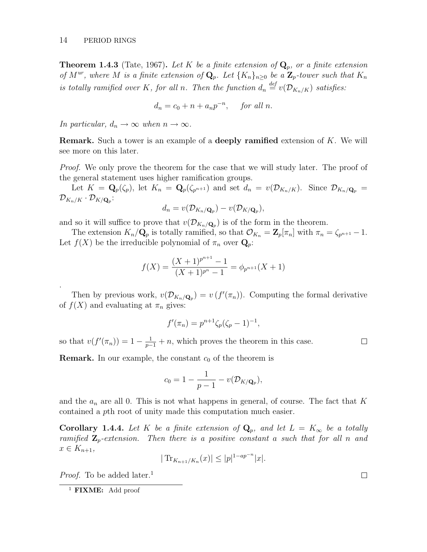**Theorem 1.4.3** (Tate, 1967). Let K be a finite extension of  $\mathbf{Q}_p$ , or a finite extension of  $M^{ur}$ , where M is a finite extension of  $\mathbf{Q}_p$ . Let  $\{K_n\}_{n\geq 0}$  be a  $\mathbf{Z}_p$ -tower such that  $K_n$ is totally ramified over K, for all n. Then the function  $d_n \stackrel{\text{def}}{=} v(\mathcal{D}_{K_n/K})$  satisfies:

$$
d_n = c_0 + n + a_n p^{-n}, \quad \text{for all } n.
$$

In particular,  $d_n \to \infty$  when  $n \to \infty$ .

Remark. Such a tower is an example of a deeply ramified extension of K. We will see more on this later.

*Proof.* We only prove the theorem for the case that we will study later. The proof of the general statement uses higher ramification groups.

Let  $K = \mathbf{Q}_p(\zeta_p)$ , let  $K_n = \mathbf{Q}_p(\zeta_{p^{n+1}})$  and set  $d_n = v(\mathcal{D}_{K_n/K})$ . Since  $\mathcal{D}_{K_n/\mathbf{Q}_p}$  $\mathcal{D}_{K_n/K} \cdot \mathcal{D}_{K/\mathbf{Q}_p}$ :

$$
d_n = v(\mathcal{D}_{K_n/\mathbf{Q}_p}) - v(\mathcal{D}_{K/\mathbf{Q}_p}),
$$

and so it will suffice to prove that  $v(\mathcal{D}_{K_n/\mathbf{Q}_p})$  is of the form in the theorem.

The extension  $K_n/\mathbf{Q}_p$  is totally ramified, so that  $\mathcal{O}_{K_n} = \mathbf{Z}_p[\pi_n]$  with  $\pi_n = \zeta_{p^{n+1}} - 1$ . Let  $f(X)$  be the irreducible polynomial of  $\pi_n$  over  $\mathbf{Q}_p$ :

$$
f(X) = \frac{(X+1)^{p^{n+1}} - 1}{(X+1)^{p^n} - 1} = \phi_{p^{n+1}}(X+1)
$$

Then by previous work,  $v(\mathcal{D}_{K_n/\mathbf{Q}_p}) = v(f'(\pi_n))$ . Computing the formal derivative of  $f(X)$  and evaluating at  $\pi_n$  gives:

$$
f'(\pi_n) = p^{n+1} \zeta_p (\zeta_p - 1)^{-1},
$$

so that  $v(f'(\pi_n)) = 1 - \frac{1}{p-1} + n$ , which proves the theorem in this case.

**Remark.** In our example, the constant  $c_0$  of the theorem is

$$
c_0 = 1 - \frac{1}{p-1} - v(\mathcal{D}_{K/\mathbf{Q}_p}),
$$

and the  $a_n$  are all 0. This is not what happens in general, of course. The fact that K contained a pth root of unity made this computation much easier.

**Corollary 1.4.4.** Let K be a finite extension of  $\mathbf{Q}_p$ , and let  $L = K_{\infty}$  be a totally ramified  $\mathbf{Z}_p$ -extension. Then there is a positive constant a such that for all n and  $x \in K_{n+1}$ ,

$$
|\text{Tr}_{K_{n+1}/K_n}(x)| \le |p|^{1-ap^{-n}}|x|.
$$

*Proof.* To be added later.<sup>1</sup>

.

 $\Box$ 

 $\Box$ 

<sup>&</sup>lt;sup>1</sup> FIXME: Add proof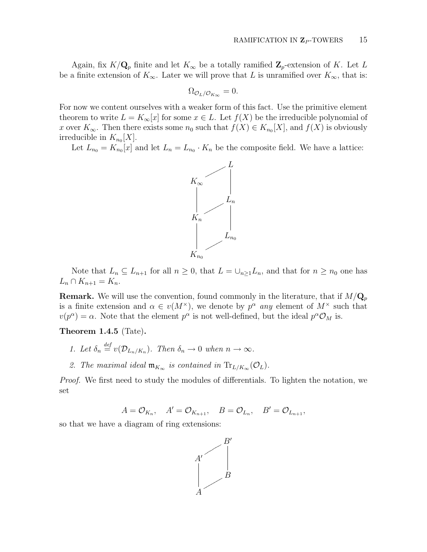Again, fix  $K/\mathbf{Q}_p$  finite and let  $K_\infty$  be a totally ramified  $\mathbf{Z}_p$ -extension of K. Let L be a finite extension of  $K_{\infty}$ . Later we will prove that L is unramified over  $K_{\infty}$ , that is:

$$
\Omega_{\mathcal{O}_L/\mathcal{O}_{K_\infty}}=0.
$$

For now we content ourselves with a weaker form of this fact. Use the primitive element theorem to write  $L = K_{\infty}[x]$  for some  $x \in L$ . Let  $f(X)$  be the irreducible polynomial of x over  $K_{\infty}$ . Then there exists some  $n_0$  such that  $f(X) \in K_{n_0}[X]$ , and  $f(X)$  is obviously irreducible in  $K_{n_0}[X]$ .

Let  $L_{n_0} = K_{n_0}[x]$  and let  $L_n = L_{n_0} \cdot K_n$  be the composite field. We have a lattice:



Note that  $L_n \subseteq L_{n+1}$  for all  $n \geq 0$ , that  $L = \bigcup_{n \geq 1} L_n$ , and that for  $n \geq n_0$  one has  $L_n \cap K_{n+1} = K_n$ .

**Remark.** We will use the convention, found commonly in the literature, that if  $M/Q_p$ is a finite extension and  $\alpha \in v(M^{\times})$ , we denote by  $p^{\alpha}$  any element of  $M^{\times}$  such that  $v(p^{\alpha}) = \alpha$ . Note that the element  $p^{\alpha}$  is not well-defined, but the ideal  $p^{\alpha} \mathcal{O}_M$  is.

Theorem 1.4.5 (Tate).

- 1. Let  $\delta_n \stackrel{\text{def}}{=} v(\mathcal{D}_{L_n/K_n})$ . Then  $\delta_n \to 0$  when  $n \to \infty$ .
- 2. The maximal ideal  $\mathfrak{m}_{K_{\infty}}$  is contained in  $\text{Tr}_{L/K_{\infty}}(\mathcal{O}_L)$ .

*Proof.* We first need to study the modules of differentials. To lighten the notation, we set

$$
A = \mathcal{O}_{K_n}, \quad A' = \mathcal{O}_{K_{n+1}}, \quad B = \mathcal{O}_{L_n}, \quad B' = \mathcal{O}_{L_{n+1}},
$$

so that we have a diagram of ring extensions:

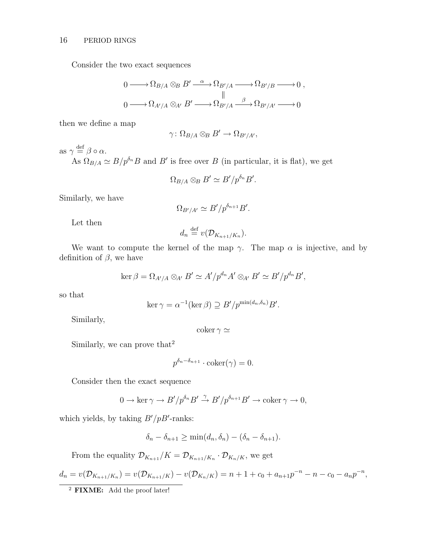Consider the two exact sequences

$$
0 \longrightarrow \Omega_{B/A} \otimes_B B' \longrightarrow \Omega_{B'/A} \longrightarrow \Omega_{B'/B} \longrightarrow 0,
$$
  
\n
$$
0 \longrightarrow \Omega_{A'/A} \otimes_{A'} B' \longrightarrow \Omega_{B'/A} \longrightarrow \Omega_{B'/A'} \longrightarrow 0
$$

then we define a map

$$
\gamma\colon \Omega_{B/A}\otimes_B B'\to \Omega_{B'/A'},
$$

as  $\gamma \stackrel{\text{def}}{=} \beta \circ \alpha$ . As  $\Omega_{B/A} \simeq B/p^{\delta_n}B$  and B' is free over B (in particular, it is flat), we get

$$
\Omega_{B/A}\otimes_B B'\simeq B'/p^{\delta_n}B'.
$$

Similarly, we have

$$
\Omega_{B'/A'} \simeq B'/p^{\delta_{n+1}}B'.
$$

Let then

$$
d_n \stackrel{\text{def}}{=} v(\mathcal{D}_{K_{n+1}/K_n}).
$$

We want to compute the kernel of the map  $\gamma$ . The map  $\alpha$  is injective, and by definition of  $\beta$ , we have

$$
\ker \beta = \Omega_{A'/A} \otimes_{A'} B' \simeq A'/p^{d_n} A' \otimes_{A'} B' \simeq B'/p^{d_n} B',
$$

so that

$$
\ker \gamma = \alpha^{-1}(\ker \beta) \supseteq B'/p^{\min(d_n, \delta_n)}B'.
$$

Similarly,

$$
\text{coker}\,\gamma \simeq
$$

Similarly, we can prove that<sup>2</sup>

$$
p^{\delta_n - \delta_{n+1}} \cdot \mathrm{coker}(\gamma) = 0.
$$

Consider then the exact sequence

$$
0 \to \ker \gamma \to B'/p^{\delta_n}B' \stackrel{\gamma}{\to} B'/p^{\delta_{n+1}}B' \to \operatorname{coker} \gamma \to 0,
$$

which yields, by taking  $B'/pB'$ -ranks:

$$
\delta_n - \delta_{n+1} \ge \min(d_n, \delta_n) - (\delta_n - \delta_{n+1}).
$$

From the equality  $\mathcal{D}_{K_{n+1}}/K = \mathcal{D}_{K_{n+1}/K_n} \cdot \mathcal{D}_{K_n/K}$ , we get

$$
d_n = v(\mathcal{D}_{K_{n+1}/K_n}) = v(\mathcal{D}_{K_{n+1}/K}) - v(\mathcal{D}_{K_n/K}) = n+1+c_0+a_{n+1}p^{-n} - n - c_0 - a_n p^{-n},
$$

<sup>2</sup> FIXME: Add the proof later!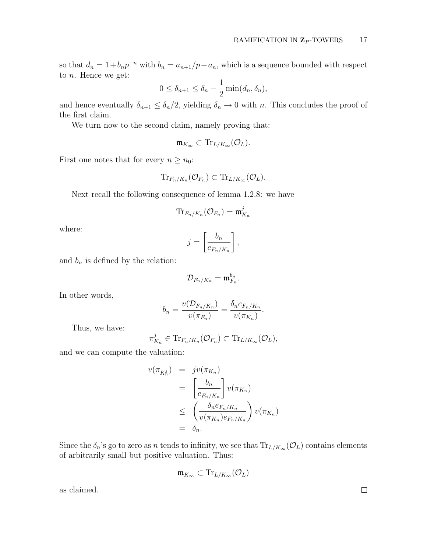so that  $d_n = 1 + b_n p^{-n}$  with  $b_n = a_{n+1}/p - a_n$ , which is a sequence bounded with respect to  $n$ . Hence we get:

$$
0 \le \delta_{n+1} \le \delta_n - \frac{1}{2} \min(d_n, \delta_n),
$$

and hence eventually  $\delta_{n+1} \leq \delta_n/2$ , yielding  $\delta_n \to 0$  with n. This concludes the proof of the first claim.

We turn now to the second claim, namely proving that:

$$
\mathfrak{m}_{K_{\infty}} \subset \mathrm{Tr}_{L/K_{\infty}}(\mathcal{O}_L).
$$

First one notes that for every  $n \geq n_0$ :

$$
\mathrm{Tr}_{F_n/K_n}(\mathcal{O}_{F_n}) \subset \mathrm{Tr}_{L/K_\infty}(\mathcal{O}_L).
$$

Next recall the following consequence of lemma 1.2.8: we have

$$
\text{Tr}_{F_n/K_n}(\mathcal{O}_{F_n})=\mathfrak{m}_{K_n}^j
$$

where:

$$
j=\left[\frac{b_n}{e_{F_n/K_n}}\right],
$$

and  $b_n$  is defined by the relation:

$$
\mathcal{D}_{F_n/K_n}=\mathfrak{m}_{F_n}^{b_n}.
$$

In other words,

$$
b_n = \frac{v(\mathcal{D}_{F_n/K_n})}{v(\pi_{F_n})} = \frac{\delta_n e_{F_n/K_n}}{v(\pi_{K_n})}.
$$

Thus, we have:

$$
\pi_{K_n}^j \in \mathrm{Tr}_{F_n/K_n}(\mathcal{O}_{F_n}) \subset \mathrm{Tr}_{L/K_\infty}(\mathcal{O}_L),
$$

and we can compute the valuation:

$$
v(\pi_{K_n^j}) = jv(\pi_{K_n})
$$
  
=  $\left[\frac{b_n}{e_{F_n/K_n}}\right]v(\pi_{K_n})$   

$$
\leq \left(\frac{\delta_n e_{F_n/K_n}}{v(\pi_{K_n})e_{F_n/K_n}}\right)v(\pi_{K_n})
$$
  
=  $\delta_n$ .

Since the  $\delta_n$ 's go to zero as n tends to infinity, we see that  $\text{Tr}_{L/K_\infty}(\mathcal{O}_L)$  contains elements of arbitrarily small but positive valuation. Thus:

$$
\mathfrak{m}_{K_{\infty}} \subset \text{Tr}_{L/K_{\infty}}(\mathcal{O}_L)
$$

as claimed.

 $\Box$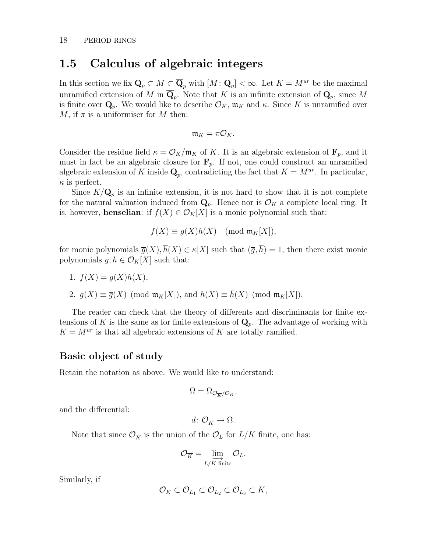### 1.5 Calculus of algebraic integers

In this section we fix  $\mathbf{Q}_p \subset M \subset \overline{\mathbf{Q}}_p$  with  $[M : \mathbf{Q}_p] < \infty$ . Let  $K = M^{ur}$  be the maximal unramified extension of M in  $\mathbf{Q}_p$ . Note that K is an infinite extension of  $\mathbf{Q}_p$ , since M is finite over  $\mathbf{Q}_p$ . We would like to describe  $\mathcal{O}_K$ ,  $\mathfrak{m}_K$  and  $\kappa$ . Since K is unramified over M, if  $\pi$  is a uniformiser for M then:

$$
\mathfrak{m}_K = \pi \mathcal{O}_K.
$$

Consider the residue field  $\kappa = \mathcal{O}_K/\mathfrak{m}_K$  of K. It is an algebraic extension of  $\mathbf{F}_p$ , and it must in fact be an algebraic closure for  $\mathbf{F}_p$ . If not, one could construct an unramified algebraic extension of K inside  $\overline{\mathbf{Q}}_p$ , contradicting the fact that  $K = M^{ur}$ . In particular,  $\kappa$  is perfect.

Since  $K/\mathbf{Q}_p$  is an infinite extension, it is not hard to show that it is not complete for the natural valuation induced from  $\mathbf{Q}_p$ . Hence nor is  $\mathcal{O}_K$  a complete local ring. It is, however, **henselian**: if  $f(X) \in \mathcal{O}_K[X]$  is a monic polynomial such that:

$$
f(X) \equiv \overline{g}(X)\overline{h}(X) \pmod{\mathfrak{m}_K[X]},
$$

for monic polynomials  $\overline{g}(X), \overline{h}(X) \in \kappa[X]$  such that  $(\overline{g}, \overline{h}) = 1$ , then there exist monic polynomials  $g, h \in \mathcal{O}_K[X]$  such that:

1.  $f(X) = q(X)h(X)$ ,

2. 
$$
g(X) \equiv \overline{g}(X) \pmod{\mathfrak{m}_K[X]}
$$
, and  $h(X) \equiv \overline{h}(X) \pmod{\mathfrak{m}_K[X]}$ .

The reader can check that the theory of differents and discriminants for finite extensions of K is the same as for finite extensions of  $\mathbf{Q}_p$ . The advantage of working with  $K = M^{ur}$  is that all algebraic extensions of K are totally ramified.

### Basic object of study

Retain the notation as above. We would like to understand:

$$
\Omega = \Omega_{\mathcal{O}_{\overline{K}}/\mathcal{O}_K},
$$

and the differential:

$$
d\colon \mathcal{O}_{\overline{K}}\to \Omega.
$$

Note that since  $\mathcal{O}_{\overline{K}}$  is the union of the  $\mathcal{O}_L$  for  $L/K$  finite, one has:

$$
\mathcal{O}_{\overline{K}} = \varinjlim_{L/K \text{ finite}} \mathcal{O}_L.
$$

Similarly, if

$$
\mathcal{O}_K \subset \mathcal{O}_{L_1} \subset \mathcal{O}_{L_2} \subset \mathcal{O}_{L_3} \subset \overline{K},
$$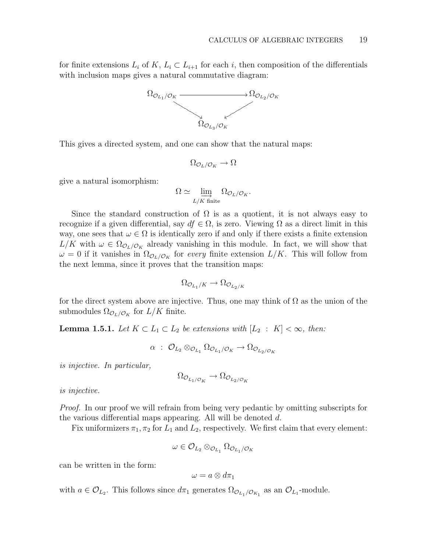for finite extensions  $L_i$  of  $K$ ,  $L_i \subset L_{i+1}$  for each i, then composition of the differentials with inclusion maps gives a natural commutative diagram:



This gives a directed system, and one can show that the natural maps:

$$
\Omega_{\mathcal{O}_L/\mathcal{O}_K} \to \Omega
$$

give a natural isomorphism:

$$
\Omega \simeq \varinjlim_{L/K \text{ finite}} \Omega_{\mathcal{O}_L/\mathcal{O}_K}.
$$

Since the standard construction of  $\Omega$  is as a quotient, it is not always easy to recognize if a given differential, say  $df \in \Omega$ , is zero. Viewing  $\Omega$  as a direct limit in this way, one sees that  $\omega \in \Omega$  is identically zero if and only if there exists a finite extension  $L/K$  with  $\omega \in \Omega_{\mathcal{O}_L/\mathcal{O}_K}$  already vanishing in this module. In fact, we will show that  $\omega = 0$  if it vanishes in  $\Omega_{\mathcal{O}_L/\mathcal{O}_K}$  for every finite extension  $L/K$ . This will follow from the next lemma, since it proves that the transition maps:

$$
\Omega_{\mathcal{O}_{L_1}/K} \to \Omega_{\mathcal{O}_{L_2/K}}
$$

for the direct system above are injective. Thus, one may think of  $\Omega$  as the union of the submodules  $\Omega_{\mathcal{O}_L/\mathcal{O}_K}$  for  $L/K$  finite.

**Lemma 1.5.1.** Let  $K \subset L_1 \subset L_2$  be extensions with  $[L_2 : K] < \infty$ , then:

$$
\alpha \; : \; \mathcal{O}_{L_2} \otimes_{\mathcal{O}_{L_1}} \Omega_{\mathcal{O}_{L_1}/\mathcal{O}_K} \to \Omega_{\mathcal{O}_{L_2/\mathcal{O}_K}}
$$

is injective. In particular,

$$
\Omega_{\mathcal{O}_{L_1/\mathcal{O}_K}} \to \Omega_{\mathcal{O}_{L_2/\mathcal{O}_K}}
$$

is injective.

*Proof.* In our proof we will refrain from being very pedantic by omitting subscripts for the various differential maps appearing. All will be denoted d.

Fix uniformizers  $\pi_1, \pi_2$  for  $L_1$  and  $L_2$ , respectively. We first claim that every element:

$$
\omega\in \mathcal{O}_{L_2}\otimes_{\mathcal{O}_{L_1}}\Omega_{\mathcal{O}_{L_1}/\mathcal{O}_K}
$$

can be written in the form:

$$
\omega = a \otimes d\pi_1
$$

with  $a \in \mathcal{O}_{L_2}$ . This follows since  $d\pi_1$  generates  $\Omega_{\mathcal{O}_{L_1}/\mathcal{O}_{K_1}}$  as an  $\mathcal{O}_{L_1}$ -module.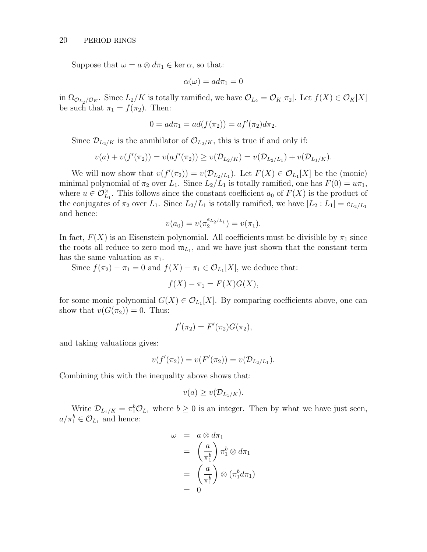Suppose that  $\omega = a \otimes d\pi_1 \in \ker \alpha$ , so that:

$$
\alpha(\omega) = ad\pi_1 = 0
$$

in  $\Omega_{\mathcal{O}_{L_2}/\mathcal{O}_K}$ . Since  $L_2/K$  is totally ramified, we have  $\mathcal{O}_{L_2} = \mathcal{O}_K[\pi_2]$ . Let  $f(X) \in \mathcal{O}_K[X]$ be such that  $\pi_1 = f(\pi_2)$ . Then:

$$
0 = ad\pi_1 = ad(f(\pi_2)) = af'(\pi_2)d\pi_2.
$$

Since  $\mathcal{D}_{L_2/K}$  is the annihilator of  $\mathcal{O}_{L_2/K}$ , this is true if and only if:

$$
v(a) + v(f'(\pi_2)) = v(af'(\pi_2)) \ge v(\mathcal{D}_{L_2/K}) = v(\mathcal{D}_{L_2/L_1}) + v(\mathcal{D}_{L_1/K}).
$$

We will now show that  $v(f'(\pi_2)) = v(\mathcal{D}_{L_2/L_1})$ . Let  $F(X) \in \mathcal{O}_{L_1}[X]$  be the (monic) minimal polynomial of  $\pi_2$  over  $L_1$ . Since  $L_2/L_1$  is totally ramified, one has  $F(0) = u\pi_1$ , where  $u \in \mathcal{O}_{L_1}^{\times}$ . This follows since the constant coefficient  $a_0$  of  $F(X)$  is the product of the conjugates of  $\pi_2$  over  $L_1$ . Since  $L_2/L_1$  is totally ramified, we have  $[L_2: L_1] = e_{L_2/L_1}$ and hence:

$$
v(a_0) = v(\pi_2^{e_{L_2/L_1}}) = v(\pi_1).
$$

In fact,  $F(X)$  is an Eisenstein polynomial. All coefficients must be divisible by  $\pi_1$  since the roots all reduce to zero mod  $\mathfrak{m}_{L_1}$ , and we have just shown that the constant term has the same valuation as  $\pi_1$ .

Since  $f(\pi_2) - \pi_1 = 0$  and  $f(X) - \pi_1 \in \mathcal{O}_{L_1}[X]$ , we deduce that:

$$
f(X) - \pi_1 = F(X)G(X),
$$

for some monic polynomial  $G(X) \in \mathcal{O}_{L_1}[X]$ . By comparing coefficients above, one can show that  $v(G(\pi_2)) = 0$ . Thus:

$$
f'(\pi_2) = F'(\pi_2)G(\pi_2),
$$

and taking valuations gives:

$$
v(f'(\pi_2)) = v(F'(\pi_2)) = v(\mathcal{D}_{L_2/L_1}).
$$

Combining this with the inequality above shows that:

$$
v(a) \ge v(\mathcal{D}_{L_1/K}).
$$

Write  $\mathcal{D}_{L_1/K} = \pi_1^b \mathcal{O}_{L_1}$  where  $b \geq 0$  is an integer. Then by what we have just seen,  $a/\pi_1^b \in \mathcal{O}_{L_1}$  and hence:

$$
\omega = a \otimes d\pi_1
$$
  
=  $\left(\frac{a}{\pi_1^b}\right) \pi_1^b \otimes d\pi_1$   
=  $\left(\frac{a}{\pi_1^b}\right) \otimes (\pi_1^b d\pi_1)$   
= 0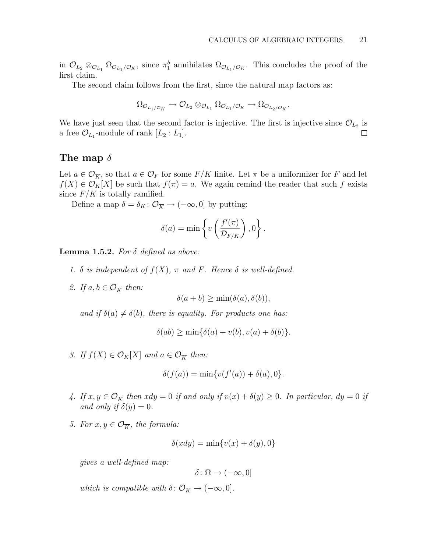in  $\mathcal{O}_{L_2} \otimes_{\mathcal{O}_{L_1}} \Omega_{\mathcal{O}_{L_1}/\mathcal{O}_K}$ , since  $\pi_1^b$  annihilates  $\Omega_{\mathcal{O}_{L_1}/\mathcal{O}_K}$ . This concludes the proof of the first claim.

The second claim follows from the first, since the natural map factors as:

$$
\Omega_{\mathcal{O}_{L_1/\mathcal{O}_K}} \to \mathcal{O}_{L_2} \otimes_{\mathcal{O}_{L_1}} \Omega_{\mathcal{O}_{L_1}/\mathcal{O}_K} \to \Omega_{\mathcal{O}_{L_2/\mathcal{O}_K}}.
$$

We have just seen that the second factor is injective. The first is injective since  $\mathcal{O}_{L_2}$  is a free  $\mathcal{O}_{L_1}$ -module of rank  $[L_2: L_1]$ . П

### The map  $\delta$

Let  $a \in \mathcal{O}_{\overline{K}}$ , so that  $a \in \mathcal{O}_F$  for some  $F/K$  finite. Let  $\pi$  be a uniformizer for F and let  $f(X) \in \mathcal{O}_K[X]$  be such that  $f(\pi) = a$ . We again remind the reader that such f exists since  $F/K$  is totally ramified.

Define a map  $\delta = \delta_K : \mathcal{O}_{\overline{K}} \to (-\infty, 0]$  by putting:

$$
\delta(a) = \min \left\{ v \left( \frac{f'(\pi)}{\mathcal{D}_{F/K}} \right), 0 \right\}.
$$

**Lemma 1.5.2.** For  $\delta$  defined as above:

- 1. δ is independent of  $f(X)$ ,  $\pi$  and F. Hence  $\delta$  is well-defined.
- 2. If  $a, b \in \mathcal{O}_{\overline{K}}$  then:

$$
\delta(a+b) \ge \min(\delta(a), \delta(b)),
$$

and if  $\delta(a) \neq \delta(b)$ , there is equality. For products one has:

 $\delta(ab) > \min{\delta(a) + v(b), v(a) + \delta(b)}.$ 

3. If  $f(X) \in \mathcal{O}_K[X]$  and  $a \in \mathcal{O}_{\overline{K}}$  then:

$$
\delta(f(a)) = \min\{v(f'(a)) + \delta(a), 0\}.
$$

- 4. If  $x, y \in \mathcal{O}_{\overline{K}}$  then  $xdy = 0$  if and only if  $v(x) + \delta(y) \geq 0$ . In particular,  $dy = 0$  if and only if  $\delta(y) = 0$ .
- 5. For  $x, y \in \mathcal{O}_{\overline{K}}$ , the formula:

$$
\delta(xdy) = \min\{v(x) + \delta(y), 0\}
$$

gives a well-defined map:

$$
\delta \colon \Omega \to (-\infty, 0]
$$

which is compatible with  $\delta: \mathcal{O}_{\overline{K}} \to (-\infty, 0].$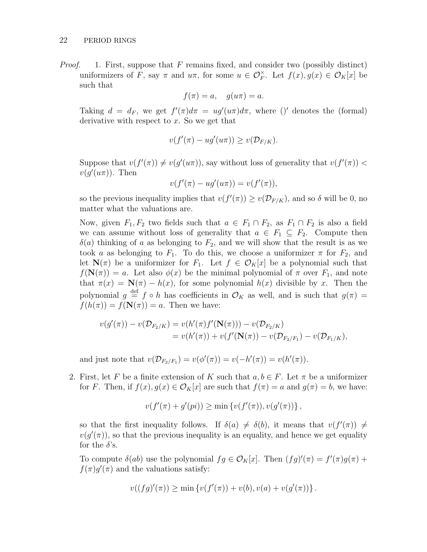*Proof.* 1. First, suppose that  $F$  remains fixed, and consider two (possibly distinct) uniformizers of F, say  $\pi$  and  $u\pi$ , for some  $u \in \mathcal{O}_F^{\times}$ . Let  $f(x), g(x) \in \mathcal{O}_K[x]$  be such that

$$
f(\pi) = a, \quad g(u\pi) = a.
$$

Taking  $d = d_F$ , we get  $f'(\pi)d\pi = ug'(u\pi)d\pi$ , where ()' denotes the (formal) derivative with respect to  $x$ . So we get that

$$
v(f'(\pi) - ug'(u\pi)) \ge v(\mathcal{D}_{F/K}).
$$

Suppose that  $v(f'(\pi)) \neq v(g'(u\pi))$ , say without loss of generality that  $v(f'(\pi))$  $v(g'(u\pi))$ . Then

$$
v(f'(\pi) - ug'(u\pi)) = v(f'(\pi)),
$$

so the previous inequality implies that  $v(f'(\pi)) \ge v(\mathcal{D}_{F/K})$ , and so  $\delta$  will be 0, no matter what the valuations are.

Now, given  $F_1, F_2$  two fields such that  $a \in F_1 \cap F_2$ , as  $F_1 \cap F_2$  is also a field we can assume without loss of generality that  $a \in F_1 \subseteq F_2$ . Compute then  $\delta(a)$  thinking of a as belonging to  $F_2$ , and we will show that the result is as we took a as belonging to  $F_1$ . To do this, we choose a uniformizer  $\pi$  for  $F_2$ , and let  $\mathbf{N}(\pi)$  be a uniformizer for  $F_1$ . Let  $f \in \mathcal{O}_K[x]$  be a polynomial such that  $f(\mathbf{N}(\pi)) = a$ . Let also  $\phi(x)$  be the minimal polynomial of  $\pi$  over  $F_1$ , and note that  $\pi(x) = \mathbf{N}(\pi) - h(x)$ , for some polynomial  $h(x)$  divisible by x. Then the polynomial  $g \stackrel{\text{def}}{=} f \circ h$  has coefficients in  $\mathcal{O}_K$  as well, and is such that  $g(\pi) =$  $f(h(\pi)) = f(\mathbf{N}(\pi)) = a$ . Then we have:

$$
v(g'(\pi)) - v(\mathcal{D}_{F_2/K}) = v(h'(\pi)f'(\mathbf{N}(\pi))) - v(\mathcal{D}_{F_2/K})
$$
  
= 
$$
v(h'(\pi)) + v(f'(\mathbf{N}(\pi)) - v(\mathcal{D}_{F_2/F_1}) - v(\mathcal{D}_{F_1/K}),
$$

and just note that  $v(\mathcal{D}_{F_2/F_1}) = v(\phi'(\pi)) = v(-h'(\pi)) = v(h'(\pi)).$ 

2. First, let F be a finite extension of K such that  $a, b \in F$ . Let  $\pi$  be a uniformizer for F. Then, if  $f(x), g(x) \in \mathcal{O}_K[x]$  are such that  $f(\pi) = a$  and  $g(\pi) = b$ , we have:

$$
v(f'(\pi) + g'(pi)) \ge \min \{v(f'(\pi)), v(g'(\pi))\},\
$$

so that the first inequality follows. If  $\delta(a) \neq \delta(b)$ , it means that  $v(f'(\pi)) \neq$  $v(g'(\pi))$ , so that the previous inequality is an equality, and hence we get equality for the  $\delta$ 's.

To compute  $\delta(ab)$  use the polynomial  $fg \in \mathcal{O}_K[x]$ . Then  $(fg)'(\pi) = f'(\pi)g(\pi)$  +  $f(\pi)g'(\pi)$  and the valuations satisfy:

$$
v((fg)'(\pi)) \ge \min \{v(f'(\pi)) + v(b), v(a) + v(g'(\pi))\}.
$$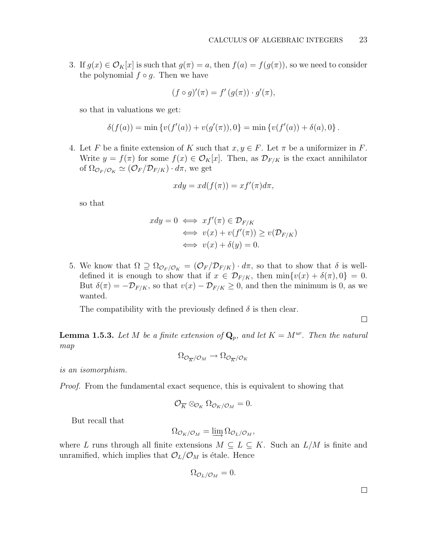3. If  $g(x) \in \mathcal{O}_K[x]$  is such that  $g(\pi) = a$ , then  $f(a) = f(g(\pi))$ , so we need to consider the polynomial  $f \circ g$ . Then we have

$$
(f \circ g)'(\pi) = f'(g(\pi)) \cdot g'(\pi),
$$

so that in valuations we get:

$$
\delta(f(a)) = \min \{ v(f'(a)) + v(g'(\pi)), 0 \} = \min \{ v(f'(a)) + \delta(a), 0 \} .
$$

4. Let F be a finite extension of K such that  $x, y \in F$ . Let  $\pi$  be a uniformizer in F. Write  $y = f(\pi)$  for some  $f(x) \in \mathcal{O}_K[x]$ . Then, as  $\mathcal{D}_{F/K}$  is the exact annihilator of  $\Omega_{\mathcal{O}_F/\mathcal{O}_K} \simeq (\mathcal{O}_F/\mathcal{D}_{F/K}) \cdot d\pi$ , we get

$$
xdy = xd(f(\pi)) = xf'(\pi)d\pi,
$$

so that

$$
xdy = 0 \iff xf'(\pi) \in \mathcal{D}_{F/K}
$$
  

$$
\iff v(x) + v(f'(\pi)) \ge v(\mathcal{D}_{F/K})
$$
  

$$
\iff v(x) + \delta(y) = 0.
$$

5. We know that  $\Omega \supseteq \Omega_{\mathcal{O}_F/\mathcal{O}_K} = (\mathcal{O}_F/\mathcal{D}_{F/K}) \cdot d\pi$ , so that to show that  $\delta$  is welldefined it is enough to show that if  $x \in \mathcal{D}_{F/K}$ , then  $\min\{v(x) + \delta(\pi), 0\} = 0$ . But  $\delta(\pi) = -\mathcal{D}_{F/K}$ , so that  $v(x) - \mathcal{D}_{F/K} \geq 0$ , and then the minimum is 0, as we wanted.

The compatibility with the previously defined  $\delta$  is then clear.

**Lemma 1.5.3.** Let M be a finite extension of  $\mathbf{Q}_p$ , and let  $K = M^{ur}$ . Then the natural map

$$
\Omega_{\mathcal{O}_{\overline{K}}/\mathcal{O}_M} \to \Omega_{\mathcal{O}_{\overline{K}}/\mathcal{O}_K}
$$

is an isomorphism.

Proof. From the fundamental exact sequence, this is equivalent to showing that

$$
\mathcal{O}_{\overline{K}} \otimes_{\mathcal{O}_K} \Omega_{\mathcal{O}_K/\mathcal{O}_M} = 0.
$$

But recall that

$$
\Omega_{\mathcal{O}_K/\mathcal{O}_M} = \varinjlim \Omega_{\mathcal{O}_L/\mathcal{O}_M},
$$

where L runs through all finite extensions  $M \subseteq L \subseteq K$ . Such an  $L/M$  is finite and unramified, which implies that  $\mathcal{O}_L/\mathcal{O}_M$  is étale. Hence

$$
\Omega_{\mathcal{O}_L/\mathcal{O}_M}=0.
$$

 $\Box$ 

 $\Box$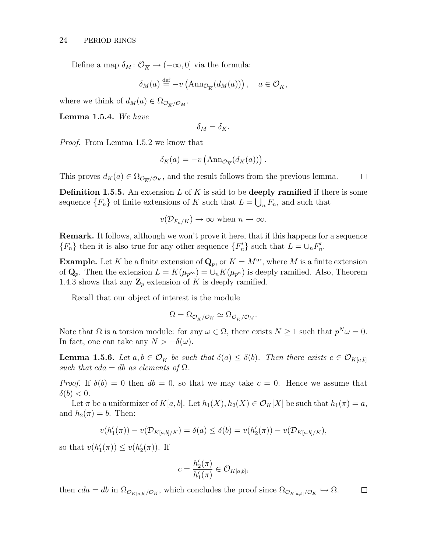Define a map  $\delta_M : \mathcal{O}_{\overline{K}} \to (-\infty, 0]$  via the formula:

$$
\delta_M(a) \stackrel{\text{def}}{=} -v\left(\text{Ann}_{\mathcal{O}_{\overline{K}}}(d_M(a))\right), \quad a \in \mathcal{O}_{\overline{K}},
$$

where we think of  $d_M(a) \in \Omega_{\mathcal{O}_{\overline{K}}/\mathcal{O}_M}$ .

Lemma 1.5.4. We have

$$
\delta_M = \delta_K.
$$

Proof. From Lemma 1.5.2 we know that

$$
\delta_K(a) = -v \left( \text{Ann}_{\mathcal{O}_{\overline{K}}}(d_K(a)) \right).
$$

This proves  $d_K(a) \in \Omega_{\mathcal{O}_{\overline{K}}/\mathcal{O}_K}$ , and the result follows from the previous lemma.  $\Box$ 

**Definition 1.5.5.** An extension  $L$  of  $K$  is said to be **deeply ramified** if there is some sequence  $\{F_n\}$  of finite extensions of K such that  $L = \bigcup_n F_n$ , and such that

$$
v(\mathcal{D}_{F_n/K}) \to \infty
$$
 when  $n \to \infty$ .

Remark. It follows, although we won't prove it here, that if this happens for a sequence  ${F_n}$  then it is also true for any other sequence  ${F_n'}$  such that  $L = \bigcup_n F_n'$ .

**Example.** Let K be a finite extension of  $\mathbf{Q}_p$ , or  $K = M^{\text{ur}}$ , where M is a finite extension of  $\mathbf{Q}_p$ . Then the extension  $L = K(\mu_{p^{\infty}}) = \cup_n K(\mu_{p^n})$  is deeply ramified. Also, Theorem 1.4.3 shows that any  $\mathbb{Z}_p$  extension of K is deeply ramified.

Recall that our object of interest is the module

$$
\Omega = \Omega_{\mathcal{O}_{\overline{K}}/\mathcal{O}_K} \simeq \Omega_{\mathcal{O}_{\overline{K}}/\mathcal{O}_M}.
$$

Note that  $\Omega$  is a torsion module: for any  $\omega \in \Omega$ , there exists  $N \geq 1$  such that  $p^N \omega = 0$ . In fact, one can take any  $N > -\delta(\omega)$ .

**Lemma 1.5.6.** Let  $a, b \in \mathcal{O}_{\overline{K}}$  be such that  $\delta(a) \leq \delta(b)$ . Then there exists  $c \in \mathcal{O}_{K[a,b]}$ such that  $cda = db$  as elements of  $\Omega$ .

*Proof.* If  $\delta(b) = 0$  then  $db = 0$ , so that we may take  $c = 0$ . Hence we assume that  $\delta(b) < 0.$ 

Let  $\pi$  be a uniformizer of  $K[a, b]$ . Let  $h_1(X), h_2(X) \in \mathcal{O}_K[X]$  be such that  $h_1(\pi) = a$ , and  $h_2(\pi) = b$ . Then:

$$
v(h'_{1}(\pi)) - v(\mathcal{D}_{K[a,b]/K}) = \delta(a) \leq \delta(b) = v(h'_{2}(\pi)) - v(\mathcal{D}_{K[a,b]/K}),
$$

so that  $v(h'_1(\pi)) \leq v(h'_2(\pi))$ . If

$$
c=\frac{h'_2(\pi)}{h'_1(\pi)}\in \mathcal{O}_{K[a,b]},
$$

then  $cda = db$  in  $\Omega_{\mathcal{O}_{K[a,b]}/\mathcal{O}_K}$ , which concludes the proof since  $\Omega_{\mathcal{O}_{K[a,b]}/\mathcal{O}_K} \hookrightarrow \Omega$ .  $\Box$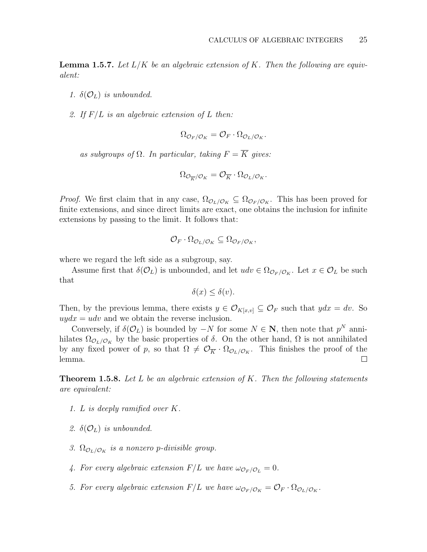**Lemma 1.5.7.** Let  $L/K$  be an algebraic extension of K. Then the following are equivalent:

- 1.  $\delta(\mathcal{O}_L)$  is unbounded.
- 2. If  $F/L$  is an algebraic extension of L then:

$$
\Omega_{\mathcal{O}_F/\mathcal{O}_K}=\mathcal{O}_F\cdot\Omega_{\mathcal{O}_L/\mathcal{O}_K}.
$$

as subgroups of  $\Omega$ . In particular, taking  $F = \overline{K}$  gives:

$$
\Omega_{\mathcal{O}_{\overline{K}}/\mathcal{O}_K}=\mathcal{O}_{\overline{K}}\cdot \Omega_{\mathcal{O}_L/\mathcal{O}_K}.
$$

*Proof.* We first claim that in any case,  $\Omega_{\mathcal{O}_L/\mathcal{O}_K} \subseteq \Omega_{\mathcal{O}_F/\mathcal{O}_K}$ . This has been proved for finite extensions, and since direct limits are exact, one obtains the inclusion for infinite extensions by passing to the limit. It follows that:

$$
\mathcal{O}_F\cdot \Omega_{\mathcal{O}_L/\mathcal{O}_K}\subseteq \Omega_{\mathcal{O}_F/\mathcal{O}_K},
$$

where we regard the left side as a subgroup, say.

Assume first that  $\delta(\mathcal{O}_L)$  is unbounded, and let  $udv \in \Omega_{\mathcal{O}_F/\mathcal{O}_K}$ . Let  $x \in \mathcal{O}_L$  be such that

$$
\delta(x) \le \delta(v).
$$

Then, by the previous lemma, there exists  $y \in \mathcal{O}_{K[x,v]} \subseteq \mathcal{O}_F$  such that  $ydx = dv$ . So  $uydx = u dv$  and we obtain the reverse inclusion.

Conversely, if  $\delta(\mathcal{O}_L)$  is bounded by  $-N$  for some  $N \in \mathbb{N}$ , then note that  $p^N$  annihilates  $\Omega_{\mathcal{O}_L/\mathcal{O}_K}$  by the basic properties of  $\delta$ . On the other hand,  $\Omega$  is not annihilated by any fixed power of p, so that  $\Omega \neq \mathcal{O}_{\overline{K}} \cdot \Omega_{\mathcal{O}_L/\mathcal{O}_K}$ . This finishes the proof of the lemma.  $\Box$ 

**Theorem 1.5.8.** Let L be an algebraic extension of K. Then the following statements are equivalent:

- 1. L is deeply ramified over K.
- 2.  $\delta(\mathcal{O}_L)$  is unbounded.
- 3.  $\Omega_{\mathcal{O}_L/\mathcal{O}_K}$  is a nonzero p-divisible group.
- 4. For every algebraic extension  $F/L$  we have  $\omega_{\mathcal{O}_F/\mathcal{O}_L} = 0$ .
- 5. For every algebraic extension  $F/L$  we have  $\omega_{\mathcal{O}_F/\mathcal{O}_K} = \mathcal{O}_F \cdot \Omega_{\mathcal{O}_L/\mathcal{O}_K}$ .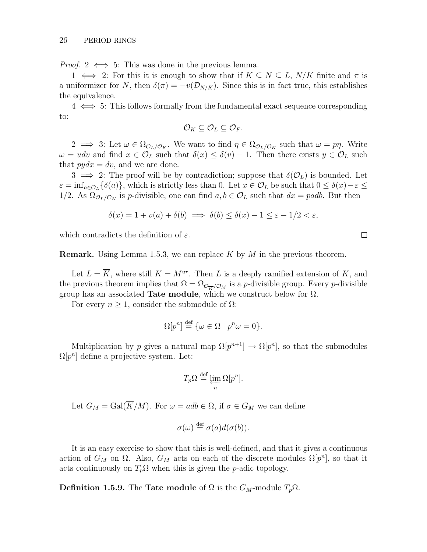*Proof.* 2  $\iff$  5: This was done in the previous lemma.

1  $\iff$  2: For this it is enough to show that if  $K ⊆ N ⊆ L$ , N/K finite and π is a uniformizer for N, then  $\delta(\pi) = -v(\mathcal{D}_{N/K})$ . Since this is in fact true, this establishes the equivalence.

 $4 \iff 5$ : This follows formally from the fundamental exact sequence corresponding to:

$$
\mathcal{O}_K \subseteq \mathcal{O}_L \subseteq \mathcal{O}_F.
$$

 $2 \implies 3$ : Let  $\omega \in \Omega_{\mathcal{O}_L/\mathcal{O}_K}$ . We want to find  $\eta \in \Omega_{\mathcal{O}_L/\mathcal{O}_K}$  such that  $\omega = p\eta$ . Write  $\omega = u dv$  and find  $x \in \mathcal{O}_L$  such that  $\delta(x) \leq \delta(v) - 1$ . Then there exists  $y \in \mathcal{O}_L$  such that  $pydx = dv$ , and we are done.

 $3 \implies 2$ : The proof will be by contradiction; suppose that  $\delta(\mathcal{O}_L)$  is bounded. Let  $\varepsilon = \inf_{a \in \mathcal{O}_L} {\{\delta(a)\}}$ , which is strictly less than 0. Let  $x \in \mathcal{O}_L$  be such that  $0 \leq \delta(x) - \varepsilon \leq$ 1/2. As  $\Omega_{\mathcal{O}_L/\mathcal{O}_K}$  is p-divisible, one can find  $a, b \in \mathcal{O}_L$  such that  $dx = padb$ . But then

$$
\delta(x) = 1 + v(a) + \delta(b) \implies \delta(b) \le \delta(x) - 1 \le \varepsilon - 1/2 < \varepsilon,
$$

which contradicts the definition of  $\varepsilon$ .

**Remark.** Using Lemma 1.5.3, we can replace K by M in the previous theorem.

Let  $L = \overline{K}$ , where still  $K = M^{ur}$ . Then L is a deeply ramified extension of K, and the previous theorem implies that  $\Omega = \Omega_{\mathcal{O}_{\overline{K}}/\mathcal{O}_M}$  is a *p*-divisible group. Every *p*-divisible group has an associated **Tate module**, which we construct below for  $\Omega$ .

For every  $n \geq 1$ , consider the submodule of  $\Omega$ :

$$
\Omega[p^n] \stackrel{\text{def}}{=} \{ \omega \in \Omega \mid p^n \omega = 0 \}.
$$

Multiplication by p gives a natural map  $\Omega[p^{n+1}] \to \Omega[p^n]$ , so that the submodules  $\Omega[p^n]$  define a projective system. Let:

$$
T_p\Omega \stackrel{\text{def}}{=} \varprojlim_n \Omega[p^n].
$$

Let  $G_M = \text{Gal}(\overline{K}/M)$ . For  $\omega = adb \in \Omega$ , if  $\sigma \in G_M$  we can define

$$
\sigma(\omega) \stackrel{\text{def}}{=} \sigma(a)d(\sigma(b)).
$$

It is an easy exercise to show that this is well-defined, and that it gives a continuous action of  $G_M$  on  $\Omega$ . Also,  $G_M$  acts on each of the discrete modules  $\Omega[p^n]$ , so that it acts continuously on  $T_p\Omega$  when this is given the *p*-adic topology.

**Definition 1.5.9.** The Tate module of  $\Omega$  is the  $G_M$ -module  $T_p\Omega$ .

 $\Box$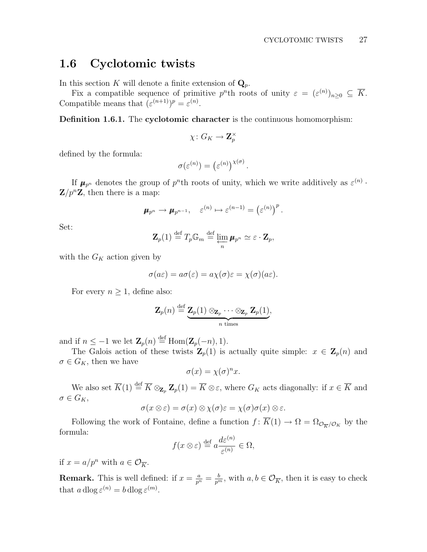# 1.6 Cyclotomic twists

In this section K will denote a finite extension of  $\mathbf{Q}_p$ .

Fix a compatible sequence of primitive p<sup>n</sup>th roots of unity  $\varepsilon = (\varepsilon^{(n)})_{n \geq 0} \subseteq \overline{K}$ . Compatible means that  $(\varepsilon^{(n+1)})^p = \varepsilon^{(n)}$ .

Definition 1.6.1. The cyclotomic character is the continuous homomorphism:

$$
\chi\colon G_K\to \mathbf{Z}_p^\times
$$

defined by the formula:

$$
\sigma(\varepsilon^{(n)}) = (\varepsilon^{(n)})^{\chi(\sigma)}.
$$

If  $\mu_{p^n}$  denotes the group of  $p^n$ th roots of unity, which we write additively as  $\varepsilon^{(n)}$ .  $\mathbf{Z}/p^n\mathbf{Z}$ , then there is a map:

$$
\pmb{\mu}_{p^n} \to \pmb{\mu}_{p^{n-1}}, \quad \varepsilon^{(n)} \mapsto \varepsilon^{(n-1)} = \left(\varepsilon^{(n)}\right)^p.
$$

Set:

$$
\mathbf{Z}_p(1) \stackrel{\text{def}}{=} T_p \mathbb{G}_m \stackrel{\text{def}}{=} \varprojlim_n \mathbf{\mu}_{p^n} \simeq \varepsilon \cdot \mathbf{Z}_p,
$$

with the  $G_K$  action given by

$$
\sigma(a\varepsilon) = a\sigma(\varepsilon) = a\chi(\sigma)\varepsilon = \chi(\sigma)(a\varepsilon).
$$

For every  $n \geq 1$ , define also:

$$
\mathbf{Z}_{p}(n) \stackrel{\text{def}}{=} \underbrace{\mathbf{Z}_{p}(1) \otimes_{\mathbf{Z}_{p}} \cdots \otimes_{\mathbf{Z}_{p}} \mathbf{Z}_{p}(1)}_{n \text{ times}},
$$

and if  $n \leq -1$  we let  $\mathbf{Z}_p(n) \stackrel{\text{def}}{=} \text{Hom}(\mathbf{Z}_p(-n), 1)$ .

The Galois action of these twists  $\mathbf{Z}_p(1)$  is actually quite simple:  $x \in \mathbf{Z}_p(n)$  and  $\sigma \in G_K$ , then we have

$$
\sigma(x) = \chi(\sigma)^n x.
$$

We also set  $\overline{K}(1) \stackrel{\text{def}}{=} \overline{K} \otimes_{\mathbf{Z}_p} \mathbf{Z}_p(1) = \overline{K} \otimes \varepsilon$ , where  $G_K$  acts diagonally: if  $x \in \overline{K}$  and  $\sigma \in G_K$ ,

$$
\sigma(x\otimes\varepsilon)=\sigma(x)\otimes\chi(\sigma)\varepsilon=\chi(\sigma)\sigma(x)\otimes\varepsilon.
$$

Following the work of Fontaine, define a function  $f: \overline{K}(1) \to \Omega = \Omega_{\mathcal{O}_{\overline{K}}/\mathcal{O}_K}$  by the formula:

$$
f(x \otimes \varepsilon) \stackrel{\text{def}}{=} a \frac{d\varepsilon^{(n)}}{\varepsilon^{(n)}} \in \Omega,
$$

if  $x = a/p^n$  with  $a \in \mathcal{O}_{\overline{K}}$ .

**Remark.** This is well defined: if  $x = \frac{a}{p^n} = \frac{b}{p^m}$ , with  $a, b \in \mathcal{O}_{\overline{K}}$ , then it is easy to check that  $a \operatorname{dlog} \varepsilon^{(n)} = b \operatorname{dlog} \varepsilon^{(m)}$ .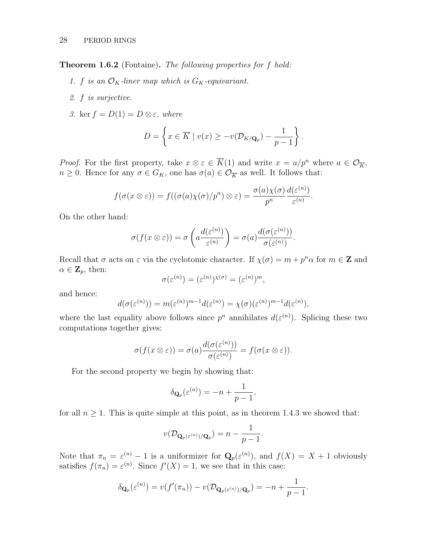**Theorem 1.6.2** (Fontaine). The following properties for  $f$  hold:

- 1. f is an  $\mathcal{O}_K$ -liner map which is  $G_K$ -equivariant.
- 2. f is surjective.
- 3. ker  $f = D(1) = D \otimes \varepsilon$ , where

$$
D = \left\{ x \in \overline{K} \mid v(x) \ge -v(\mathcal{D}_{K/\mathbf{Q}_p}) - \frac{1}{p-1} \right\}.
$$

*Proof.* For the first property, take  $x \otimes \varepsilon \in \overline{K}(1)$  and write  $x = a/p^n$  where  $a \in \mathcal{O}_{\overline{K}}$ ,  $n \geq 0$ . Hence for any  $\sigma \in G_K$ , one has  $\sigma(a) \in \mathcal{O}_{\overline{K}}$  as well. It follows that:

$$
f(\sigma(x\otimes\varepsilon))=f((\sigma(a)\chi(\sigma)/p^n)\otimes\varepsilon)=\frac{\sigma(a)\chi(\sigma)}{p^n}\frac{d(\varepsilon^{(n)})}{\varepsilon^{(n)}}.
$$

On the other hand:

$$
\sigma(f(x \otimes \varepsilon)) = \sigma\left(a\frac{d(\varepsilon^{(n)})}{\varepsilon^{(n)}}\right) = \sigma(a)\frac{d(\sigma(\varepsilon^{(n)}))}{\sigma(\varepsilon^{(n)})}.
$$

Recall that  $\sigma$  acts on  $\varepsilon$  via the cyclotomic character. If  $\chi(\sigma) = m + p^n \alpha$  for  $m \in \mathbb{Z}$  and  $\alpha \in \mathbf{Z}_p$ , then:

$$
\sigma(\varepsilon^{(n)}) = (\varepsilon^{(n)})^{\chi(\sigma)} = (\varepsilon^{(n)})^m,
$$

and hence:

$$
d(\sigma(\varepsilon^{(n)})) = m(\varepsilon^{(n)})^{m-1} d(\varepsilon^{(n)}) = \chi(\sigma)(\varepsilon^{(n)})^{m-1} d(\varepsilon^{(n)}),
$$

where the last equality above follows since  $p^n$  annihilates  $d(\varepsilon^{(n)})$ . Splicing these two computations together gives:

$$
\sigma(f(x\otimes \varepsilon))=\sigma(a)\frac{d(\sigma(\varepsilon^{(n)}))}{\sigma(\varepsilon^{(n)})}=f(\sigma(x\otimes \varepsilon)).
$$

For the second property we begin by showing that:

$$
\delta_{\mathbf{Q}_p}(\varepsilon^{(n)}) = -n + \frac{1}{p-1},
$$

for all  $n \geq 1$ . This is quite simple at this point, as in theorem 1.4.3 we showed that:

$$
v(\mathcal{D}_{\mathbf{Q}_p(\varepsilon^{(n)})/\mathbf{Q}_p})=n-\frac{1}{p-1}.
$$

Note that  $\pi_n = \varepsilon^{(n)} - 1$  is a uniformizer for  $\mathbf{Q}_p(\varepsilon^{(n)})$ , and  $f(X) = X + 1$  obviously satisfies  $f(\pi_n) = \varepsilon^{(n)}$ . Since  $f'(X) = 1$ , we see that in this case:

$$
\delta_{\mathbf{Q}_p}(\varepsilon^{(n)}) = v(f'(\pi_n)) - v(\mathcal{D}_{\mathbf{Q}_p(\varepsilon^{(n)})/\mathbf{Q}_p}) = -n + \frac{1}{p-1}.
$$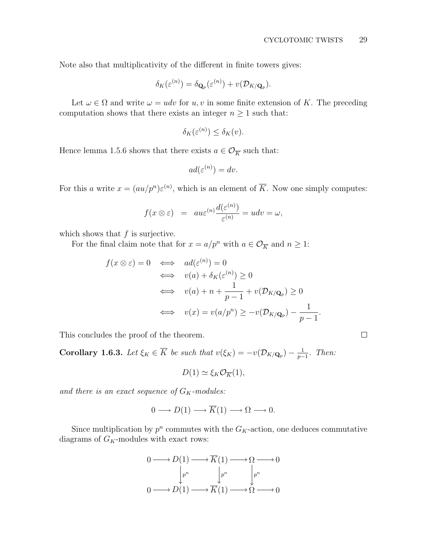$\Box$ 

Note also that multiplicativity of the different in finite towers gives:

$$
\delta_K(\varepsilon^{(n)}) = \delta_{\mathbf{Q}_p}(\varepsilon^{(n)}) + v(\mathcal{D}_{K/\mathbf{Q}_p}).
$$

Let  $\omega \in \Omega$  and write  $\omega = u dv$  for u, v in some finite extension of K. The preceding computation shows that there exists an integer  $n \geq 1$  such that:

$$
\delta_K(\varepsilon^{(n)}) \le \delta_K(v).
$$

Hence lemma 1.5.6 shows that there exists  $a \in \mathcal{O}_{\overline{K}}$  such that:

$$
ad(\varepsilon^{(n)}) = dv.
$$

For this a write  $x = (au/p^n) \varepsilon^{(n)}$ , which is an element of  $\overline{K}$ . Now one simply computes:

$$
f(x \otimes \varepsilon) = au\varepsilon^{(n)} \frac{d(\varepsilon^{(n)})}{\varepsilon^{(n)}} = u dv = \omega,
$$

which shows that  $f$  is surjective.

For the final claim note that for  $x = a/p^n$  with  $a \in \mathcal{O}_{\overline{K}}$  and  $n \geq 1$ :

$$
f(x \otimes \varepsilon) = 0 \iff ad(\varepsilon^{(n)}) = 0
$$
  

$$
\iff v(a) + \delta_K(\varepsilon^{(n)}) \ge 0
$$
  

$$
\iff v(a) + n + \frac{1}{p-1} + v(\mathcal{D}_{K/\mathbf{Q}_p}) \ge 0
$$
  

$$
\iff v(x) = v(a/p^n) \ge -v(\mathcal{D}_{K/\mathbf{Q}_p}) - \frac{1}{p-1}.
$$

This concludes the proof of the theorem.

Corollary 1.6.3. Let  $\xi_K \in \overline{K}$  be such that  $v(\xi_K) = -v(\mathcal{D}_{K/\mathbf{Q}_p}) - \frac{1}{p-1}$  $\frac{1}{p-1}$ . Then:

$$
D(1) \simeq \xi_K \mathcal{O}_{\overline{K}}(1),
$$

and there is an exact sequence of  $G_K$ -modules:

$$
0 \longrightarrow D(1) \longrightarrow \overline{K}(1) \longrightarrow \Omega \longrightarrow 0.
$$

Since multiplication by  $p^n$  commutes with the  $G_K$ -action, one deduces commutative diagrams of  $G_K$ -modules with exact rows:

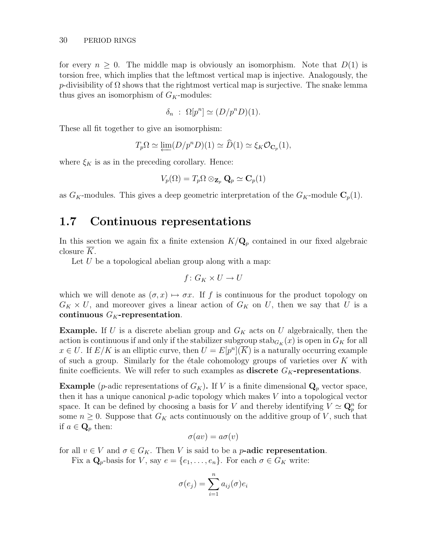for every  $n \geq 0$ . The middle map is obviously an isomorphism. Note that  $D(1)$  is torsion free, which implies that the leftmost vertical map is injective. Analogously, the p-divisibility of  $\Omega$  shows that the rightmost vertical map is surjective. The snake lemma thus gives an isomorphism of  $G_K$ -modules:

$$
\delta_n \; : \; \Omega[p^n] \simeq (D/p^n D)(1).
$$

These all fit together to give an isomorphism:

$$
T_p\Omega \simeq \underleftarrow{\lim} (D/p^n D)(1) \simeq \widehat{D}(1) \simeq \xi_K \mathcal{O}_{\mathbf{C}_p}(1),
$$

where  $\xi_K$  is as in the preceding corollary. Hence:

$$
V_p(\Omega) = T_p \Omega \otimes_{\mathbf{Z}_p} \mathbf{Q}_p \simeq \mathbf{C}_p(1)
$$

as  $G_K$ -modules. This gives a deep geometric interpretation of the  $G_K$ -module  $\mathbf{C}_p(1)$ .

# 1.7 Continuous representations

In this section we again fix a finite extension  $K/Q_p$  contained in our fixed algebraic closure K.

Let  $U$  be a topological abelian group along with a map:

$$
f\colon G_K\times U\to U
$$

which we will denote as  $(\sigma, x) \mapsto \sigma x$ . If f is continuous for the product topology on  $G_K \times U$ , and moreover gives a linear action of  $G_K$  on U, then we say that U is a continuous  $G_K$ -representation.

**Example.** If U is a discrete abelian group and  $G_K$  acts on U algebraically, then the action is continuous if and only if the stabilizer subgroup  $\mathrm{stab}_{G_K}(x)$  is open in  $G_K$  for all  $x \in U$ . If  $E/K$  is an elliptic curve, then  $U = E[p^n](\overline{K})$  is a naturally occurring example of such a group. Similarly for the étale cohomology groups of varieties over  $K$  with finite coefficients. We will refer to such examples as **discrete**  $G_K$ -representations.

**Example** (*p*-adic representations of  $G_K$ ). If V is a finite dimensional  $\mathbf{Q}_p$  vector space, then it has a unique canonical  $p$ -adic topology which makes  $V$  into a topological vector space. It can be defined by choosing a basis for V and thereby identifying  $V \simeq \mathbf{Q}_p^n$  for some  $n \geq 0$ . Suppose that  $G_K$  acts continuously on the additive group of V, such that if  $a \in \mathbf{Q}_p$  then:

$$
\sigma(av) = a\sigma(v)
$$

for all  $v \in V$  and  $\sigma \in G_K$ . Then V is said to be a *p*-adic representation.

Fix a  $\mathbf{Q}_p$ -basis for V, say  $e = \{e_1, \ldots, e_n\}$ . For each  $\sigma \in G_K$  write:

$$
\sigma(e_j) = \sum_{i=1}^n a_{ij}(\sigma)e_i
$$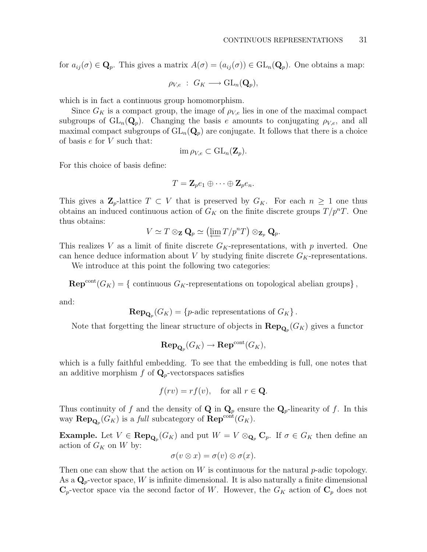for  $a_{ij}(\sigma) \in \mathbf{Q}_p$ . This gives a matrix  $A(\sigma) = (a_{ij}(\sigma)) \in GL_n(\mathbf{Q}_p)$ . One obtains a map:

$$
\rho_{V,e} \; : \; G_K \longrightarrow \text{GL}_n(\mathbf{Q}_p),
$$

which is in fact a continuous group homomorphism.

Since  $G_K$  is a compact group, the image of  $\rho_{V,e}$  lies in one of the maximal compact subgroups of  $GL_n(\mathbf{Q}_p)$ . Changing the basis e amounts to conjugating  $\rho_{V,e}$ , and all maximal compact subgroups of  $GL_n(\mathbf{Q}_p)$  are conjugate. It follows that there is a choice of basis  $e$  for  $V$  such that:

$$
\operatorname{im}\rho_{V,e}\subset\operatorname{GL}_n(\mathbf{Z}_p).
$$

For this choice of basis define:

$$
T=\mathbf{Z}_p e_1\oplus\cdots\oplus\mathbf{Z}_p e_n.
$$

This gives a  $\mathbb{Z}_p$ -lattice  $T \subset V$  that is preserved by  $G_K$ . For each  $n \geq 1$  one thus obtains an induced continuous action of  $G_K$  on the finite discrete groups  $T/p^nT$ . One thus obtains:

$$
V \simeq T \otimes_{\mathbf{Z}} \mathbf{Q}_p \simeq (\underleftarrow{\lim} T/p^n T) \otimes_{\mathbf{Z}_p} \mathbf{Q}_p.
$$

This realizes V as a limit of finite discrete  $G_K$ -representations, with p inverted. One can hence deduce information about V by studying finite discrete  $G_K$ -representations.

We introduce at this point the following two categories:

 $\mathbf{Rep}^{\text{cont}}(G_K) = \{$  continuous  $G_K$ -representations on topological abelian groups},

and:

$$
\operatorname{Rep}_{\mathbf{Q}_p}(G_K) = \{p\text{-adic representations of } G_K\}.
$$

Note that forgetting the linear structure of objects in  $\mathbf{Rep}_{\mathbf{Q}_p}(G_K)$  gives a functor

$$
\mathbf{Rep}_{\mathbf{Q}_p}(G_K) \to \mathbf{Rep}^{\mathrm{cont}}(G_K),
$$

which is a fully faithful embedding. To see that the embedding is full, one notes that an additive morphism f of  $\mathbf{Q}_p$ -vectorspaces satisfies

$$
f(rv) = rf(v), \quad \text{for all } r \in \mathbf{Q}.
$$

Thus continuity of f and the density of  $\mathbf Q$  in  $\mathbf Q_p$  ensure the  $\mathbf Q_p$ -linearity of f. In this way  $\mathbf{Rep}_{\mathbf{Q}_p}(G_K)$  is a *full* subcategory of  $\mathbf{Rep}^{\text{cont}}(G_K)$ .

**Example.** Let  $V \in \text{Rep}_{\mathbf{Q}_p}(G_K)$  and put  $W = V \otimes_{\mathbf{Q}_p} \mathbf{C}_p$ . If  $\sigma \in G_K$  then define an action of  $G_K$  on W by:

$$
\sigma(v \otimes x) = \sigma(v) \otimes \sigma(x).
$$

Then one can show that the action on  $W$  is continuous for the natural p-adic topology. As a  $\mathbf{Q}_p$ -vector space, W is infinite dimensional. It is also naturally a finite dimensional  $\mathbf{C}_p$ -vector space via the second factor of W. However, the  $G_K$  action of  $\mathbf{C}_p$  does not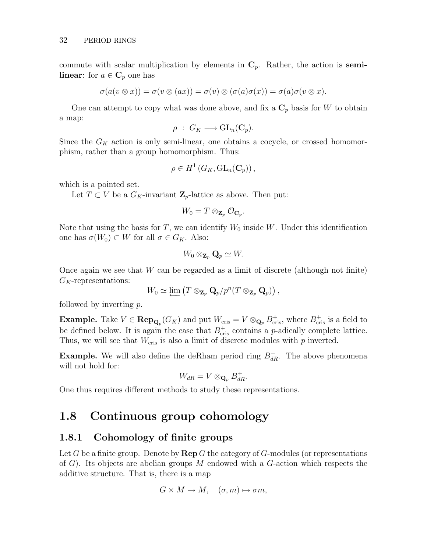commute with scalar multiplication by elements in  $C_p$ . Rather, the action is semi**linear**: for  $a \in \mathbb{C}_p$  one has

$$
\sigma(a(v\otimes x))=\sigma(v\otimes (ax))=\sigma(v)\otimes (\sigma(a)\sigma(x))=\sigma(a)\sigma(v\otimes x).
$$

One can attempt to copy what was done above, and fix a  $\mathbb{C}_p$  basis for W to obtain a map:

$$
\rho\;:\; G_K\longrightarrow \mathrm{GL}_n(\mathbf{C}_p).
$$

Since the  $G_K$  action is only semi-linear, one obtains a cocycle, or crossed homomorphism, rather than a group homomorphism. Thus:

$$
\rho \in H^1(G_K, GL_n(\mathbf{C}_p)),
$$

which is a pointed set.

Let  $T \subset V$  be a  $G_K$ -invariant  $\mathbf{Z}_p$ -lattice as above. Then put:

$$
W_0=T\otimes_{{\mathbf{Z}}_p}{\mathcal O}_{{\mathbf{C}}_p}.
$$

Note that using the basis for  $T$ , we can identify  $W_0$  inside W. Under this identification one has  $\sigma(W_0) \subset W$  for all  $\sigma \in G_K$ . Also:

$$
W_0\otimes_{\mathbf{Z}_p}\mathbf{Q}_p\simeq W.
$$

Once again we see that  $W$  can be regarded as a limit of discrete (although not finite)  $G_K$ -representations:

$$
W_0 \simeq \varprojlim \left( T \otimes_{\mathbf{Z}_p} \mathbf{Q}_p / p^n (T \otimes_{\mathbf{Z}_p} \mathbf{Q}_p) \right),
$$

followed by inverting  $p$ .

**Example.** Take  $V \in \text{Rep}_{\mathbf{Q}_p}(G_K)$  and put  $W_{\text{cris}} = V \otimes_{\mathbf{Q}_p} B_{\text{cris}}^+$ , where  $B_{\text{cris}}^+$  is a field to be defined below. It is again the case that  $B_{\text{cris}}^{+}$  contains a *p*-adically complete lattice. Thus, we will see that  $W_{\text{cris}}$  is also a limit of discrete modules with p inverted.

**Example.** We will also define the deRham period ring  $B_{dR}^+$ . The above phenomena will not hold for:

$$
W_{dR}=V\otimes_{\mathbf{Q}_p}B^+_{dR}.
$$

One thus requires different methods to study these representations.

# 1.8 Continuous group cohomology

## 1.8.1 Cohomology of finite groups

Let G be a finite group. Denote by  $\mathbf{Rep}\,G$  the category of G-modules (or representations of  $G$ ). Its objects are abelian groups M endowed with a  $G$ -action which respects the additive structure. That is, there is a map

$$
G \times M \to M, \quad (\sigma, m) \mapsto \sigma m,
$$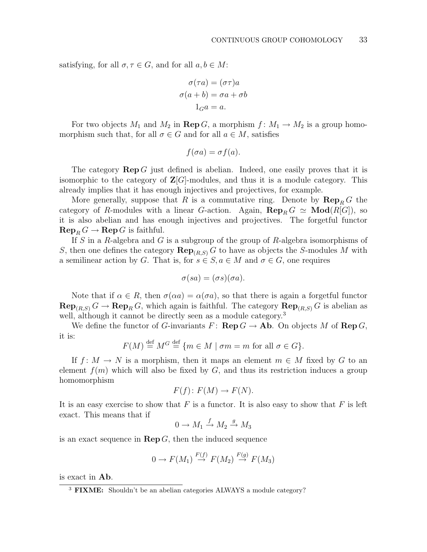satisfying, for all  $\sigma, \tau \in G$ , and for all  $a, b \in M$ :

$$
\sigma(\tau a) = (\sigma \tau) a
$$

$$
\sigma(a+b) = \sigma a + \sigma b
$$

$$
1_G a = a.
$$

For two objects  $M_1$  and  $M_2$  in  $\mathbf{Rep} G$ , a morphism  $f: M_1 \to M_2$  is a group homomorphism such that, for all  $\sigma \in G$  and for all  $a \in M$ , satisfies

$$
f(\sigma a) = \sigma f(a).
$$

The category  $\mathbf{Rep} G$  just defined is abelian. Indeed, one easily proves that it is isomorphic to the category of  $\mathbf{Z}[G]$ -modules, and thus it is a module category. This already implies that it has enough injectives and projectives, for example.

More generally, suppose that R is a commutative ring. Denote by  $\mathbf{Rep}_R G$  the category of R-modules with a linear G-action. Again,  $\mathbf{Rep}_R G \simeq \mathbf{Mod}(R[G])$ , so it is also abelian and has enough injectives and projectives. The forgetful functor  $\operatorname{Rep}_R G \to \operatorname{Rep} G$  is faithful.

If S in a R-algebra and G is a subgroup of the group of R-algebra isomorphisms of S, then one defines the category  $\mathbf{Rep}_{(R,S)} G$  to have as objects the S-modules M with a semilinear action by G. That is, for  $s \in S$ ,  $a \in M$  and  $\sigma \in G$ , one requires

$$
\sigma(sa) = (\sigma s)(\sigma a).
$$

Note that if  $\alpha \in R$ , then  $\sigma(\alpha a) = \alpha(\sigma a)$ , so that there is again a forgetful functor  $\mathbf{Rep}_{(R,S)} G \to \mathbf{Rep}_R G$ , which again is faithful. The category  $\mathbf{Rep}_{(R,S)} G$  is abelian as well, although it cannot be directly seen as a module category.<sup>3</sup>

We define the functor of G-invariants  $F: \mathbf{Rep} G \to \mathbf{Ab}$ . On objects M of  $\mathbf{Rep} G$ , it is:

$$
F(M) \stackrel{\text{def}}{=} M^G \stackrel{\text{def}}{=} \{ m \in M \mid \sigma m = m \text{ for all } \sigma \in G \}.
$$

If  $f: M \to N$  is a morphism, then it maps an element  $m \in M$  fixed by G to an element  $f(m)$  which will also be fixed by  $G$ , and thus its restriction induces a group homomorphism

$$
F(f) \colon F(M) \to F(N).
$$

It is an easy exercise to show that  $F$  is a functor. It is also easy to show that  $F$  is left exact. This means that if

$$
0 \to M_1 \xrightarrow{f} M_2 \xrightarrow{g} M_3
$$

is an exact sequence in  $\mathbf{Rep}\,G$ , then the induced sequence

$$
0 \to F(M_1) \stackrel{F(f)}{\to} F(M_2) \stackrel{F(g)}{\to} F(M_3)
$$

is exact in Ab.

<sup>&</sup>lt;sup>3</sup> FIXME: Shouldn't be an abelian categories ALWAYS a module category?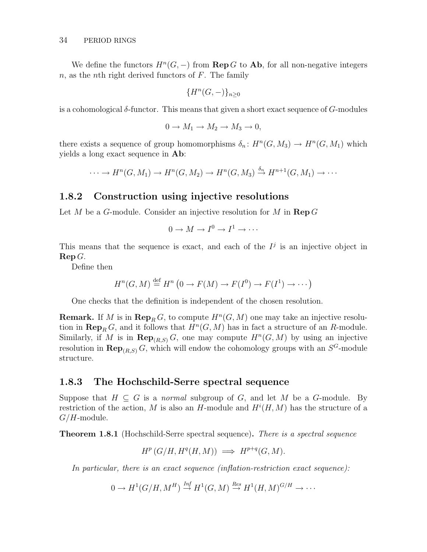We define the functors  $H^n(G, -)$  from  $\mathbf{Rep}\,G$  to Ab, for all non-negative integers  $n$ , as the nth right derived functors of F. The family

$$
\{H^n(G,-)\}_{n\geq 0}
$$

is a cohomological  $\delta$ -functor. This means that given a short exact sequence of  $G$ -modules

$$
0 \to M_1 \to M_2 \to M_3 \to 0,
$$

there exists a sequence of group homomorphisms  $\delta_n: H^n(G, M_3) \to H^n(G, M_1)$  which yields a long exact sequence in Ab:

$$
\cdots \longrightarrow H^n(G,M_1) \longrightarrow H^n(G,M_2) \longrightarrow H^n(G,M_3) \stackrel{\delta_n}{\longrightarrow} H^{n+1}(G,M_1) \longrightarrow \cdots
$$

# 1.8.2 Construction using injective resolutions

Let M be a G-module. Consider an injective resolution for M in  $\mathbf{Rep}\,G$ 

$$
0 \to M \to I^0 \to I^1 \to \cdots
$$

This means that the sequence is exact, and each of the  $I^j$  is an injective object in  $\mathbf{Rep}\, G$ .

Define then

$$
H^n(G, M) \stackrel{\text{def}}{=} H^n \left( 0 \to F(M) \to F(I^0) \to F(I^1) \to \cdots \right)
$$

One checks that the definition is independent of the chosen resolution.

**Remark.** If M is in  $\mathbf{Rep}_R G$ , to compute  $H^n(G, M)$  one may take an injective resolution in  $\mathbf{Rep}_R G$ , and it follows that  $H^n(G,M)$  has in fact a structure of an R-module. Similarly, if M is in  $\mathbf{Rep}_{(R,S)} G$ , one may compute  $H^{n}(G,M)$  by using an injective resolution in  $\mathbf{Rep}_{(R,S)} G$ , which will endow the cohomology groups with an  $S^G$ -module structure.

#### 1.8.3 The Hochschild-Serre spectral sequence

Suppose that  $H \subseteq G$  is a *normal* subgroup of G, and let M be a G-module. By restriction of the action, M is also an H-module and  $H^{i}(H, M)$  has the structure of a  $G/H$ -module.

**Theorem 1.8.1** (Hochschild-Serre spectral sequence). There is a spectral sequence

$$
H^p(G/H, H^q(H, M)) \implies H^{p+q}(G, M).
$$

In particular, there is an exact sequence (inflation-restriction exact sequence):

$$
0 \to H^1(G/H, M^H) \stackrel{Inf}{\to} H^1(G, M) \stackrel{Res}{\to} H^1(H, M)^{G/H} \to \cdots
$$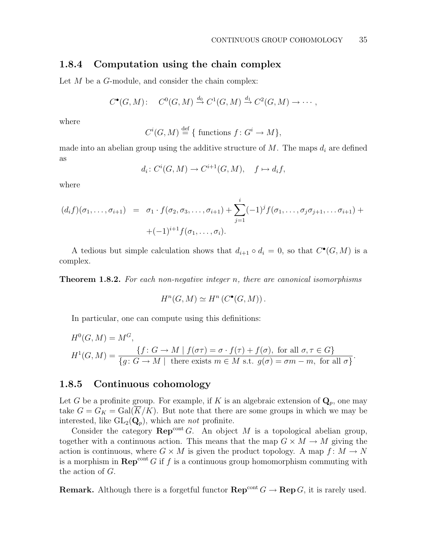## 1.8.4 Computation using the chain complex

Let  $M$  be a  $G$ -module, and consider the chain complex:

$$
C^{\bullet}(G,M): C^0(G,M) \stackrel{d_0}{\rightarrow} C^1(G,M) \stackrel{d_1}{\rightarrow} C^2(G,M) \rightarrow \cdots,
$$

where

$$
C^i(G, M) \stackrel{\text{def}}{=} \{ \text{ functions } f \colon G^i \to M \},
$$

made into an abelian group using the additive structure of  $M$ . The maps  $d_i$  are defined as

$$
d_i\colon C^i(G,M)\to C^{i+1}(G,M),\quad f\mapsto d_if,
$$

where

$$
(d_i f)(\sigma_1, \ldots, \sigma_{i+1}) = \sigma_1 \cdot f(\sigma_2, \sigma_3, \ldots, \sigma_{i+1}) + \sum_{j=1}^i (-1)^j f(\sigma_1, \ldots, \sigma_j \sigma_{j+1}, \ldots, \sigma_{i+1}) + \sum_{j=1}^i (-1)^{i+j} f(\sigma_1, \ldots, \sigma_i).
$$

A tedious but simple calculation shows that  $d_{i+1} \circ d_i = 0$ , so that  $C^{\bullet}(G, M)$  is a complex.

**Theorem 1.8.2.** For each non-negative integer n, there are canonical isomorphisms

$$
H^n(G, M) \simeq H^n(C^{\bullet}(G, M)).
$$

In particular, one can compute using this definitions:

$$
H^{0}(G, M) = M^{G},
$$
  
\n
$$
H^{1}(G, M) = \frac{\{f : G \to M \mid f(\sigma\tau) = \sigma \cdot f(\tau) + f(\sigma), \text{ for all } \sigma, \tau \in G\}}{\{g : G \to M \mid \text{ there exists } m \in M \text{ s.t. } g(\sigma) = \sigma m - m, \text{ for all } \sigma\}}.
$$

# 1.8.5 Continuous cohomology

Let G be a profinite group. For example, if K is an algebraic extension of  $\mathbf{Q}_p$ , one may take  $G = G_K = \text{Gal}(\overline{K}/K)$ . But note that there are some groups in which we may be interested, like  $GL_2(\mathbf{Q}_p)$ , which are not profinite.

Consider the category  $\mathbf{Rep}^{\text{cont}} G$ . An object M is a topological abelian group, together with a continuous action. This means that the map  $G \times M \to M$  giving the action is continuous, where  $G \times M$  is given the product topology. A map  $f: M \to N$ is a morphism in  $\mathbf{Rep}^{\text{cont}} G$  if f is a continuous group homomorphism commuting with the action of G.

**Remark.** Although there is a forgetful functor  $\mathbf{Rep}^{\text{cont}} G \to \mathbf{Rep} G$ , it is rarely used.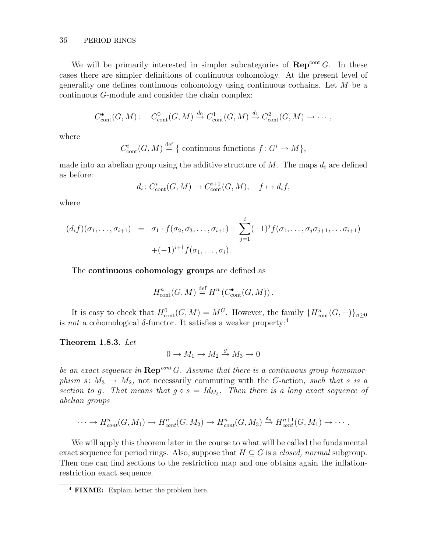We will be primarily interested in simpler subcategories of  $\mathbf{Rep}^{\mathrm{cont}} G$ . In these cases there are simpler definitions of continuous cohomology. At the present level of generality one defines continuous cohomology using continuous cochains. Let  $M$  be a continuous G-module and consider the chain complex:

$$
C_{\text{cont}}^{\bullet}(G, M): C_{\text{cont}}^{0}(G, M) \xrightarrow{d_0} C_{\text{cont}}^1(G, M) \xrightarrow{d_1} C_{\text{cont}}^2(G, M) \to \cdots,
$$

where

$$
C_{\text{cont}}^{i}(G, M) \stackrel{\text{def}}{=} \{ \text{ continuous functions } f \colon G^{i} \to M \},
$$

made into an abelian group using the additive structure of  $M$ . The maps  $d_i$  are defined as before:

$$
d_i\colon C^i_{\text{cont}}(G,M)\to C^{i+1}_{\text{cont}}(G,M),\quad f\mapsto d_if,
$$

where

$$
(d_i f)(\sigma_1, \ldots, \sigma_{i+1}) = \sigma_1 \cdot f(\sigma_2, \sigma_3, \ldots, \sigma_{i+1}) + \sum_{j=1}^i (-1)^j f(\sigma_1, \ldots, \sigma_j \sigma_{j+1}, \ldots, \sigma_{i+1}) + (-1)^{i+1} f(\sigma_1, \ldots, \sigma_i).
$$

The continuous cohomology groups are defined as

$$
H^{n}_{\text{cont}}(G, M) \stackrel{\text{def}}{=} H^{n}(C_{\text{cont}}^{\bullet}(G, M)).
$$

It is easy to check that  $H^0_{\text{cont}}(G, M) = M^G$ . However, the family  $\{H^n_{\text{cont}}(G, -)\}_{n \geq 0}$ is not a cohomological  $\delta$ -functor. It satisfies a weaker property:<sup>4</sup>

Theorem 1.8.3. Let

$$
0 \to M_1 \to M_2 \xrightarrow{g} M_3 \to 0
$$

be an exact sequence in  $\mathbf{Rep}^{cont}$  G. Assume that there is a continuous group homomorphism s:  $M_3 \rightarrow M_2$ , not necessarily commuting with the G-action, such that s is a section to g. That means that  $g \circ s = Id_{M_3}$ . Then there is a long exact sequence of abelian groups

$$
\cdots \to H^n_{cont}(G, M_1) \to H^n_{cont}(G, M_2) \to H^n_{cont}(G, M_3) \stackrel{\delta_n}{\to} H^{n+1}_{cont}(G, M_1) \to \cdots
$$

We will apply this theorem later in the course to what will be called the fundamental exact sequence for period rings. Also, suppose that  $H \subseteq G$  is a *closed, normal* subgroup. Then one can find sections to the restriction map and one obtains again the inflationrestriction exact sequence.

<sup>4</sup> FIXME: Explain better the problem here.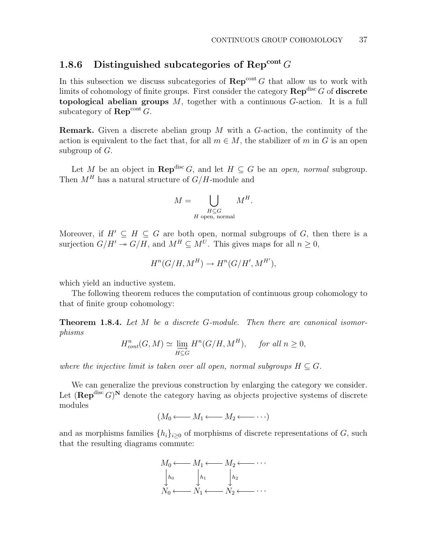# 1.8.6 Distinguished subcategories of Rep<sup>cont</sup>  $G$

In this subsection we discuss subcategories of  $\text{Rep}^{\text{cont}} G$  that allow us to work with limits of cohomology of finite groups. First consider the category  $\mathbf{Rep}^{\text{disc}} G$  of **discrete** topological abelian groups  $M$ , together with a continuous  $G$ -action. It is a full subcategory of  $\text{Rep}^{\text{cont}} G$ .

**Remark.** Given a discrete abelian group M with a  $G$ -action, the continuity of the action is equivalent to the fact that, for all  $m \in M$ , the stabilizer of m in G is an open subgroup of  $G$ .

Let M be an object in  $\mathbf{Rep}^{\text{disc}} G$ , and let  $H \subseteq G$  be an *open, normal* subgroup. Then  $M^H$  has a natural structure of  $G/H$ -module and

$$
M = \bigcup_{\substack{H \subseteq G \\ H \text{ open, normal}}} M^H.
$$

Moreover, if  $H' \subseteq H \subseteq G$  are both open, normal subgroups of G, then there is a surjection  $G/H' \to G/H$ , and  $M^H \subseteq M^U$ . This gives maps for all  $n \geq 0$ ,

$$
H^n(G/H, M^H) \to H^n(G/H', M^{H'}),
$$

which yield an inductive system.

The following theorem reduces the computation of continuous group cohomology to that of finite group cohomology:

**Theorem 1.8.4.** Let M be a discrete G-module. Then there are canonical isomorphisms

$$
H_{cont}^{n}(G, M) \simeq \varinjlim_{H \subseteq G} H^{n}(G/H, M^{H}), \quad \text{for all } n \ge 0,
$$

where the injective limit is taken over all open, normal subgroups  $H \subseteq G$ .

We can generalize the previous construction by enlarging the category we consider. Let  $(\mathbf{Rep}^{\text{disc}} G)^{\mathbf{N}}$  denote the category having as objects projective systems of discrete modules

 $(M_0 \longleftarrow M_1 \longleftarrow M_2 \longleftarrow \cdots)$ 

and as morphisms families  $\{h_i\}_{i>0}$  of morphisms of discrete representations of G, such that the resulting diagrams commute:

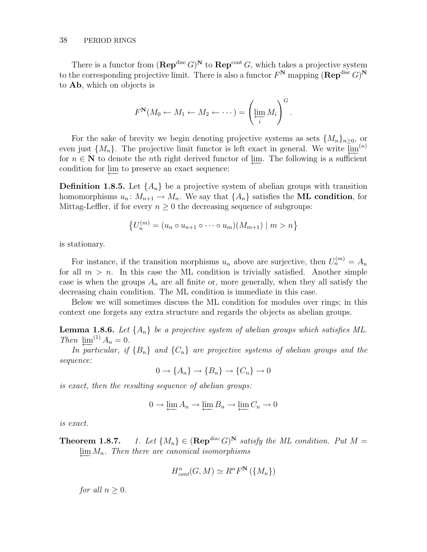There is a functor from  $(\mathbf{Rep}^{\text{disc}} G)^{\mathbf{N}}$  to  $\mathbf{Rep}^{\text{cont}} G$ , which takes a projective system to the corresponding projective limit. There is also a functor  $F^{\mathbf{N}}$  mapping  $(\mathbf{Rep}^{\text{disc}} G)^{\mathbf{N}}$ to Ab, which on objects is

$$
F^{\mathbf{N}}(M_0 \leftarrow M_1 \leftarrow M_2 \leftarrow \cdots) = \left(\varprojlim_i M_i\right)^G.
$$

For the sake of brevity we begin denoting projective systems as sets  $\{M_n\}_{n>0}$ , or even just  $\{M_n\}$ . The projective limit functor is left exact in general. We write  $\lim_{n \to \infty} (n)$ for  $n \in \mathbb{N}$  to denote the *n*th right derived functor of  $\varprojlim$ . The following is a sufficient condition for  $\varprojlim$  to preserve an exact sequence:

**Definition 1.8.5.** Let  $\{A_n\}$  be a projective system of abelian groups with transition homomorphisms  $u_n: M_{n+1} \to M_n$ . We say that  $\{A_n\}$  satisfies the **ML condition**, for Mittag-Leffler, if for every  $n \geq 0$  the decreasing sequence of subgroups:

$$
\{U_n^{(m)} = (u_n \circ u_{n+1} \circ \cdots \circ u_m)(M_{m+1}) \mid m > n\}
$$

is stationary.

For instance, if the transition morphisms  $u_n$  above are surjective, then  $U_n^{(m)} = A_n$ for all  $m > n$ . In this case the ML condition is trivially satisfied. Another simple case is when the groups  $A_n$  are all finite or, more generally, when they all satisfy the decreasing chain condition. The ML condition is immediate in this case.

Below we will sometimes discuss the ML condition for modules over rings; in this context one forgets any extra structure and regards the objects as abelian groups.

**Lemma 1.8.6.** Let  $\{A_n\}$  be a projective system of abelian groups which satisfies ML. Then  $\lim_{n \to \infty} (1) A_n = 0.$ 

In particular, if  ${B_n}$  and  ${C_n}$  are projective systems of abelian groups and the sequence:

 $0 \rightarrow \{A_n\} \rightarrow \{B_n\} \rightarrow \{C_n\} \rightarrow 0$ 

is exact, then the resulting sequence of abelian groups:

$$
0 \to \varprojlim A_n \to \varprojlim B_n \to \varprojlim C_n \to 0
$$

is exact.

**Theorem 1.8.7.** 1. Let  $\{M_n\} \in (\mathbf{Rep}^{disc} \, G)^{\mathbf{N}}$  satisfy the ML condition. Put  $M =$  $\downarrow \underline{\text{lim}} M_n$ . Then there are canonical isomorphisms

$$
H^n_{cont}(G, M) \simeq R^n F^N \left( \{ M_n \} \right)
$$

for all  $n \geq 0$ .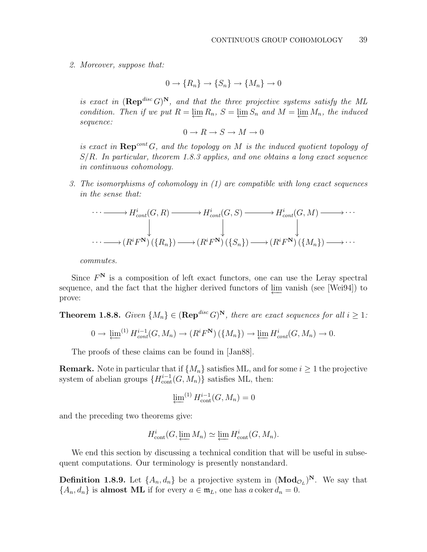2. Moreover, suppose that:

$$
0 \to \{R_n\} \to \{S_n\} \to \{M_n\} \to 0
$$

is exact in  $(\mathbf{Rep}^{disc} G)^{\mathbf{N}}$ , and that the three projective systems satisfy the ML condition. Then if we put  $R = \varprojlim R_n$ ,  $S = \varprojlim S_n$  and  $M = \varprojlim M_n$ , the induced sequence:

$$
0 \to R \to S \to M \to 0
$$

is exact in  $\mathbf{Rep}^{cont}G$ , and the topology on M is the induced quotient topology of  $S/R$ . In particular, theorem 1.8.3 applies, and one obtains a long exact sequence in continuous cohomology.

3. The isomorphisms of cohomology in (1) are compatible with long exact sequences in the sense that:

$$
\cdots \longrightarrow H_{cont}^{i}(G, R) \longrightarrow H_{cont}^{i}(G, S) \longrightarrow H_{cont}^{i}(G, M) \longrightarrow \cdots
$$
  
\n
$$
\downarrow \qquad \qquad \downarrow \qquad \qquad \downarrow
$$
  
\n
$$
\cdots \longrightarrow (R^{i} F^{\mathbf{N}}) (\{R_{n}\}) \longrightarrow (R^{i} F^{\mathbf{N}}) (\{S_{n}\}) \longrightarrow (R^{i} F^{\mathbf{N}}) (\{M_{n}\}) \longrightarrow \cdots
$$

commutes.

Since  $F^N$  is a composition of left exact functors, one can use the Leray spectral sequence, and the fact that the higher derived functors of  $\downarrow \text{im}$  vanish (see [Wei94]) to prove:

**Theorem 1.8.8.** Given  $\{M_n\} \in (\mathbf{Rep}^{disc}\,G)^{\mathbf{N}}$ , there are exact sequences for all  $i \geq 1$ :

$$
0 \to \underleftarrow{\lim}^{(1)} H_{cont}^{i-1}(G, M_n) \to (R^i F^N) (\{M_n\}) \to \underleftarrow{\lim} H_{cont}^i(G, M_n) \to 0.
$$

The proofs of these claims can be found in [Jan88].

**Remark.** Note in particular that if  $\{M_n\}$  satisfies ML, and for some  $i \geq 1$  the projective system of abelian groups  $\{H_{\text{cont}}^{i-1}(G, M_n)\}$  satisfies ML, then:

$$
\varprojlim^{(1)} H_{\text{cont}}^{i-1}(G, M_n) = 0
$$

and the preceding two theorems give:

$$
H_{\text{cont}}^i(G, \varprojlim M_n) \simeq \varprojlim H_{\text{cont}}^i(G, M_n).
$$

We end this section by discussing a technical condition that will be useful in subsequent computations. Our terminology is presently nonstandard.

**Definition 1.8.9.** Let  $\{A_n, d_n\}$  be a projective system in  $(\text{Mod}_{\mathcal{O}_L})^N$ . We say that  $\{A_n, d_n\}$  is almost ML if for every  $a \in \mathfrak{m}_L$ , one has  $a \operatorname{coker} d_n = 0$ .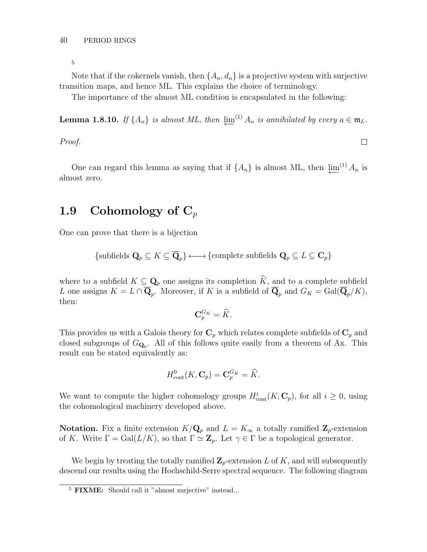5

Note that if the cokernels vanish, then  $\{A_n, d_n\}$  is a projective system with surjective transition maps, and hence ML. This explains the choice of terminology.

The importance of the almost ML condition is encapsulated in the following:

**Lemma 1.8.10.** If  $\{A_n\}$  is almost ML, then  $\varprojlim^{(1)} A_n$  is annihilated by every  $a \in \mathfrak{m}_L$ .

 $\Box$ 

Proof.

One can regard this lemma as saying that if  $\{A_n\}$  is almost ML, then  $\varprojlim^{(1)} A_n$  is almost zero.

# 1.9 Cohomology of  $C_p$

One can prove that there is a bijection

{subfields  $\mathbf{Q}_p \subseteq K \subseteq \overline{\mathbf{Q}}_p$ }  $\longleftrightarrow$  {complete subfields  $\mathbf{Q}_p \subseteq L \subseteq \mathbf{C}_p$ }

where to a subfield  $K \subseteq \mathbf{Q}_p$  one assigns its completion  $\widehat{K}$ , and to a complete subfield L one assigns  $K = L \cap \mathbf{Q}_p$ . Moreover, if K is a subfield of  $\mathbf{Q}_p$  and  $G_K = \text{Gal}(\mathbf{Q}_p/K)$ , then:

$$
\mathbf{C}_p^{G_K} = \widehat{K}.
$$

This provides us with a Galois theory for  $C_p$  which relates complete subfields of  $C_p$  and closed subgroups of  $G_{\mathbf{Q}_p}$ . All of this follows quite easily from a theorem of Ax. This result can be stated equivalently as:

$$
H_{\text{cont}}^{0}(K, \mathbf{C}_{p}) = \mathbf{C}_{p}^{G_{K}} = \widehat{K}.
$$

We want to compute the higher cohomology groups  $H_{\text{cont}}^i(K, \mathbb{C}_p)$ , for all  $i \geq 0$ , using the cohomological machinery developed above.

**Notation.** Fix a finite extension  $K/Q_p$  and  $L = K_\infty$  a totally ramified  $\mathbb{Z}_p$ -extension of K. Write  $\Gamma = \text{Gal}(L/K)$ , so that  $\Gamma \simeq \mathbb{Z}_p$ . Let  $\gamma \in \Gamma$  be a topological generator.

We begin by treating the totally ramified  $\mathbf{Z}_p$ -extension L of K, and will subsequently descend our results using the Hochschild-Serre spectral sequence. The following diagram

<sup>5</sup> FIXME: Should call it "almost surjective" instead...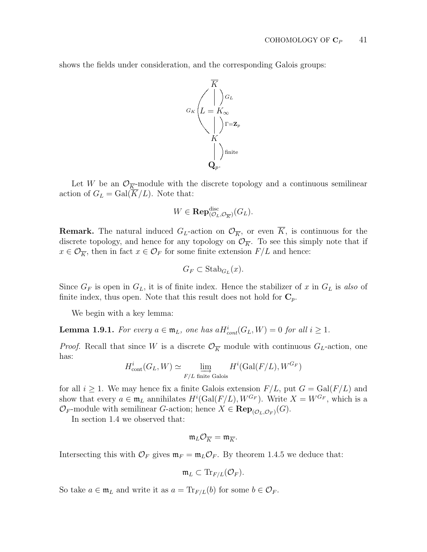shows the fields under consideration, and the corresponding Galois groups:



Let W be an  $\mathcal{O}_{\overline{K}}$ -module with the discrete topology and a continuous semilinear action of  $G_L = \text{Gal}(\overline{K}/L)$ . Note that:

$$
W \in \operatorname{Rep}^{\mathrm{disc}}_{(\mathcal{O}_L, \mathcal{O}_{\overline{K}})}(G_L).
$$

**Remark.** The natural induced  $G_L$ -action on  $\mathcal{O}_{\overline{K}}$ , or even  $\overline{K}$ , is continuous for the discrete topology, and hence for any topology on  $\mathcal{O}_{\overline{K}}$ . To see this simply note that if  $x \in \mathcal{O}_{\overline{K}}$ , then in fact  $x \in \mathcal{O}_F$  for some finite extension  $F/L$  and hence:

$$
G_F \subset \mathrm{Stab}_{G_L}(x).
$$

Since  $G_F$  is open in  $G_L$ , it is of finite index. Hence the stabilizer of x in  $G_L$  is also of finite index, thus open. Note that this result does not hold for  $C_p$ .

We begin with a key lemma:

**Lemma 1.9.1.** For every  $a \in \mathfrak{m}_L$ , one has  $aH_{cont}^i(G_L, W) = 0$  for all  $i \geq 1$ .

*Proof.* Recall that since W is a discrete  $\mathcal{O}_{\overline{K}}$  module with continuous  $G_L$ -action, one has:

$$
H_{\text{cont}}^i(G_L, W) \simeq \varinjlim_{F/L \text{ finite Galois}} H^i(\text{Gal}(F/L), W^{G_F})
$$

for all  $i \geq 1$ . We may hence fix a finite Galois extension  $F/L$ , put  $G = \text{Gal}(F/L)$  and show that every  $a \in \mathfrak{m}_L$  annihilates  $H^i(\text{Gal}(F/L), W^{G_F})$ . Write  $X = W^{G_F}$ , which is a  $\mathcal{O}_F$ -module with semilinear G-action; hence  $X \in \mathbf{Rep}_{(\mathcal{O}_L, \mathcal{O}_F)}(G)$ .

In section 1.4 we observed that:

$$
\mathfrak{m}_L \mathcal{O}_{\overline{K}} = \mathfrak{m}_{\overline{K}}.
$$

Intersecting this with  $\mathcal{O}_F$  gives  $\mathfrak{m}_F = \mathfrak{m}_L \mathcal{O}_F$ . By theorem 1.4.5 we deduce that:

$$
\mathfrak{m}_L \subset \mathrm{Tr}_{F/L}(\mathcal{O}_F).
$$

So take  $a \in \mathfrak{m}_L$  and write it as  $a = \text{Tr}_{F/L}(b)$  for some  $b \in \mathcal{O}_F$ .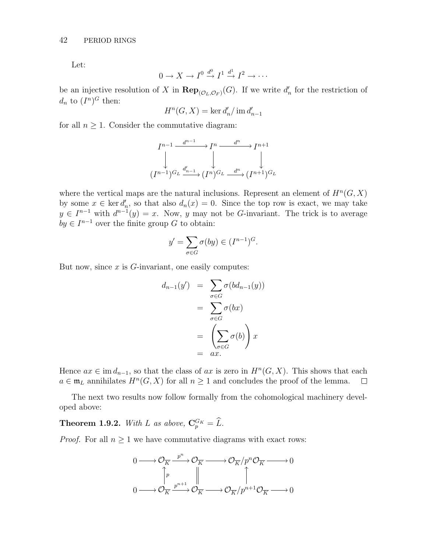Let:

$$
0 \to X \to I^0 \xrightarrow{d^0} I^1 \xrightarrow{d^1} I^2 \to \cdots
$$

be an injective resolution of X in  $\mathbf{Rep}_{(\mathcal{O}_L,\mathcal{O}_F)}(G)$ . If we write  $d'_n$  for the restriction of  $d_n$  to  $(I^n)^G$  then:

$$
H^n(G, X) = \ker d'_n / \operatorname{im} d'_{n-1}
$$

for all  $n \geq 1$ . Consider the commutative diagram:

$$
I^{n-1} \xrightarrow{d^{n-1}} I^n \xrightarrow{d^n} I^{n+1}
$$
  
\n
$$
\downarrow \qquad \qquad \downarrow
$$
  
\n
$$
(I^{n-1})^{G_L} \xrightarrow{d'_{n-1}} (I^n)^{G_L} \xrightarrow{d^n} (I^{n+1})^{G_L}
$$

where the vertical maps are the natural inclusions. Represent an element of  $H<sup>n</sup>(G, X)$ by some  $x \in \text{ker } d'_n$ , so that also  $d_n(x) = 0$ . Since the top row is exact, we may take  $y \in I^{n-1}$  with  $d^{n-1}(y) = x$ . Now, y may not be G-invariant. The trick is to average  $by \in I^{n-1}$  over the finite group G to obtain:

$$
y' = \sum_{\sigma \in G} \sigma(by) \in (I^{n-1})^G.
$$

But now, since  $x$  is  $G$ -invariant, one easily computes:

$$
d_{n-1}(y') = \sum_{\sigma \in G} \sigma(bd_{n-1}(y))
$$
  
= 
$$
\sum_{\sigma \in G} \sigma(bx)
$$
  
= 
$$
\left(\sum_{\sigma \in G} \sigma(b)\right) x
$$
  
= ax.

Hence  $ax \in \text{im } d_{n-1}$ , so that the class of ax is zero in  $H<sup>n</sup>(G, X)$ . This shows that each  $a \in \mathfrak{m}_L$  annihilates  $H^n(G, X)$  for all  $n \geq 1$  and concludes the proof of the lemma.  $\Box$ 

The next two results now follow formally from the cohomological machinery developed above:

**Theorem 1.9.2.** With L as above,  $\mathbf{C}_p^{G_K} = \hat{L}$ .

*Proof.* For all  $n \geq 1$  we have commutative diagrams with exact rows:

$$
\begin{CD} 0 @>>> \mathcal{O}_{\overline{K}} @>{p^n}>> \mathcal{O}_{\overline{K}} @>>> \mathcal{O}_{\overline{K}}/p^n\mathcal{O}_{\overline{K}} @>>> 0 \\ @>> \mathcal{O}_{\overline{K}} @>{p^{n+1}}>> \mathcal{O}_{\overline{K}} @>>> \mathcal{O}_{\overline{K}}/p^{n+1}\mathcal{O}_{\overline{K}} @>>> 0 \\ 0 @>>> \mathcal{O}_{\overline{K}} @>{p^{n+1}}>> \mathcal{O}_{\overline{K}}/p^{n+1}\mathcal{O}_{\overline{K}} @>>> 0 \\ \end{CD}
$$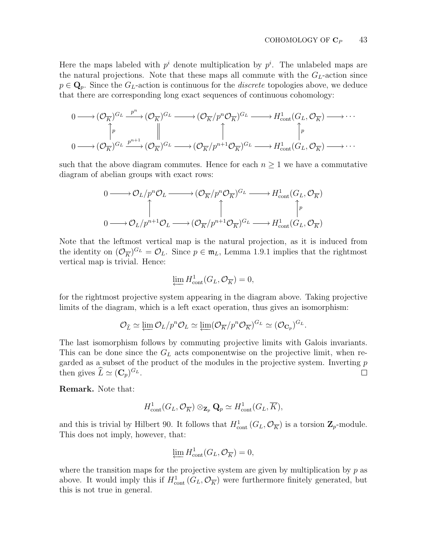Here the maps labeled with  $p^i$  denote multiplication by  $p^i$ . The unlabeled maps are the natural projections. Note that these maps all commute with the  $G<sub>L</sub>$ -action since  $p \in \mathbf{Q}_p$ . Since the  $G_L$ -action is continuous for the *discrete* topologies above, we deduce that there are corresponding long exact sequences of continuous cohomology:

$$
0 \longrightarrow (\mathcal{O}_{\overline{K}})^{G_L} \xrightarrow{p^n} (\mathcal{O}_{\overline{K}})^{G_L} \longrightarrow (\mathcal{O}_{\overline{K}}/p^n\mathcal{O}_{\overline{K}})^{G_L} \longrightarrow H^1_{cont}(G_L, \mathcal{O}_{\overline{K}}) \longrightarrow \cdots
$$
  
\n
$$
\uparrow p
$$
\n
$$
0 \longrightarrow (\mathcal{O}_{\overline{K}})^{G_L} \xrightarrow{p^{n+1}} (\mathcal{O}_{\overline{K}})^{G_L} \longrightarrow (\mathcal{O}_{\overline{K}}/p^{n+1}\mathcal{O}_{\overline{K}})^{G_L} \longrightarrow H^1_{cont}(G_L, \mathcal{O}_{\overline{K}}) \longrightarrow \cdots
$$

such that the above diagram commutes. Hence for each  $n \geq 1$  we have a commutative diagram of abelian groups with exact rows:

$$
\begin{array}{ccc}\n0 & \longrightarrow \mathcal{O}_{L}/p^{n}\mathcal{O}_{L} \longrightarrow (\mathcal{O}_{\overline{K}}/p^{n}\mathcal{O}_{\overline{K}})^{G_{L}} \longrightarrow H_{\text{cont}}^{1}(G_{L}, \mathcal{O}_{\overline{K}}) \\
\uparrow & \uparrow & \uparrow \\
0 & \longrightarrow \mathcal{O}_{L}/p^{n+1}\mathcal{O}_{L} \longrightarrow (\mathcal{O}_{\overline{K}}/p^{n+1}\mathcal{O}_{\overline{K}})^{G_{L}} \longrightarrow H_{\text{cont}}^{1}(G_{L}, \mathcal{O}_{\overline{K}})\n\end{array}
$$

Note that the leftmost vertical map is the natural projection, as it is induced from the identity on  $(\mathcal{O}_{\overline{K}})^{G_L} = \mathcal{O}_L$ . Since  $p \in \mathfrak{m}_L$ , Lemma 1.9.1 implies that the rightmost vertical map is trivial. Hence:

$$
\varprojlim H_{\text{cont}}^1(G_L, \mathcal{O}_{\overline{K}}) = 0,
$$

for the rightmost projective system appearing in the diagram above. Taking projective limits of the diagram, which is a left exact operation, thus gives an isomorphism:

$$
\mathcal{O}_{\widehat{L}} \simeq \varprojlim \mathcal{O}_L/p^n \mathcal{O}_L \simeq \varprojlim (\mathcal{O}_{\overline{K}}/p^n \mathcal{O}_{\overline{K}})^{G_L} \simeq (\mathcal{O}_{\mathbf{C}_p})^{G_L}.
$$

The last isomorphism follows by commuting projective limits with Galois invariants. This can be done since the  $G_L$  acts componentwise on the projective limit, when regarded as a subset of the product of the modules in the projective system. Inverting  $p$ then gives  $\widehat{L} \simeq (\mathbf{C}_p)^{G_L}$ .  $\Box$ 

Remark. Note that:

$$
H^1_{\text{cont}}(G_L, \mathcal{O}_{\overline{K}}) \otimes_{\mathbf{Z}_p} \mathbf{Q}_p \simeq H^1_{\text{cont}}(G_L, \overline{K}),
$$

and this is trivial by Hilbert 90. It follows that  $H^1_{\text{cont}}(G_L, \mathcal{O}_{\overline{K}})$  is a torsion  $\mathbb{Z}_p$ -module. This does not imply, however, that:

$$
\varprojlim H_{\text{cont}}^1(G_L, \mathcal{O}_{\overline{K}}) = 0,
$$

where the transition maps for the projective system are given by multiplication by  $p$  as above. It would imply this if  $H^1_{\text{cont}}(G_L, \mathcal{O}_{\overline{K}})$  were furthermore finitely generated, but this is not true in general.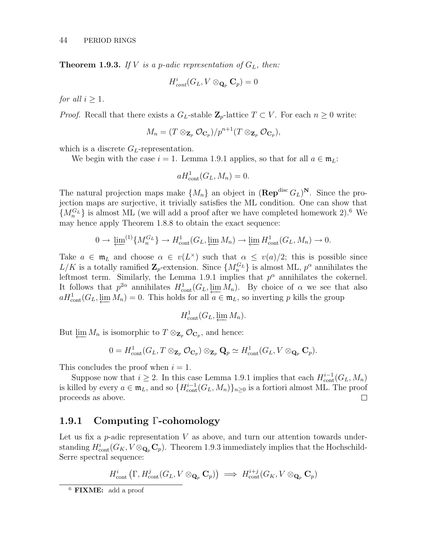**Theorem 1.9.3.** If V is a p-adic representation of  $G_L$ , then:

$$
H^i_{cont}(G_L,V\otimes_{{\mathbf{Q}}_p}{\mathbf{C}}_p)=0
$$

for all  $i \geq 1$ .

*Proof.* Recall that there exists a  $G_L$ -stable  $\mathbb{Z}_p$ -lattice  $T \subset V$ . For each  $n \geq 0$  write:

$$
M_n = (T \otimes_{\mathbf{Z}_p} \mathcal{O}_{\mathbf{C}_p})/p^{n+1}(T \otimes_{\mathbf{Z}_p} \mathcal{O}_{\mathbf{C}_p}),
$$

which is a discrete  $G_L$ -representation.

We begin with the case  $i = 1$ . Lemma 1.9.1 applies, so that for all  $a \in \mathfrak{m}_L$ :

$$
aH_{\text{cont}}^1(G_L, M_n) = 0.
$$

The natural projection maps make  $\{M_n\}$  an object in  $(\mathbf{Rep}^{\text{disc}} G_L)^N$ . Since the projection maps are surjective, it trivially satisfies the ML condition. One can show that  ${M_n^{G_L}}$  is almost ML (we will add a proof after we have completed homework 2).<sup>6</sup> We may hence apply Theorem 1.8.8 to obtain the exact sequence:

$$
0 \to \underline{\lim}^{(1)} \{ M_n^{G_L} \} \to H^1_{\text{cont}}(G_L, \underline{\lim} M_n) \to \underline{\lim} H^1_{\text{cont}}(G_L, M_n) \to 0.
$$

Take  $a \in \mathfrak{m}_L$  and choose  $\alpha \in v(L^{\times})$  such that  $\alpha \leq v(a)/2$ ; this is possible since  $L/K$  is a totally ramified  $\mathbf{Z}_p$ -extension. Since  $\{M_n^{G_L}\}\$ is almost ML,  $p^{\alpha}$  annihilates the leftmost term. Similarly, the Lemma 1.9.1 implies that  $p^{\alpha}$  annihilates the cokernel. It follows that  $p^{2\alpha}$  annihilates  $H^1_{\text{cont}}(G_L, \underleftarrow{\lim}_{L} M_n)$ . By choice of  $\alpha$  we see that also  $aH_{\text{cont}}^1(G_L, \varprojlim M_n) = 0$ . This holds for all  $a \in \mathfrak{m}_L$ , so inverting p kills the group

$$
H^1_{\text{cont}}(G_L, \varprojlim M_n).
$$

But  $\varprojlim M_n$  is isomorphic to  $T \otimes_{\mathbf{Z}_p} \mathcal{O}_{\mathbf{C}_p}$ , and hence:

$$
0 = H^1_{\text{cont}}(G_L, T \otimes_{\mathbf{Z}_p} \mathcal{O}_{\mathbf{C}_p}) \otimes_{\mathbf{Z}_p} \mathbf{Q}_p \simeq H^1_{\text{cont}}(G_L, V \otimes_{\mathbf{Q}_p} \mathbf{C}_p).
$$

This concludes the proof when  $i = 1$ .

Suppose now that  $i \geq 2$ . In this case Lemma 1.9.1 implies that each  $H_{\text{cont}}^{i-1}(G_L, M_n)$ is killed by every  $a \in \mathfrak{m}_L$ , and so  $\{H_{\text{cont}}^{i-1}(G_L, M_n)\}_{n \geq 0}$  is a fortiori almost ML. The proof proceeds as above.  $\Box$ 

# 1.9.1 Computing Γ-cohomology

Let us fix a  $p$ -adic representation  $V$  as above, and turn our attention towards understanding  $H^i_{\text{cont}}(G_K, V \otimes_{\mathbf{Q}_p} \mathbf{C}_p)$ . Theorem 1.9.3 immediately implies that the Hochschild-Serre spectral sequence:

$$
H^i_{\text{cont}}\left(\Gamma, H^j_{\text{cont}}(G_L, V \otimes_{\mathbf{Q}_p} \mathbf{C}_p)\right) \implies H^{i+j}_{\text{cont}}(G_K, V \otimes_{\mathbf{Q}_p} \mathbf{C}_p)
$$

<sup>6</sup> FIXME: add a proof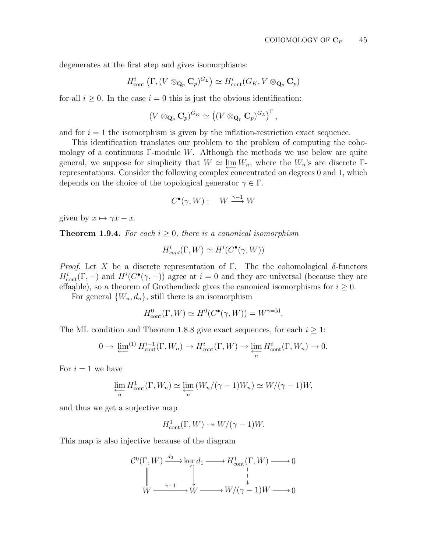degenerates at the first step and gives isomorphisms:

$$
H^i_{\text{cont}}\left(\Gamma,(V\otimes_{\mathbf{Q}_p}\mathbf{C}_p)^{G_L}\right)\simeq H^i_{\text{cont}}(G_K,V\otimes_{\mathbf{Q}_p}\mathbf{C}_p)
$$

for all  $i \geq 0$ . In the case  $i = 0$  this is just the obvious identification:

$$
(V \otimes_{\mathbf{Q}_p} \mathbf{C}_p)^{G_K} \simeq ((V \otimes_{\mathbf{Q}_p} \mathbf{C}_p)^{G_L})^{\Gamma},
$$

and for  $i = 1$  the isomorphism is given by the inflation-restriction exact sequence.

This identification translates our problem to the problem of computing the cohomology of a continuous Γ-module W. Although the methods we use below are quite general, we suppose for simplicity that  $W \simeq \varprojlim W_n$ , where the  $W_n$ 's are discrete Γrepresentations. Consider the following complex concentrated on degrees 0 and 1, which depends on the choice of the topological generator  $\gamma \in \Gamma$ .

$$
C^{\bullet}(\gamma, W): W \xrightarrow{\gamma-1} W
$$

given by  $x \mapsto \gamma x - x$ .

**Theorem 1.9.4.** For each  $i > 0$ , there is a canonical isomorphism

$$
H^i_{cont}(\Gamma, W) \simeq H^i(C^\bullet(\gamma, W))
$$

Proof. Let X be a discrete representation of Γ. The the cohomological δ-functors  $H_{\text{cont}}^i(\Gamma, -)$  and  $H^i(C^{\bullet}(\gamma, -))$  agree at  $i = 0$  and they are universal (because they are effaąble), so a theorem of Grothendieck gives the canonical isomorphisms for  $i \geq 0$ .

For general  $\{W_n, d_n\}$ , still there is an isomorphism

$$
H_{\text{cont}}^0(\Gamma, W) \simeq H^0(C^{\bullet}(\gamma, W)) = W^{\gamma = \text{Id}}.
$$

The ML condition and Theorem 1.8.8 give exact sequences, for each  $i \geq 1$ :

$$
0 \to \varprojlim^{(1)} H^{i-1}_{\text{cont}}(\Gamma, W_n) \to H^i_{\text{cont}}(\Gamma, W) \to \varprojlim_n H^i_{\text{cont}}(\Gamma, W_n) \to 0.
$$

For  $i = 1$  we have

$$
\varprojlim_{n} H^{1}_{\text{cont}}(\Gamma, W_{n}) \simeq \varprojlim_{n} \left( W_{n}/(\gamma - 1)W_{n} \right) \simeq W/(\gamma - 1)W,
$$

and thus we get a surjective map

$$
H^1_{\text{cont}}(\Gamma, W) \twoheadrightarrow W/(\gamma - 1)W.
$$

This map is also injective because of the diagram

$$
\mathcal{C}^0(\Gamma, W) \xrightarrow{d_0} \ker d_1 \longrightarrow H^1_{\text{cont}}(\Gamma, W) \longrightarrow 0
$$
  

$$
\downarrow \qquad \qquad \downarrow
$$
  

$$
W \longrightarrow \overbrace{W \longrightarrow W}^{d_0} \longrightarrow W/(\gamma - 1)W \longrightarrow 0
$$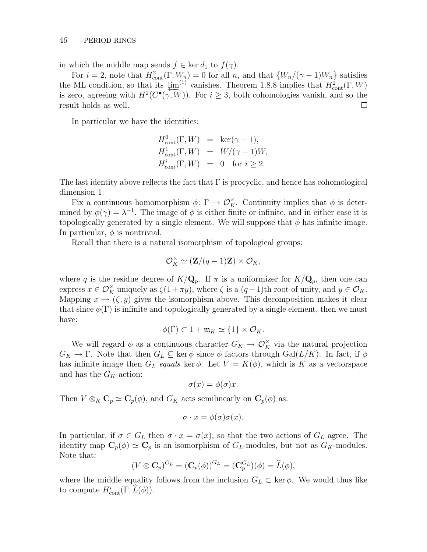in which the middle map sends  $f \in \text{ker } d_1$  to  $f(\gamma)$ .

For  $i = 2$ , note that  $H_{\text{cont}}^2(\Gamma, W_n) = 0$  for all n, and that  $\{W_n/(\gamma - 1)W_n\}$  satisfies the ML condition, so that its  $\lim_{\epsilon \to 0}$  vanishes. Theorem 1.8.8 implies that  $H^2_{\text{cont}}(\Gamma, W)$ is zero, agreeing with  $H^2(C^{\bullet}(\gamma, W))$ . For  $i \geq 3$ , both cohomologies vanish, and so the result holds as well.  $\Box$ 

In particular we have the identities:

$$
H_{\text{cont}}^{0}(\Gamma, W) = \ker(\gamma - 1),
$$
  
\n
$$
H_{\text{cont}}^{1}(\Gamma, W) = W/(\gamma - 1)W,
$$
  
\n
$$
H_{\text{cont}}^{i}(\Gamma, W) = 0 \text{ for } i \geq 2.
$$

The last identity above reflects the fact that  $\Gamma$  is procyclic, and hence has cohomological dimension 1.

Fix a continuous homomorphism  $\phi \colon \Gamma \to \mathcal{O}_K^{\times}$ . Continuity implies that  $\phi$  is determined by  $\phi(\gamma) = \lambda^{-1}$ . The image of  $\phi$  is either finite or infinite, and in either case it is topologically generated by a single element. We will suppose that  $\phi$  has infinite image. In particular,  $\phi$  is nontrivial.

Recall that there is a natural isomorphism of topological groups:

$$
\mathcal{O}_K^{\times} \simeq (\mathbf{Z}/(q-1)\mathbf{Z}) \times \mathcal{O}_K,
$$

where q is the residue degree of  $K/\mathbf{Q}_p$ . If  $\pi$  is a uniformizer for  $K/\mathbf{Q}_p$ , then one can express  $x \in \mathcal{O}_K^{\times}$  uniquely as  $\zeta(1+\pi y)$ , where  $\zeta$  is a  $(q-1)$ th root of unity, and  $y \in \mathcal{O}_K$ . Mapping  $x \mapsto (\zeta, y)$  gives the isomorphism above. This decomposition makes it clear that since  $\phi(\Gamma)$  is infinite and topologically generated by a single element, then we must have:

$$
\phi(\Gamma) \subset 1 + \mathfrak{m}_K \simeq \{1\} \times \mathcal{O}_K.
$$

We will regard  $\phi$  as a continuous character  $G_K \to \mathcal{O}_K^{\times}$  via the natural projection  $G_K \to \Gamma$ . Note that then  $G_L \subseteq \text{ker } \phi$  since  $\phi$  factors through Gal $(L/K)$ . In fact, if  $\phi$ has infinite image then  $G_L$  equals ker  $\phi$ . Let  $V = K(\phi)$ , which is K as a vectorspace and has the  $G_K$  action:

$$
\sigma(x) = \phi(\sigma)x.
$$

Then  $V \otimes_K \mathbf{C}_p \simeq \mathbf{C}_p(\phi)$ , and  $G_K$  acts semilinearly on  $\mathbf{C}_p(\phi)$  as:

$$
\sigma \cdot x = \phi(\sigma)\sigma(x).
$$

In particular, if  $\sigma \in G_L$  then  $\sigma \cdot x = \sigma(x)$ , so that the two actions of  $G_L$  agree. The identity map  $\mathbf{C}_p(\phi) \simeq \mathbf{C}_p$  is an isomorphism of  $G_L$ -modules, but not as  $G_K$ -modules. Note that:

$$
(V \otimes \mathbf{C}_p)^{G_L} = (\mathbf{C}_p(\phi))^{G_L} = (\mathbf{C}_p^{G_L})(\phi) = \widehat{L}(\phi),
$$

where the middle equality follows from the inclusion  $G_L \subset \text{ker } \phi$ . We would thus like to compute  $H^i_{\text{cont}}(\Gamma, \hat{L}(\phi)).$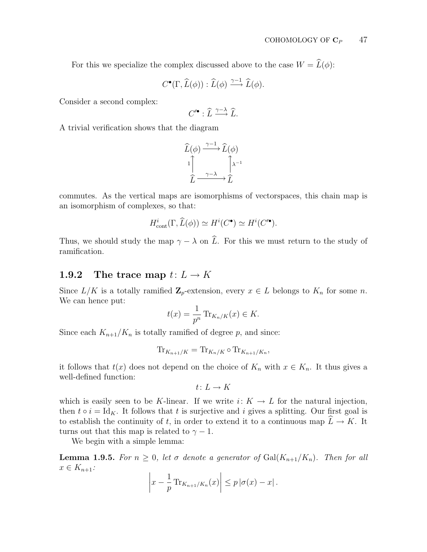For this we specialize the complex discussed above to the case  $W = \widehat{L}(\phi)$ :

$$
C^{\bullet}(\Gamma, \widehat{L}(\phi)) : \widehat{L}(\phi) \xrightarrow{\gamma-1} \widehat{L}(\phi).
$$

Consider a second complex:

$$
C^{\prime \bullet} : \widehat{L} \xrightarrow{\gamma - \lambda} \widehat{L}.
$$

A trivial verification shows that the diagram

$$
\widehat{L}(\phi) \xrightarrow{\gamma-1} \widehat{L}(\phi)
$$

$$
\downarrow \uparrow \qquad \qquad \downarrow \searrow
$$

$$
\widehat{L} \xrightarrow{\gamma-\lambda} \widehat{L}
$$

commutes. As the vertical maps are isomorphisms of vectorspaces, this chain map is an isomorphism of complexes, so that:

$$
H^i_{\text{cont}}(\Gamma, \widehat{L}(\phi)) \simeq H^i(C^{\bullet}) \simeq H^i(C'^{\bullet}).
$$

Thus, we should study the map  $\gamma - \lambda$  on  $\widehat{L}$ . For this we must return to the study of ramification.

# 1.9.2 The trace map  $t: L \to K$

Since  $L/K$  is a totally ramified  $\mathbf{Z}_p$ -extension, every  $x \in L$  belongs to  $K_n$  for some n. We can hence put:

$$
t(x) = \frac{1}{p^n} \operatorname{Tr}_{K_n/K}(x) \in K.
$$

Since each  $K_{n+1}/K_n$  is totally ramified of degree p, and since:

$$
\text{Tr}_{K_{n+1}/K} = \text{Tr}_{K_n/K} \circ \text{Tr}_{K_{n+1}/K_n},
$$

it follows that  $t(x)$  does not depend on the choice of  $K_n$  with  $x \in K_n$ . It thus gives a well-defined function:

$$
t\colon L\to K
$$

which is easily seen to be K-linear. If we write  $i: K \to L$  for the natural injection, then  $t \circ i = \text{Id}_K$ . It follows that t is surjective and i gives a splitting. Our first goal is to establish the continuity of t, in order to extend it to a continuous map  $\widehat{L} \to K$ . It turns out that this map is related to  $\gamma - 1$ .

We begin with a simple lemma:

**Lemma 1.9.5.** For  $n \geq 0$ , let  $\sigma$  denote a generator of  $Gal(K_{n+1}/K_n)$ . Then for all  $x \in K_{n+1}$ :

$$
\left|x - \frac{1}{p} \text{Tr}_{K_{n+1}/K_n}(x)\right| \leq p \left|\sigma(x) - x\right|.
$$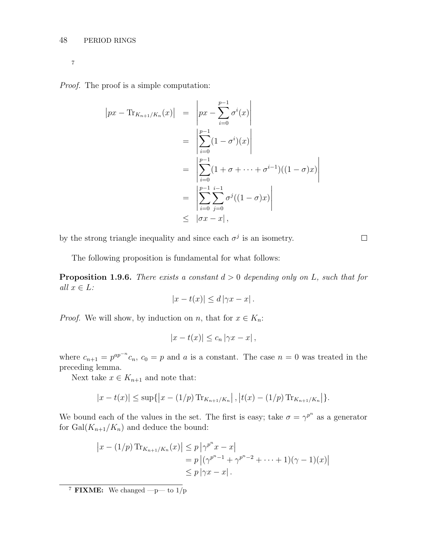7

Proof. The proof is a simple computation:

$$
\begin{aligned}\n|px - \text{Tr}_{K_{n+1}/K_n}(x)| &= \left| px - \sum_{i=0}^{p-1} \sigma^i(x) \right| \\
&= \left| \sum_{i=0}^{p-1} (1 - \sigma^i)(x) \right| \\
&= \left| \sum_{i=0}^{p-1} (1 + \sigma + \dots + \sigma^{i-1})((1 - \sigma)x) \right| \\
&= \left| \sum_{i=0}^{p-1} \sum_{j=0}^{i-1} \sigma^j((1 - \sigma)x) \right| \\
&\leq |\sigma x - x|,\n\end{aligned}
$$

by the strong triangle inequality and since each  $\sigma^j$  is an isometry.

 $\Box$ 

The following proposition is fundamental for what follows:

**Proposition 1.9.6.** There exists a constant  $d > 0$  depending only on L, such that for all  $x \in L$ :

$$
|x - t(x)| \le d |\gamma x - x|.
$$

*Proof.* We will show, by induction on n, that for  $x \in K_n$ :

$$
|x-t(x)| \leq c_n |\gamma x - x| \,,
$$

where  $c_{n+1} = p^{ap^{-n}}c_n$ ,  $c_0 = p$  and a is a constant. The case  $n = 0$  was treated in the preceding lemma.

Next take  $x \in K_{n+1}$  and note that:

$$
|x-t(x)| \le \sup\{|x-(1/p)\operatorname{Tr}_{K_{n+1}/K_n}|, |t(x)-(1/p)\operatorname{Tr}_{K_{n+1}/K_n}|\}.
$$

We bound each of the values in the set. The first is easy; take  $\sigma = \gamma^{p^n}$  as a generator for  $Gal(K_{n+1}/K_n)$  and deduce the bound:

$$
\begin{aligned} \left| x - (1/p) \operatorname{Tr}_{K_{n+1}/K_n}(x) \right| &\le p \left| \gamma^{p^n} x - x \right| \\ &= p \left| (\gamma^{p^n - 1} + \gamma^{p^n - 2} + \dots + 1)(\gamma - 1)(x) \right| \\ &\le p \left| \gamma x - x \right| . \end{aligned}
$$

<sup>7</sup> FIXME: We changed —p— to  $1/p$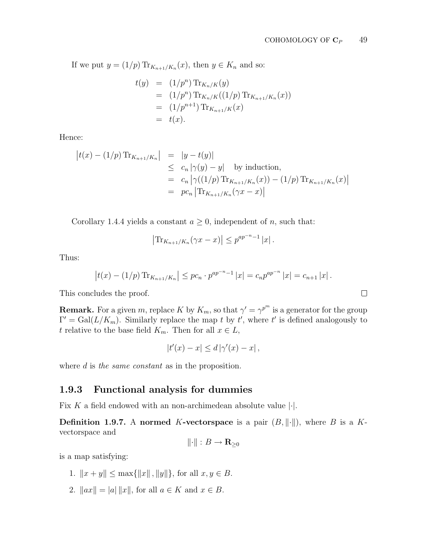$\Box$ 

If we put  $y = (1/p) \operatorname{Tr}_{K_{n+1}/K_n}(x)$ , then  $y \in K_n$  and so:

$$
t(y) = (1/p^n) \operatorname{Tr}_{K_n/K}(y)
$$
  
=  $(1/p^n) \operatorname{Tr}_{K_n/K}((1/p) \operatorname{Tr}_{K_{n+1}/K_n}(x))$   
=  $(1/p^{n+1}) \operatorname{Tr}_{K_{n+1}/K}(x)$   
=  $t(x)$ .

Hence:

$$
|t(x) - (1/p) \operatorname{Tr}_{K_{n+1}/K_n}| = |y - t(y)|
$$
  
\n
$$
\leq c_n |\gamma(y) - y| \text{ by induction,}
$$
  
\n
$$
= c_n |\gamma((1/p) \operatorname{Tr}_{K_{n+1}/K_n}(x)) - (1/p) \operatorname{Tr}_{K_{n+1}/K_n}(x)|
$$
  
\n
$$
= pc_n |\operatorname{Tr}_{K_{n+1}/K_n}(\gamma x - x)|
$$

Corollary 1.4.4 yields a constant  $a \geq 0$ , independent of n, such that:

$$
\left|\text{Tr}_{K_{n+1}/K_n}(\gamma x-x)\right| \leq p^{ap^{-n}-1} |x|.
$$

Thus:

$$
|t(x) - (1/p) \operatorname{Tr}_{K_{n+1}/K_n}| \leq pc_n \cdot p^{ap^{-n}-1} |x| = c_n p^{ap^{-n}} |x| = c_{n+1} |x|.
$$

This concludes the proof.

**Remark.** For a given m, replace K by  $K_m$ , so that  $\gamma' = \gamma^{p^m}$  is a generator for the group  $\Gamma' = \text{Gal}(L/K_m)$ . Similarly replace the map t by t', where t' is defined analogously to t relative to the base field  $K_m$ . Then for all  $x \in L$ ,

$$
|t'(x) - x| \le d |\gamma'(x) - x|,
$$

where d is the same constant as in the proposition.

# 1.9.3 Functional analysis for dummies

Fix K a field endowed with an non-archimedean absolute value  $|\cdot|$ .

**Definition 1.9.7.** A normed K-vector space is a pair  $(B, \|\cdot\|)$ , where B is a Kvectorspace and

$$
\|\!\cdot\!\|: B \to \mathbf{R}_{\geq 0}
$$

is a map satisfying:

- 1.  $||x + y|| \le \max{||x||, ||y||}$ , for all  $x, y \in B$ .
- 2.  $\|ax\| = |a| \|x\|$ , for all  $a \in K$  and  $x \in B$ .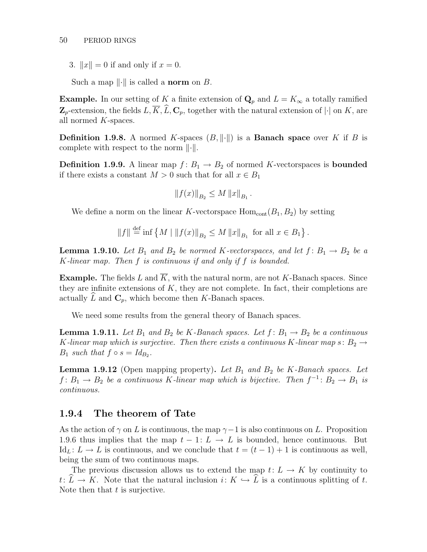3.  $||x|| = 0$  if and only if  $x = 0$ .

Such a map  $\|\cdot\|$  is called a **norm** on B.

**Example.** In our setting of K a finite extension of  $\mathbf{Q}_p$  and  $L = K_\infty$  a totally ramified  $\mathbf{Z}_p$ -extension, the fields  $L, \overline{K}, \widehat{L}, \mathbf{C}_p$ , together with the natural extension of  $|\cdot|$  on K, are all normed K-spaces.

**Definition 1.9.8.** A normed K-spaces  $(B, \|\cdot\|)$  is a **Banach space** over K if B is complete with respect to the norm  $\|\cdot\|$ .

**Definition 1.9.9.** A linear map  $f: B_1 \to B_2$  of normed K-vectorspaces is **bounded** if there exists a constant  $M > 0$  such that for all  $x \in B_1$ 

$$
||f(x)||_{B_2} \leq M ||x||_{B_1}.
$$

We define a norm on the linear K-vector space  $Hom_{cont}(B_1, B_2)$  by setting

$$
||f|| \stackrel{\text{def}}{=} \inf \{ M \mid ||f(x)||_{B_2} \le M ||x||_{B_1} \text{ for all } x \in B_1 \}.
$$

**Lemma 1.9.10.** Let  $B_1$  and  $B_2$  be normed K-vectorspaces, and let  $f: B_1 \rightarrow B_2$  be a K-linear map. Then  $f$  is continuous if and only if  $f$  is bounded.

**Example.** The fields L and  $\overline{K}$ , with the natural norm, are not K-Banach spaces. Since they are infinite extensions of  $K$ , they are not complete. In fact, their completions are actually L and  $\mathbf{C}_p$ , which become then K-Banach spaces.

We need some results from the general theory of Banach spaces.

**Lemma 1.9.11.** Let  $B_1$  and  $B_2$  be K-Banach spaces. Let  $f: B_1 \rightarrow B_2$  be a continuous K-linear map which is surjective. Then there exists a continuous K-linear map  $s: B_2 \rightarrow$  $B_1$  such that  $f \circ s = Id_{B_2}$ .

**Lemma 1.9.12** (Open mapping property). Let  $B_1$  and  $B_2$  be K-Banach spaces. Let  $f: B_1 \to B_2$  be a continuous K-linear map which is bijective. Then  $f^{-1}: B_2 \to B_1$  is continuous.

## 1.9.4 The theorem of Tate

As the action of  $\gamma$  on L is continuous, the map  $\gamma-1$  is also continuous on L. Proposition 1.9.6 thus implies that the map  $t-1: L \to L$  is bounded, hence continuous. But Id<sub>L</sub>:  $L \rightarrow L$  is continuous, and we conclude that  $t = (t - 1) + 1$  is continuous as well, being the sum of two continuous maps.

The previous discussion allows us to extend the map  $t: L \to K$  by continuity to  $t: L \to K$ . Note that the natural inclusion  $i: K \hookrightarrow L$  is a continuous splitting of t. Note then that  $t$  is surjective.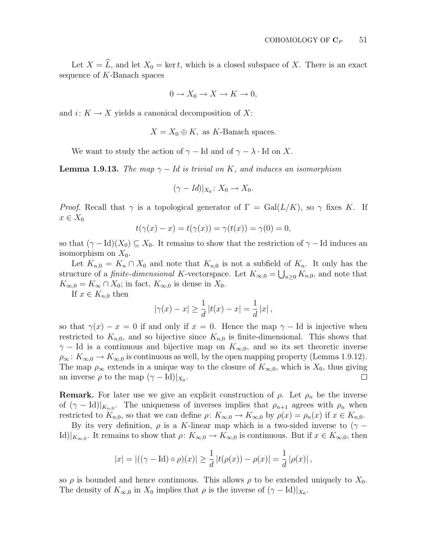Let  $X = \widehat{L}$ , and let  $X_0 = \ker t$ , which is a closed subspace of X. There is an exact sequence of K-Banach spaces

$$
0 \to X_0 \to X \to K \to 0,
$$

and  $i: K \to X$  yields a canonical decomposition of X:

 $X = X_0 \oplus K$ , as K-Banach spaces.

We want to study the action of  $\gamma$  – Id and of  $\gamma - \lambda \cdot$  Id on X.

**Lemma 1.9.13.** The map  $\gamma$  – Id is trivial on K, and induces an isomorphism

$$
(\gamma - Id)|_{X_0}: X_0 \to X_0.
$$

*Proof.* Recall that  $\gamma$  is a topological generator of  $\Gamma = \text{Gal}(L/K)$ , so  $\gamma$  fixes K. If  $x \in X_0$ 

$$
t(\gamma(x) - x) = t(\gamma(x)) = \gamma(t(x)) = \gamma(0) = 0,
$$

so that  $(\gamma - Id)(X_0) \subseteq X_0$ . It remains to show that the restriction of  $\gamma - Id$  induces an isomorphism on  $X_0$ .

Let  $K_{n,0} = K_n \cap X_0$  and note that  $K_{n,0}$  is not a subfield of  $K_n$ . It only has the structure of a *finite-dimensional K*-vectorspace. Let  $K_{\infty,0} = \bigcup_{n\geq 0} K_{n,0}$ , and note that  $K_{\infty,0} = K_{\infty} \cap X_0$ ; in fact,  $K_{\infty,0}$  is dense in  $X_0$ .

If  $x \in K_{n,0}$  then

$$
|\gamma(x) - x| \ge \frac{1}{d} |t(x) - x| = \frac{1}{d} |x|,
$$

so that  $\gamma(x) - x = 0$  if and only if  $x = 0$ . Hence the map  $\gamma -$  Id is injective when restricted to  $K_{n,0}$ , and so bijective since  $K_{n,0}$  is finite-dimensional. This shows that  $\gamma$  – Id is a continuous and bijective map on  $K_{\infty,0}$ , and so its set theoretic inverse  $\rho_{\infty} : K_{\infty,0} \to K_{\infty,0}$  is continuous as well, by the open mapping property (Lemma 1.9.12). The map  $\rho_{\infty}$  extends in a unique way to the closure of  $K_{\infty,0}$ , which is  $X_0$ , thus giving an inverse  $\rho$  to the map  $(\gamma - Id)|_{X_0}$ .  $\Box$ 

**Remark.** For later use we give an explicit construction of  $\rho$ . Let  $\rho_n$  be the inverse of  $(\gamma - Id)|_{K_{n,0}}$ . The uniqueness of inverses implies that  $\rho_{n+1}$  agrees with  $\rho_n$  when restricted to  $K_{n,0}$ , so that we can define  $\rho: K_{\infty,0} \to K_{\infty,0}$  by  $\rho(x) = \rho_n(x)$  if  $x \in K_{n,0}$ .

By its very definition,  $\rho$  is a K-linear map which is a two-sided inverse to ( $\gamma$  – Id) $|K_{\infty,0}$ . It remains to show that  $\rho: K_{\infty,0} \to K_{\infty,0}$  is continuous. But if  $x \in K_{\infty,0}$ , then

$$
|x| = |((\gamma - \text{Id}) \circ \rho)(x)| \ge \frac{1}{d} |t(\rho(x)) - \rho(x)| = \frac{1}{d} |\rho(x)|,
$$

so  $\rho$  is bounded and hence continuous. This allows  $\rho$  to be extended uniquely to  $X_0$ . The density of  $K_{\infty,0}$  in  $X_0$  implies that  $\rho$  is the inverse of  $(\gamma - \mathrm{Id})|_{X_0}$ .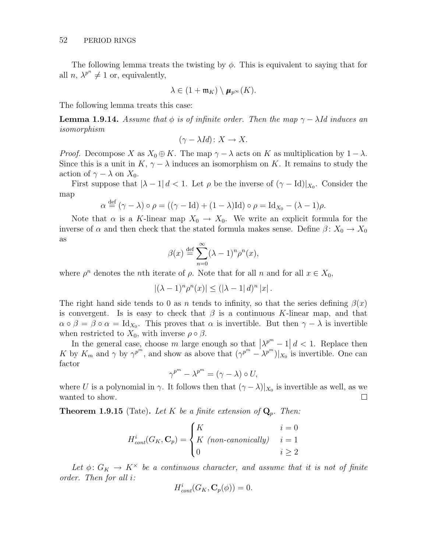The following lemma treats the twisting by  $\phi$ . This is equivalent to saying that for all  $n, \lambda^{p^n} \neq 1$  or, equivalently,

$$
\lambda \in (1 + \mathfrak{m}_K) \setminus \mu_{p^{\infty}}(K).
$$

The following lemma treats this case:

**Lemma 1.9.14.** Assume that  $\phi$  is of infinite order. Then the map  $\gamma - \lambda Id$  induces an isomorphism

$$
(\gamma - \lambda Id) \colon X \to X.
$$

*Proof.* Decompose X as  $X_0 \oplus K$ . The map  $\gamma - \lambda$  acts on K as multiplication by  $1 - \lambda$ . Since this is a unit in  $K$ ,  $\gamma - \lambda$  induces an isomorphism on K. It remains to study the action of  $\gamma - \lambda$  on  $X_0$ .

First suppose that  $|\lambda - 1| d < 1$ . Let  $\rho$  be the inverse of  $(\gamma - Id)|_{X_0}$ . Consider the map

$$
\alpha \stackrel{\text{def}}{=} (\gamma - \lambda) \circ \rho = ((\gamma - \text{Id}) + (1 - \lambda) \text{Id}) \circ \rho = \text{Id}_{X_0} - (\lambda - 1)\rho.
$$

Note that  $\alpha$  is a K-linear map  $X_0 \to X_0$ . We write an explicit formula for the inverse of  $\alpha$  and then check that the stated formula makes sense. Define  $\beta \colon X_0 \to X_0$ as

$$
\beta(x) \stackrel{\text{def}}{=} \sum_{n=0}^{\infty} (\lambda - 1)^n \rho^n(x),
$$

where  $\rho^n$  denotes the *n*th iterate of  $\rho$ . Note that for all *n* and for all  $x \in X_0$ ,

$$
|(\lambda - 1)^n \rho^n(x)| \le (|\lambda - 1| d)^n |x|.
$$

The right hand side tends to 0 as n tends to infinity, so that the series defining  $\beta(x)$ is convergent. Is is easy to check that  $\beta$  is a continuous K-linear map, and that  $\alpha \circ \beta = \beta \circ \alpha = \text{Id}_{X_0}$ . This proves that  $\alpha$  is invertible. But then  $\gamma - \lambda$  is invertible when restricted to  $X_0$ , with inverse  $\rho \circ \beta$ .

In the general case, choose m large enough so that  $\left|\lambda^{p^m}-1\right|d<1$ . Replace then K by  $K_m$  and  $\gamma$  by  $\gamma^{p^m}$ , and show as above that  $(\gamma^{p^m} - \lambda^{p^m})|_{X_0}$  is invertible. One can factor

$$
\gamma^{p^m} - \lambda^{p^m} = (\gamma - \lambda) \circ U,
$$

where U is a polynomial in  $\gamma$ . It follows then that  $(\gamma - \lambda)|_{X_0}$  is invertible as well, as we wanted to show.  $\Box$ 

**Theorem 1.9.15** (Tate). Let K be a finite extension of  $\mathbf{Q}_p$ . Then:

$$
H_{cont}^{i}(G_{K}, \mathbf{C}_{p}) = \begin{cases} K & i = 0\\ K \ (non-canonically) & i = 1\\ 0 & i \ge 2 \end{cases}
$$

Let  $\phi: G_K \to K^\times$  be a continuous character, and assume that it is not of finite order. Then for all i:

$$
H_{cont}^{i}(G_K, \mathbf{C}_p(\phi)) = 0.
$$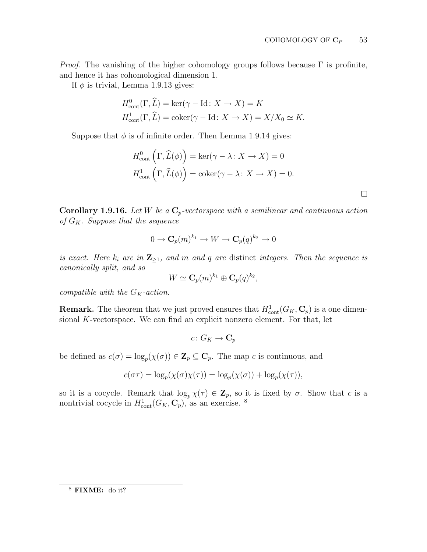$\Box$ 

*Proof.* The vanishing of the higher cohomology groups follows because  $\Gamma$  is profinite, and hence it has cohomological dimension 1.

If  $\phi$  is trivial, Lemma 1.9.13 gives:

$$
H_{\text{cont}}^{0}(\Gamma, \widehat{L}) = \ker(\gamma - \text{Id}: X \to X) = K
$$
  

$$
H_{\text{cont}}^{1}(\Gamma, \widehat{L}) = \text{coker}(\gamma - \text{Id}: X \to X) = X/X_0 \simeq K.
$$

Suppose that  $\phi$  is of infinite order. Then Lemma 1.9.14 gives:

$$
H_{\text{cont}}^{0}\left(\Gamma, \widehat{L}(\phi)\right) = \ker(\gamma - \lambda \colon X \to X) = 0
$$

$$
H_{\text{cont}}^{1}\left(\Gamma, \widehat{L}(\phi)\right) = \text{coker}(\gamma - \lambda \colon X \to X) = 0.
$$

**Corollary 1.9.16.** Let W be a  $C_p$ -vectorspace with a semilinear and continuous action of  $G_K$ . Suppose that the sequence

$$
0 \to \mathbf{C}_p(m)^{k_1} \to W \to \mathbf{C}_p(q)^{k_2} \to 0
$$

is exact. Here  $k_i$  are in  $\mathbb{Z}_{\geq 1}$ , and m and q are distinct integers. Then the sequence is canonically split, and so

$$
W \simeq \mathbf{C}_p(m)^{k_1} \oplus \mathbf{C}_p(q)^{k_2},
$$

compatible with the  ${\cal G}_K\mbox{-action}.$ 

**Remark.** The theorem that we just proved ensures that  $H^1_{\text{cont}}(G_K, \mathbb{C}_p)$  is a one dimensional K-vectorspace. We can find an explicit nonzero element. For that, let

$$
c\colon G_K\to\mathbf{C}_p
$$

be defined as  $c(\sigma) = \log_p(\chi(\sigma)) \in \mathbb{Z}_p \subseteq \mathbb{C}_p$ . The map c is continuous, and

$$
c(\sigma\tau) = \log_p(\chi(\sigma)\chi(\tau)) = \log_p(\chi(\sigma)) + \log_p(\chi(\tau)),
$$

so it is a cocycle. Remark that  $\log_p \chi(\tau) \in \mathbb{Z}_p$ , so it is fixed by  $\sigma$ . Show that c is a nontrivial cocycle in  $H^1_{\text{cont}}(G_K, \mathbf{C}_p)$ , as an exercise. <sup>8</sup>

<sup>8</sup> FIXME: do it?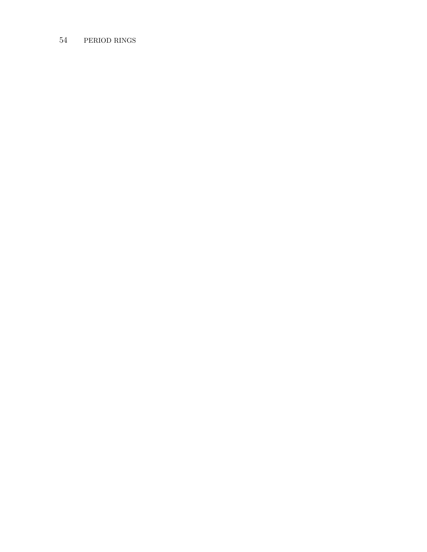# PERIOD RINGS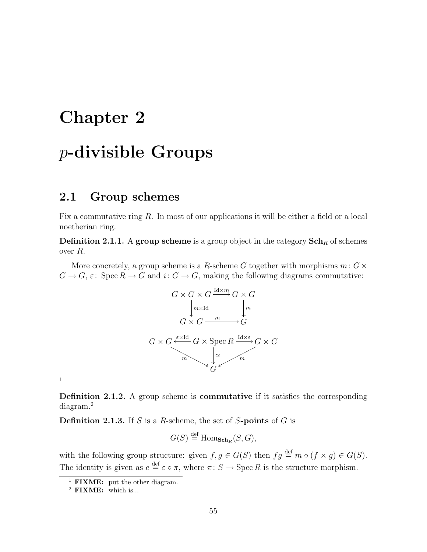# Chapter 2 p-divisible Groups

# 2.1 Group schemes

Fix a commutative ring R. In most of our applications it will be either a field or a local noetherian ring.

**Definition 2.1.1.** A group scheme is a group object in the category  $\text{Sch}_R$  of schemes over R.

More concretely, a group scheme is a R-scheme G together with morphisms  $m: G \times$  $G \to G$ ,  $\varepsilon$ : Spec  $R \to G$  and  $i: G \to G$ , making the following diagrams commutative:



1

Definition 2.1.2. A group scheme is **commutative** if it satisfies the corresponding diagram.<sup>2</sup>

**Definition 2.1.3.** If S is a R-scheme, the set of S-points of G is

$$
G(S) \stackrel{\text{def}}{=} \text{Hom}_{\text{Sch}_R}(S, G),
$$

with the following group structure: given  $f, g \in G(S)$  then  $fg \stackrel{\text{def}}{=} m \circ (f \times g) \in G(S)$ . The identity is given as  $e \stackrel{\text{def}}{=} \varepsilon \circ \pi$ , where  $\pi \colon S \to \text{Spec } R$  is the structure morphism.

<sup>&</sup>lt;sup>1</sup> FIXME: put the other diagram.

<sup>2</sup> FIXME: which is...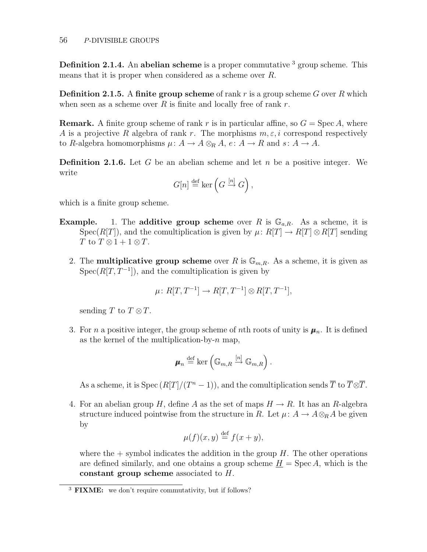**Definition 2.1.4.** An abelian scheme is a proper commutative  $3$  group scheme. This means that it is proper when considered as a scheme over R.

**Definition 2.1.5.** A finite group scheme of rank r is a group scheme G over R which when seen as a scheme over  $R$  is finite and locally free of rank  $r$ .

**Remark.** A finite group scheme of rank r is in particular affine, so  $G = \text{Spec } A$ , where A is a projective R algebra of rank r. The morphisms  $m, \varepsilon, i$  correspond respectively to R-algebra homomorphisms  $\mu: A \to A \otimes_R A$ ,  $e: A \to R$  and  $s: A \to A$ .

**Definition 2.1.6.** Let G be an abelian scheme and let n be a positive integer. We write

$$
G[n] \stackrel{\text{def}}{=} \ker \left( G \stackrel{[n]}{\to} G \right),
$$

which is a finite group scheme.

- **Example.** 1. The additive group scheme over R is  $\mathbb{G}_{a,R}$ . As a scheme, it is  $Spec(R[T])$ , and the comultiplication is given by  $\mu: R[T] \to R[T] \otimes R[T]$  sending T to  $T \otimes 1 + 1 \otimes T$ .
	- 2. The **multiplicative group scheme** over R is  $\mathbb{G}_{m,R}$ . As a scheme, it is given as  $Spec(R[T, T^{-1}])$ , and the comultiplication is given by

$$
\mu\colon R[T, T^{-1}] \to R[T, T^{-1}] \otimes R[T, T^{-1}],
$$

sending T to  $T \otimes T$ .

3. For n a positive integer, the group scheme of nth roots of unity is  $\mu_n$ . It is defined as the kernel of the multiplication-by- $n$  map,

$$
\mu_n \stackrel{\text{def}}{=} \ker \left( \mathbb{G}_{m,R} \stackrel{[n]}{\to} \mathbb{G}_{m,R} \right).
$$

As a scheme, it is Spec  $(R[T]/(T^n-1))$ , and the comultiplication sends  $\overline{T}$  to  $\overline{T} \otimes \overline{T}$ .

4. For an abelian group H, define A as the set of maps  $H \to R$ . It has an R-algebra structure induced pointwise from the structure in R. Let  $\mu: A \to A \otimes_R A$  be given by

$$
\mu(f)(x, y) \stackrel{\text{def}}{=} f(x+y),
$$

where the  $+$  symbol indicates the addition in the group H. The other operations are defined similarly, and one obtains a group scheme  $H = \text{Spec } A$ , which is the constant group scheme associated to H.

<sup>&</sup>lt;sup>3</sup> FIXME: we don't require commutativity, but if follows?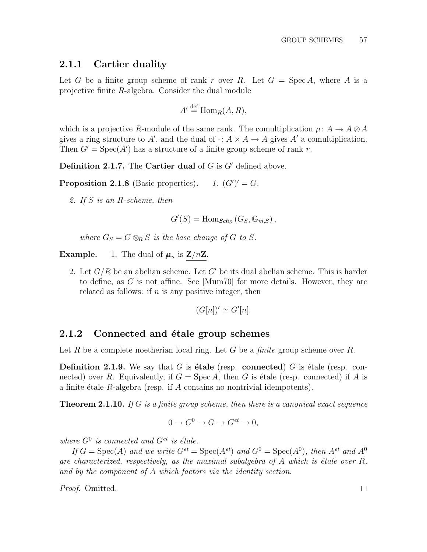## 2.1.1 Cartier duality

Let G be a finite group scheme of rank r over R. Let  $G = \text{Spec } A$ , where A is a projective finite R-algebra. Consider the dual module

$$
A' \stackrel{\text{def}}{=} \text{Hom}_R(A, R),
$$

which is a projective R-module of the same rank. The comultiplication  $\mu: A \to A \otimes A$ gives a ring structure to A', and the dual of  $\cdot: A \times A \rightarrow A$  gives A' a comultiplication. Then  $G' = \text{Spec}(A')$  has a structure of a finite group scheme of rank r.

**Definition 2.1.7.** The **Cartier dual** of  $G$  is  $G'$  defined above.

Proposition 2.1.8 (Basic properties).  $)' = G.$ 

2. If S is an R-scheme, then

 $G'(S) = \text{Hom}_{\mathcal{S}\mathcal{C}\mathcal{h}_S} (G_S, \mathbb{G}_{m,S}),$ 

where  $G_S = G \otimes_R S$  is the base change of G to S.

**Example.** 1. The dual of  $\mu_n$  is  $\mathbf{Z}/n\mathbf{Z}$ .

2. Let  $G/R$  be an abelian scheme. Let G' be its dual abelian scheme. This is harder to define, as G is not affine. See [Mum70] for more details. However, they are related as follows: if  $n$  is any positive integer, then

$$
(G[n])' \simeq G'[n].
$$

## 2.1.2 Connected and étale group schemes

Let R be a complete noetherian local ring. Let G be a *finite* group scheme over R.

**Definition 2.1.9.** We say that G is **étale** (resp. connected) G is étale (resp. connected) over R. Equivalently, if  $G = \operatorname{Spec} A$ , then G is étale (resp. connected) if A is a finite étale  $R$ -algebra (resp. if  $A$  contains no nontrivial idempotents).

**Theorem 2.1.10.** If G is a finite group scheme, then there is a canonical exact sequence

$$
0 \to G^0 \to G \to G^{et} \to 0,
$$

where  $G^0$  is connected and  $G^{et}$  is étale.

If  $G = \text{Spec}(A)$  and we write  $G^{et} = \text{Spec}(A^{et})$  and  $G^0 = \text{Spec}(A^0)$ , then  $A^{et}$  and  $A^0$ are characterized, respectively, as the maximal subalgebra of  $A$  which is étale over  $R$ , and by the component of A which factors via the identity section.

Proof. Omitted.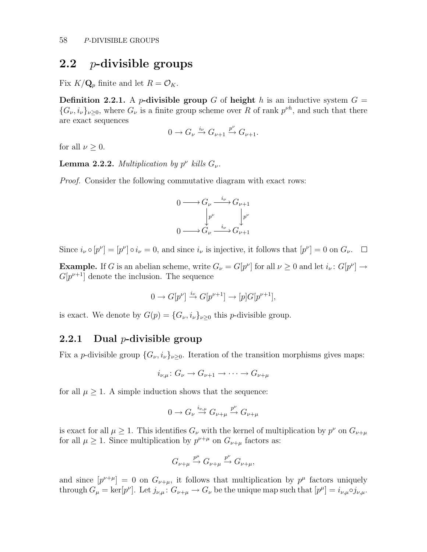# 2.2 *p*-divisible groups

Fix  $K/\mathbf{Q}_p$  finite and let  $R = \mathcal{O}_K$ .

**Definition 2.2.1.** A *p*-divisible group G of height h is an inductive system  $G =$  $\{G_{\nu}, i_{\nu}\}_{\nu \geq 0}$ , where  $G_{\nu}$  is a finite group scheme over R of rank  $p^{\nu h}$ , and such that there are exact sequences

$$
0 \to G_{\nu} \xrightarrow{i_{\nu}} G_{\nu+1} \xrightarrow{p^{\nu}} G_{\nu+1}.
$$

for all  $\nu \geq 0$ .

**Lemma 2.2.2.** Multiplication by  $p^{\nu}$  kills  $G_{\nu}$ .

Proof. Consider the following commutative diagram with exact rows:

$$
\begin{array}{ccc}\n0 & \longrightarrow & G_{\nu} \xrightarrow{i_{\nu}} & G_{\nu+1} \\
 & \downarrow^{p^{\nu}} & \downarrow^{p^{\nu}} \\
0 & \longrightarrow & G_{\nu} \xrightarrow{i_{\nu}} & G_{\nu+1}\n\end{array}
$$

Since  $i_{\nu} \circ [p^{\nu}] = [p^{\nu}] \circ i_{\nu} = 0$ , and since  $i_{\nu}$  is injective, it follows that  $[p^{\nu}] = 0$  on  $G_{\nu}$ .

**Example.** If G is an abelian scheme, write  $G_{\nu} = G[p^{\nu}]$  for all  $\nu \geq 0$  and let  $i_{\nu} : G[p^{\nu}] \rightarrow$  $G[p^{\nu+1}]$  denote the inclusion. The sequence

$$
0 \to G[p^{\nu}] \xrightarrow{i_{\nu}} G[p^{\nu+1}] \to [p]G[p^{\nu+1}],
$$

is exact. We denote by  $G(p) = \{G_{\nu}, i_{\nu}\}_{{\nu} \geq 0}$  this *p*-divisible group.

# 2.2.1 Dual p-divisible group

Fix a *p*-divisible group  $\{G_{\nu}, i_{\nu}\}_{\nu \geq 0}$ . Iteration of the transition morphisms gives maps:

$$
i_{\nu,\mu} \colon G_{\nu} \to G_{\nu+1} \to \cdots \to G_{\nu+\mu}
$$

for all  $\mu \geq 1$ . A simple induction shows that the sequence:

$$
0 \to G_{\nu} \stackrel{i_{\nu,\mu}}{\to} G_{\nu+\mu} \stackrel{p^{\nu}}{\to} G_{\nu+\mu}
$$

is exact for all  $\mu \geq 1$ . This identifies  $G_{\nu}$  with the kernel of multiplication by  $p^{\nu}$  on  $G_{\nu+\mu}$ for all  $\mu \geq 1$ . Since multiplication by  $p^{\nu+\mu}$  on  $G_{\nu+\mu}$  factors as:

$$
G_{\nu+\mu} \stackrel{p^{\mu}}{\rightarrow} G_{\nu+\mu} \stackrel{p^{\nu}}{\rightarrow} G_{\nu+\mu},
$$

and since  $[p^{\nu+\mu}] = 0$  on  $G_{\nu+\mu}$ , it follows that multiplication by  $p^{\mu}$  factors uniquely through  $G_{\mu} = \ker[p^{\nu}]$ . Let  $j_{\nu,\mu} : G_{\nu+\mu} \to G_{\nu}$  be the unique map such that  $[p^{\mu}] = i_{\nu,\mu} \circ j_{\nu,\mu}$ .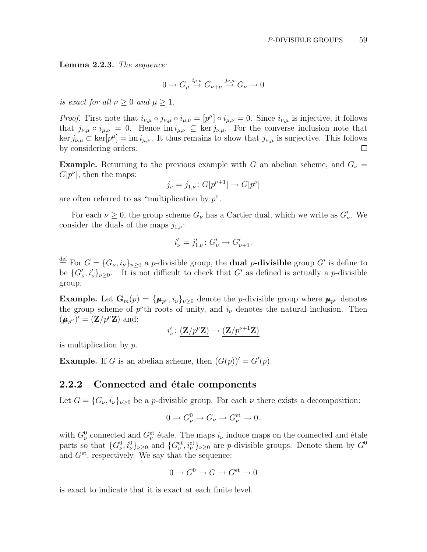Lemma 2.2.3. The sequence:

$$
0 \to G_{\mu} \stackrel{i_{\mu,\nu}}{\to} G_{\nu+\mu} \stackrel{j_{\nu,\mu}}{\to} G_{\nu} \to 0
$$

is exact for all  $\nu \geq 0$  and  $\mu \geq 1$ .

*Proof.* First note that  $i_{\nu,\mu} \circ j_{\nu,\mu} \circ i_{\mu,\nu} = [p^{\mu}] \circ i_{\mu,\nu} = 0$ . Since  $i_{\nu,\mu}$  is injective, it follows that  $j_{\nu,\mu} \circ i_{\mu,\nu} = 0$ . Hence  $\text{im } i_{\mu,\nu} \subseteq \text{ker } j_{\nu,\mu}$ . For the converse inclusion note that  $\ker j_{\nu,\mu} \subset \ker[p^{\mu}] = \mathrm{im} i_{\mu,\nu}$ . It thus remains to show that  $j_{\nu,\mu}$  is surjective. This follows by considering orders.  $\Box$ 

**Example.** Returning to the previous example with G an abelian scheme, and  $G_{\nu}$  =  $G[p^{\nu}]$ , then the maps:

$$
j_{\nu} = j_{1,\nu} \colon G[p^{\nu+1}] \to G[p^{\nu}]
$$

are often referred to as "multiplication by  $p$ ".

For each  $\nu \geq 0$ , the group scheme  $G_{\nu}$  has a Cartier dual, which we write as  $G'_{\nu}$ . We consider the duals of the maps  $j_{1,\nu}$ :

$$
i'_{\nu} = j'_{1,\nu} \colon G'_{\nu} \to G'_{\nu+1}.
$$

 $\stackrel{\text{def}}{=}$  For  $G = \{G_{\nu}, i_{\nu}\}_{n \geq 0}$  a *p*-divisible group, the **dual** *p***-divisible** group G' is define to be  $\{G'_{\nu}, i'_{\nu}\}_{\nu \geq 0}$ . It is not difficult to check that G' as defined is actually a p-divisible group.

**Example.** Let  $\mathbf{G}_m(p) = {\mu_{p^{\nu}}, i_{\nu}}_{\nu \geq 0}$  denote the *p*-divisible group where  $\mu_{p^{\nu}}$  denotes the group scheme of  $p^{\nu}$ th roots of unity, and  $i_{\nu}$  denotes the natural inclusion. Then  $(\mu_{p^{\nu}})' = (\mathbf{Z}/p^{\nu}\mathbf{Z})$  and:

$$
i'_{\nu} \colon \underline{(\mathbf{Z}/p^{\nu}\mathbf{Z})} \to \underline{(\mathbf{Z}/p^{\nu+1}\mathbf{Z})}
$$

is multiplication by  $p$ .

**Example.** If G is an abelian scheme, then  $(G(p))' = G'(p)$ .

# 2.2.2 Connected and étale components

Let  $G = \{G_{\nu}, i_{\nu}\}_{\nu>0}$  be a *p*-divisible group. For each  $\nu$  there exists a decomposition:

$$
0 \to G_{\nu}^{0} \to G_{\nu} \to G_{\nu}^{\text{et}} \to 0.
$$

with  $G^0_\nu$  connected and  $G^{\text{et}}_\nu$  étale. The maps  $i_\nu$  induce maps on the connected and étale parts so that  $\{G_\nu^0, i_\nu^0\}_{\nu\geq 0}$  and  $\{G_\nu^{\text{et}}, i_\nu^{\text{et}}\}_{\nu\geq 0}$  are *p*-divisible groups. Denote them by  $G^0$ and  $G^{\text{et}}$ , respectively. We say that the sequence:

$$
0 \to G^0 \to G \to G^{\text{et}} \to 0
$$

is exact to indicate that it is exact at each finite level.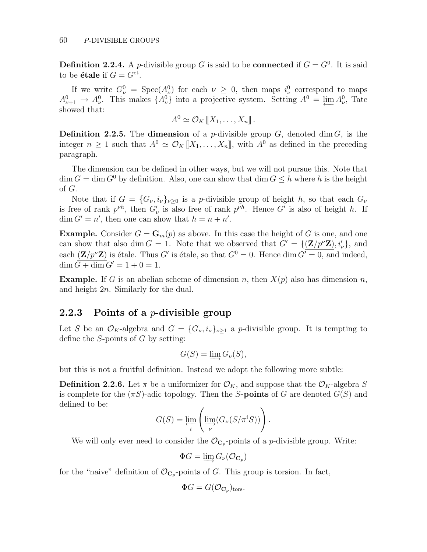**Definition 2.2.4.** A *p*-divisible group G is said to be **connected** if  $G = G^0$ . It is said to be **étale** if  $G = G^{\text{et}}$ .

If we write  $G_{\nu}^0 = \text{Spec}(A_{\nu}^0)$  for each  $\nu \geq 0$ , then maps  $i_{\nu}^0$  correspond to maps  $A_{\nu+1}^0 \to A_{\nu}^0$ . This makes  $\{A_{\nu}^0\}$  into a projective system. Setting  $A^0 = \varprojlim A_{\nu}^0$ , Tate showed that:

$$
A^0 \simeq \mathcal{O}_K[[X_1,\ldots,X_n]].
$$

**Definition 2.2.5.** The **dimension** of a *p*-divisible group  $G$ , denoted dim  $G$ , is the integer  $n \geq 1$  such that  $A^0 \simeq \mathcal{O}_K[[X_1, \ldots, X_n]]$ , with  $A^0$  as defined in the preceding paragraph.

The dimension can be defined in other ways, but we will not pursue this. Note that  $\dim G = \dim G^0$  by definition. Also, one can show that  $\dim G \leq h$  where h is the height of G.

Note that if  $G = \{G_{\nu}, i_{\nu}\}_{\nu \geq 0}$  is a *p*-divisible group of height *h*, so that each  $G_{\nu}$ is free of rank  $p^{\nu h}$ , then  $G'_{\nu}$  is also free of rank  $p^{\nu h}$ . Hence  $G'$  is also of height h. If  $\dim G' = n'$ , then one can show that  $h = n + n'$ .

**Example.** Consider  $G = \mathbf{G}_m(p)$  as above. In this case the height of G is one, and one can show that also dim  $G = 1$ . Note that we observed that  $G' = \{(\mathbf{Z}/p^{\nu}\mathbf{Z}), i'_{\nu}\}\$ , and each  $(\mathbf{Z}/p^{\nu}\mathbf{Z})$  is étale. Thus G' is étale, so that  $G^0 = 0$ . Hence dim  $G' = 0$ , and indeed,  $\dim \overline{G + \dim G'} = 1 + 0 = 1.$ 

**Example.** If G is an abelian scheme of dimension n, then  $X(p)$  also has dimension n, and height 2n. Similarly for the dual.

## 2.2.3 Points of a *p*-divisible group

Let S be an  $\mathcal{O}_K$ -algebra and  $G = \{G_\nu, i_\nu\}_{\nu \geq 1}$  a p-divisible group. It is tempting to define the  $S$ -points of  $G$  by setting:

$$
G(S) = \varinjlim G_{\nu}(S),
$$

but this is not a fruitful definition. Instead we adopt the following more subtle:

**Definition 2.2.6.** Let  $\pi$  be a uniformizer for  $\mathcal{O}_K$ , and suppose that the  $\mathcal{O}_K$ -algebra S is complete for the  $(\pi S)$ -adic topology. Then the S-**points** of G are denoted  $G(S)$  and defined to be:

$$
G(S) = \varprojlim_{i} \left( \varinjlim_{\nu} (G_{\nu}(S/\pi^{i}S)) \right).
$$

We will only ever need to consider the  $\mathcal{O}_{\mathbf{C}_p}$ -points of a *p*-divisible group. Write:

$$
\Phi G = \varinjlim G_{\nu}(\mathcal{O}_{\mathbf{C}_p})
$$

for the "naive" definition of  $\mathcal{O}_{\mathbf{C}_p}$ -points of G. This group is torsion. In fact,

$$
\Phi G = G(\mathcal{O}_{\mathbf{C}_p})_{\text{tors}}.
$$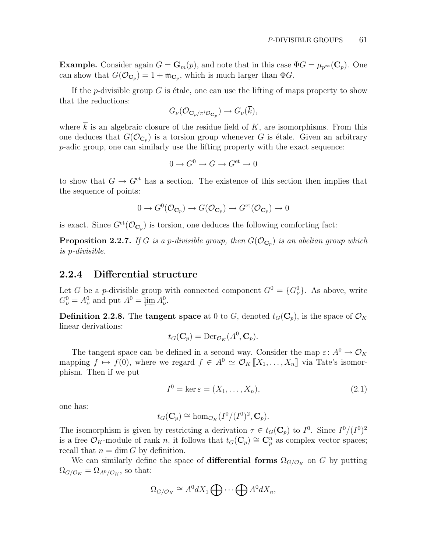**Example.** Consider again  $G = \mathbf{G}_m(p)$ , and note that in this case  $\Phi G = \mu_{p^\infty}(\mathbf{C}_p)$ . One can show that  $G(\mathcal{O}_{\mathbf{C}_p}) = 1 + \mathfrak{m}_{\mathbf{C}_p}$ , which is much larger than  $\Phi G$ .

If the p-divisible group G is étale, one can use the lifting of maps property to show that the reductions:

$$
G_{\nu}(\mathcal{O}_{\mathbf{C}_p/\pi^i\mathcal{O}_{\mathbf{C}_p}}) \to G_{\nu}(\overline{k}),
$$

where  $\overline{k}$  is an algebraic closure of the residue field of K, are isomorphisms. From this one deduces that  $G(\mathcal{O}_{\mathbf{C}_p})$  is a torsion group whenever G is étale. Given an arbitrary p-adic group, one can similarly use the lifting property with the exact sequence:

$$
0 \to G^0 \to G \to G^{\text{et}} \to 0
$$

to show that  $G \to G^{\text{et}}$  has a section. The existence of this section then implies that the sequence of points:

$$
0 \to G^0(\mathcal{O}_{\mathbf{C}_p}) \to G(\mathcal{O}_{\mathbf{C}_p}) \to G^{\mathrm{et}}(\mathcal{O}_{\mathbf{C}_p}) \to 0
$$

is exact. Since  $G^{\text{et}}(\mathcal{O}_{\mathbf{C}_p})$  is torsion, one deduces the following comforting fact:

**Proposition 2.2.7.** If G is a p-divisible group, then  $G(\mathcal{O}_{\mathbf{C}_p})$  is an abelian group which is p-divisible.

#### 2.2.4 Differential structure

Let G be a p-divisible group with connected component  $G^0 = \{G^0_\nu\}$ . As above, write  $G_{\nu}^0 = A_{\nu}^0$  and put  $A^0 = \underline{\lim}_{\leftarrow} A_{\nu}^0$ .

**Definition 2.2.8.** The **tangent space** at 0 to G, denoted  $t_G(\mathbf{C}_p)$ , is the space of  $\mathcal{O}_K$ linear derivations:

$$
t_G(\mathbf{C}_p) = \mathrm{Der}_{\mathcal{O}_K}(A^0, \mathbf{C}_p).
$$

The tangent space can be defined in a second way. Consider the map  $\varepsilon: A^0 \to \mathcal{O}_K$ mapping  $f \mapsto f(0)$ , where we regard  $f \in A^0 \simeq \mathcal{O}_K[[X_1, \ldots, X_n]]$  via Tate's isomorphism. Then if we put

$$
I^0 = \ker \varepsilon = (X_1, \dots, X_n),\tag{2.1}
$$

one has:

$$
t_G(\mathbf{C}_p) \cong \hom_{\mathcal{O}_K}(I^0/(I^0)^2, \mathbf{C}_p).
$$

The isomorphism is given by restricting a derivation  $\tau \in t_G(\mathbb{C}_p)$  to  $I^0$ . Since  $I^0/(I^0)^2$ is a free  $\mathcal{O}_K$ -module of rank n, it follows that  $t_G(\mathbf{C}_p) \cong \mathbf{C}_p^n$  as complex vector spaces; recall that  $n = \dim G$  by definition.

We can similarly define the space of **differential forms**  $\Omega_{G/O_K}$  on G by putting  $\Omega_{G/\mathcal{O}_K} = \Omega_{A^0/\mathcal{O}_K}$ , so that:

$$
\Omega_{G/\mathcal{O}_K} \cong A^0 dX_1 \bigoplus \cdots \bigoplus A^0 dX_n,
$$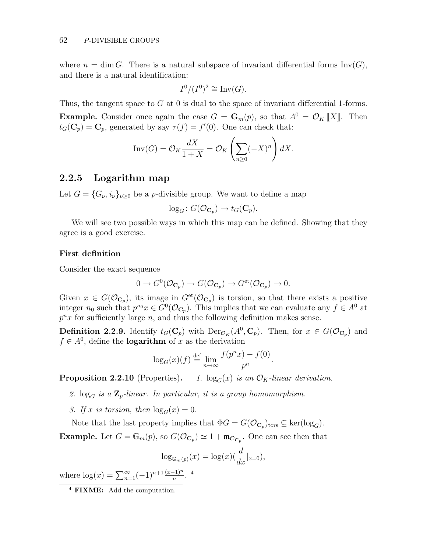where  $n = \dim G$ . There is a natural subspace of invariant differential forms  $\text{Inv}(G)$ , and there is a natural identification:

$$
I^0/(I^0)^2 \cong \text{Inv}(G).
$$

Thus, the tangent space to  $G$  at 0 is dual to the space of invariant differential 1-forms.

**Example.** Consider once again the case  $G = \mathbf{G}_m(p)$ , so that  $A^0 = \mathcal{O}_K[[X]]$ . Then  $t_G(\mathbf{C}_p) = \mathbf{C}_p$ , generated by say  $\tau(f) = f'(0)$ . One can check that:

$$
\operatorname{Inv}(G) = \mathcal{O}_K \frac{dX}{1+X} = \mathcal{O}_K \left( \sum_{n \ge 0} (-X)^n \right) dX.
$$

# 2.2.5 Logarithm map

Let  $G = \{G_{\nu}, i_{\nu}\}_{\nu \geq 0}$  be a *p*-divisible group. We want to define a map

$$
\log_G: G(\mathcal{O}_{\mathbf{C}_p}) \to t_G(\mathbf{C}_p).
$$

We will see two possible ways in which this map can be defined. Showing that they agree is a good exercise.

#### First definition

Consider the exact sequence

$$
0 \to G^0(\mathcal{O}_{\mathbf{C}_p}) \to G(\mathcal{O}_{\mathbf{C}_p}) \to G^{\mathrm{et}}(\mathcal{O}_{\mathbf{C}_p}) \to 0.
$$

Given  $x \in G(\mathcal{O}_{\mathbf{C}_p})$ , its image in  $G^{\text{et}}(\mathcal{O}_{\mathbf{C}_p})$  is torsion, so that there exists a positive integer  $n_0$  such that  $p^{n_0}x \in G^0(\mathcal{O}_{\mathbf{C}_p})$ . This implies that we can evaluate any  $f \in A^0$  at  $p^n x$  for sufficiently large n, and thus the following definition makes sense.

**Definition 2.2.9.** Identify  $t_G(\mathbf{C}_p)$  with  $\text{Der}_{\mathcal{O}_K}(A^0, \mathbf{C}_p)$ . Then, for  $x \in G(\mathcal{O}_{\mathbf{C}_p})$  and  $f \in A^0$ , define the **logarithm** of x as the derivation

$$
\log_G(x)(f) \stackrel{\text{def}}{=} \lim_{n \to \infty} \frac{f(p^n x) - f(0)}{p^n}.
$$

**Proposition 2.2.10** (Properties). 1.  $\log_G(x)$  is an  $\mathcal{O}_K$ -linear derivation.

- 2.  $\log_G$  is a  $\mathbb{Z}_p$ -linear. In particular, it is a group homomorphism.
- 3. If x is torsion, then  $log_G(x) = 0$ .

Note that the last property implies that  $\Phi G = G(\mathcal{O}_{\mathbf{C}_p})_{\text{tors}} \subseteq \text{ker}(\log_G).$ 

**Example.** Let  $G = \mathbb{G}_m(p)$ , so  $G(\mathcal{O}_{\mathbf{C}_p}) \simeq 1 + \mathfrak{m}_{\mathcal{O}_{\mathbf{C}_p}}$ . One can see then that

$$
\log_{\mathbb{G}_m(p)}(x) = \log(x) \left(\frac{d}{dx}|_{x=0}\right),\,
$$

where  $\log(x) = \sum_{n=1}^{\infty} (-1)^{n+1} \frac{(x-1)^n}{n}$ .

<sup>4</sup> FIXME: Add the computation.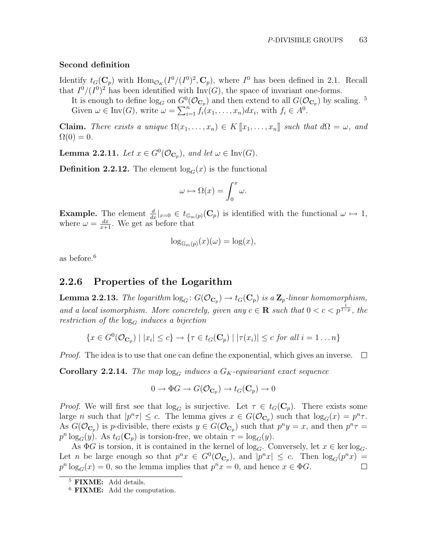#### Second definition

Identify  $t_G(\mathbf{C}_p)$  with  $\text{Hom}_{\mathcal{O}_K}(I^0/(I^0)^2, \mathbf{C}_p)$ , where  $I^0$  has been defined in 2.1. Recall that  $I^0/(I^0)^2$  has been identified with  $Inv(G)$ , the space of invariant one-forms.

It is enough to define  $log_G$  on  $G^0(\mathcal{O}_{\mathbf{C}_p})$  and then extend to all  $G(\mathcal{O}_{\mathbf{C}_p})$  by scaling. <sup>5</sup> Given  $\omega \in \text{Inv}(G)$ , write  $\omega = \sum_{i=1}^n f_i(x_1, \ldots, x_n) dx_i$ , with  $f_i \in A^0$ .

**Claim.** There exists a unique  $\Omega(x_1, \ldots, x_n) \in K[[x_1, \ldots, x_n]]$  such that  $d\Omega = \omega$ , and  $\Omega(0) = 0.$ 

**Lemma 2.2.11.** Let  $x \in G^0(\mathcal{O}_{\mathbf{C}_p})$ , and let  $\omega \in \text{Inv}(G)$ .

**Definition 2.2.12.** The element  $log_G(x)$  is the functional

$$
\omega \mapsto \Omega(x) = \int_0^x \omega.
$$

**Example.** The element  $\frac{d}{dx}|_{x=0} \in t_{\mathbb{G}_m(p)}(\mathbb{C}_p)$  is identified with the functional  $\omega \mapsto 1$ , where  $\omega = \frac{dx}{x+1}$ . We get as before that

$$
\log_{\mathbb{G}_m(p)}(x)(\omega) = \log(x),
$$

as before.<sup>6</sup>

### 2.2.6 Properties of the Logarithm

**Lemma 2.2.13.** The logarithm  $log_G: G(\mathcal{O}_{\mathbf{C}_p}) \to t_G(\mathbf{C}_p)$  is a  $\mathbf{Z}_p$ -linear homomorphism, and a local isomorphism. More concretely, given any  $c \in \mathbf{R}$  such that  $0 < c < p^{\frac{1}{1-p}}$ , the restriction of the  $log<sub>G</sub>$  induces a bijection

$$
\{x \in G^0(\mathcal{O}_{\mathbf{C}_p}) \mid |x_i| \leq c\} \to \{\tau \in t_G(\mathbf{C}_p) \mid |\tau(x_i)| \leq c \text{ for all } i = 1 \dots n\}
$$

*Proof.* The idea is to use that one can define the exponential, which gives an inverse.  $\Box$ 

**Corollary 2.2.14.** The map  $log_G$  induces a  $G_K$ -equivariant exact sequence

$$
0 \to \Phi G \to G(\mathcal{O}_{\mathbf{C}_p}) \to t_G(\mathbf{C}_p) \to 0
$$

*Proof.* We will first see that  $\log_G$  is surjective. Let  $\tau \in t_G(\mathbb{C}_p)$ . There exists some large *n* such that  $|p^n \tau| \leq c$ . The lemma gives  $x \in G(\mathcal{O}_{\mathbf{C}_p})$  such that  $\log_G(x) = p^n \tau$ . As  $G(\mathcal{O}_{\mathbf{C}_p})$  is p-divisible, there exists  $y \in G(\mathcal{O}_{\mathbf{C}_p})$  such that  $p^ny = x$ , and then  $p^n \tau =$  $p^n \log_G(y)$ . As  $t_G(\mathbf{C}_p)$  is torsion-free, we obtain  $\tau = \log_G(y)$ .

As  $\Phi G$  is torsion, it is contained in the kernel of log<sub>G</sub>. Conversely, let  $x \in \text{ker} \log_G$ . Let *n* be large enough so that  $p^n x \in G^0(\mathcal{O}_{\mathbf{C}_p})$ , and  $|p^n x| \leq c$ . Then  $\log_G(p^n x) =$  $p^{n} \log_{G}(x) = 0$ , so the lemma implies that  $p^{n} x = 0$ , and hence  $x \in \Phi$ .  $\Box$ 

<sup>5</sup> FIXME: Add details.

<sup>6</sup> FIXME: Add the computation.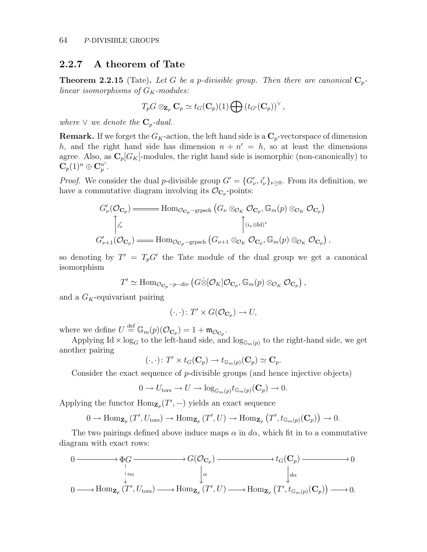### 2.2.7 A theorem of Tate

**Theorem 2.2.15** (Tate). Let G be a p-divisible group. Then there are canonical  $C_p$ linear isomorphisms of  $G_K$ -modules:

$$
T_p G \otimes_{\mathbf{Z}_p} \mathbf{C}_p \simeq t_G(\mathbf{C}_p)(1) \bigoplus (t_{G'}(\mathbf{C}_p))^\vee,
$$

where  $\vee$  we denote the  $\mathbf{C}_p$ -dual.

**Remark.** If we forget the  $G_K$ -action, the left hand side is a  $C_p$ -vectorspace of dimension h, and the right hand side has dimension  $n + n' = h$ , so at least the dimensions agree. Also, as  $\mathbb{C}_p[G_K]$ -modules, the right hand side is isomorphic (non-canonically) to  $\overline{\mathbf{C}}_p (1)^n \oplus \overline{\mathbf{C}}_p^{n'}$  $_p^{n^{\prime}}.$ 

*Proof.* We consider the dual p-divisible group  $G' = \{G'_{\nu}, i'_{\nu}\}_{\nu \geq 0}$ . From its definition, we have a commutative diagram involving its  $\mathcal{O}_{\mathbf{C}_p}$ -points:

$$
G'_{\nu}(\mathcal{O}_{\mathbf{C}_p}) =\hspace{-1cm}=\hspace{-1cm}\text{Hom}_{\mathcal{O}_{\mathbf{C}_p-\text{grpsch}}}\left(G_{\nu}\otimes_{\mathcal{O}_K}\mathcal{O}_{\mathbf{C}_p},\mathbb{G}_m(p)\otimes_{\mathcal{O}_K}\mathcal{O}_{\mathbf{C}_p}\right)
$$
\n
$$
\uparrow_{j'_{\nu}}
$$
\n
$$
G'_{\nu+1}(\mathcal{O}_{\mathbf{C}_p}) =\hspace{-1cm}\text{Hom}_{\mathcal{O}_{\mathbf{C}_p-\text{grpsch}}}\left(G_{\nu+1}\otimes_{\mathcal{O}_K}\mathcal{O}_{\mathbf{C}_p},\mathbb{G}_m(p)\otimes_{\mathcal{O}_K}\mathcal{O}_{\mathbf{C}_p}\right),
$$

so denoting by  $T' = T_p G'$  the Tate module of the dual group we get a canonical isomorphism

$$
T' \simeq \text{Hom}_{\mathcal{O}_{\mathbf{C}_p} - p - \text{div}} \left( G \hat{\otimes} [\mathcal{O}_K] \mathcal{O}_{\mathbf{C}_p}, \mathbb{G}_m(p) \otimes_{\mathcal{O}_K} \mathcal{O}_{\mathbf{C}_p} \right),
$$

and a  $G_K$ -equivariant pairing

$$
(\cdot,\cdot)\colon T'\times G(\mathcal{O}_{\mathbf{C}_p})\to U,
$$

where we define  $U \stackrel{\text{def}}{=} \mathbb{G}_m(p)(\mathcal{O}_{\mathbf{C}_p}) = 1 + \mathfrak{m}_{\mathcal{O}_{\mathbf{C}_p}}$ .

Applying  $\mathrm{Id} \times \log_G$  to the left-hand side, and  $\log_{\mathbb{G}_m(p)}$  to the right-hand side, we get another pairing

$$
(\cdot, \cdot) \colon T' \times t_G(\mathbf{C}_p) \to t_{\mathbb{G}_m(p)}(\mathbf{C}_p) \simeq \mathbf{C}_p.
$$

Consider the exact sequence of p-divisible groups (and hence injective objects)

$$
0 \to U_{\text{tors}} \to U \to \log_{\mathbb{G}_m(p)} t_{\mathbb{G}_m(p)}(\mathbf{C}_p) \to 0.
$$

Applying the functor  $\text{Hom}_{\mathbf{Z}_p}(T', -)$  yields an exact sequence

 $0 \to \text{Hom}_{\mathbf{Z}_p}(T', U_{\text{tors}}) \to \text{Hom}_{\mathbf{Z}_p}(T', U) \to \text{Hom}_{\mathbf{Z}_p}(T', t_{\mathbb{G}_m(p)}(\mathbf{C}_p)) \to 0.$ 

The two pairings defined above induce maps  $\alpha$  in  $d\alpha$ , which fit in to a commutative diagram with exact rows:

$$
\begin{array}{ccc}\n0 & \xrightarrow{\quad} \Phi G \xrightarrow{\quad} G(\mathcal{O}_{\mathbf{C}_p}) \xrightarrow{\quad} t_G(\mathbf{C}_p) \xrightarrow{\quad} 0 \\
\downarrow \alpha & \downarrow \alpha & \downarrow \alpha \\
0 & \xrightarrow{\quad} \text{Hom}_{\mathbf{Z}_p}(T', U_{\text{tors}}) \xrightarrow{\quad} \text{Hom}_{\mathbf{Z}_p}(T', U) \xrightarrow{\quad} \text{Hom}_{\mathbf{Z}_p}(T', t_{\mathbb{G}_m(p)}(\mathbf{C}_p)) \xrightarrow{\quad} 0.\n\end{array}
$$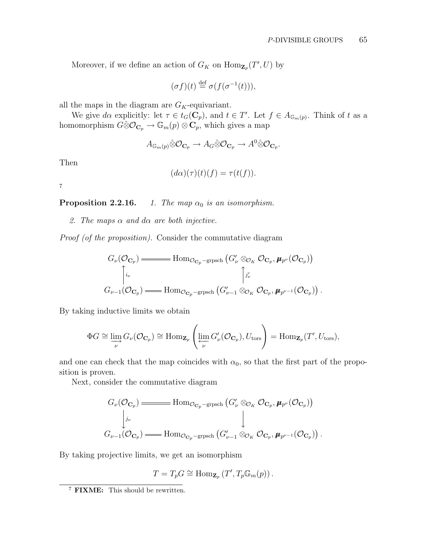Moreover, if we define an action of  $G_K$  on  $\text{Hom}_{\mathbf{Z}_p}(T', U)$  by

$$
(\sigma f)(t) \stackrel{\text{def}}{=} \sigma(f(\sigma^{-1}(t))),
$$

all the maps in the diagram are  $G_K$ -equivariant.

We give  $d\alpha$  explicitly: let  $\tau \in t_G(\mathbb{C}_p)$ , and  $t \in T'$ . Let  $f \in A_{\mathbb{G}_m(p)}$ . Think of t as a homomorphism  $G\hat{\otimes}\mathcal{O}_{\mathbf{C}_p} \to \mathbb{G}_m(p)\otimes \mathbf{C}_p$ , which gives a map

$$
A_{\mathbb{G}_m(p)} \hat{\otimes} \mathcal{O}_{\mathbf{C}_p} \to A_G \hat{\otimes} \mathcal{O}_{\mathbf{C}_p} \to A^0 \hat{\otimes} \mathcal{O}_{\mathbf{C}_p}.
$$

Then

$$
(d\alpha)(\tau)(t)(f) = \tau(t(f)).
$$

7

**Proposition 2.2.16.** 1. The map  $\alpha_0$  is an isomorphism.

2. The maps  $\alpha$  and  $d\alpha$  are both injective.

Proof (of the proposition). Consider the commutative diagram

$$
G_{\nu}(\mathcal{O}_{\mathbf{C}_p}) = \text{Hom}_{\mathcal{O}_{\mathbf{C}_p-\text{grpsch}}}\left(G'_{\nu}\otimes_{\mathcal{O}_K}\mathcal{O}_{\mathbf{C}_p}, \mu_{p^{\nu}}(\mathcal{O}_{\mathbf{C}_p})\right)
$$

$$
\uparrow_{i_{\nu}} \qquad \qquad \uparrow_{j'_{\nu}} \qquad \qquad \uparrow_{j'_{\nu}}
$$

$$
G_{\nu-1}(\mathcal{O}_{\mathbf{C}_p}) = \text{Hom}_{\mathcal{O}_{\mathbf{C}_p}-\text{grpsch}}\left(G'_{\nu-1}\otimes_{\mathcal{O}_K}\mathcal{O}_{\mathbf{C}_p}, \mu_{p^{\nu-1}}(\mathcal{O}_{\mathbf{C}_p})\right).
$$

By taking inductive limits we obtain

$$
\Phi G \cong \varinjlim_{\nu} G_{\nu}(\mathcal{O}_{\mathbf{C}_p}) \cong \text{Hom}_{\mathbf{Z}_p}\left(\varprojlim_{\nu} G'_{\nu}(\mathcal{O}_{\mathbf{C}_p}), U_{\text{tors}}\right) = \text{Hom}_{\mathbf{Z}_p}(T', U_{\text{tors}}),
$$

and one can check that the map coincides with  $\alpha_0$ , so that the first part of the proposition is proven.

Next, consider the commutative diagram

Gν(O<sup>C</sup><sup>p</sup> ) jν Hom<sup>O</sup>Cp−grpsch G0 <sup>ν</sup> ⊗<sup>O</sup><sup>K</sup> O<sup>C</sup><sup>p</sup> , µµ<sup>p</sup> <sup>ν</sup> (O<sup>C</sup><sup>p</sup> ) Gν−1(O<sup>C</sup><sup>p</sup> ) Hom<sup>O</sup>Cp−grpsch G0 <sup>ν</sup>−<sup>1</sup> ⊗<sup>O</sup><sup>K</sup> O<sup>C</sup><sup>p</sup> , µµ<sup>p</sup> <sup>ν</sup>−<sup>1</sup> (O<sup>C</sup><sup>p</sup> ) .

By taking projective limits, we get an isomorphism

$$
T = T_p G \cong \text{Hom}_{\mathbf{Z}_p} (T', T_p \mathbb{G}_m(p)).
$$

<sup>7</sup> FIXME: This should be rewritten.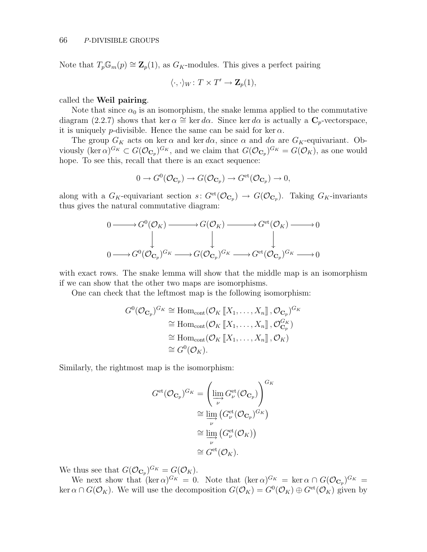Note that  $T_p \mathbb{G}_m(p) \cong \mathbb{Z}_p(1)$ , as  $G_K$ -modules. This gives a perfect pairing

$$
\langle \cdot, \cdot \rangle_W \colon T \times T' \to \mathbf{Z}_p(1),
$$

#### called the Weil pairing.

Note that since  $\alpha_0$  is an isomorphism, the snake lemma applied to the commutative diagram (2.2.7) shows that ker  $\alpha \cong \text{ker } d\alpha$ . Since ker  $d\alpha$  is actually a  $C_p$ -vectorspace, it is uniquely *p*-divisible. Hence the same can be said for ker  $\alpha$ .

The group  $G_K$  acts on ker  $\alpha$  and ker  $d\alpha$ , since  $\alpha$  and  $d\alpha$  are  $G_K$ -equivariant. Obviously (ker  $\alpha^{G_K} \subset G(\mathcal{O}_{\mathbf{C}_p})^{G_K}$ , and we claim that  $G(\mathcal{O}_{\mathbf{C}_p})^{G_K} = G(\mathcal{O}_K)$ , as one would hope. To see this, recall that there is an exact sequence:

$$
0 \to G^0(\mathcal{O}_{\mathbf{C}_p}) \to G(\mathcal{O}_{\mathbf{C}_p}) \to G^{\mathrm{et}}(\mathcal{O}_{\mathbf{C}_p}) \to 0,
$$

along with a  $G_K$ -equivariant section  $s: G^{\rm et}(\mathcal{O}_{\mathbf{C}_p}) \to G(\mathcal{O}_{\mathbf{C}_p})$ . Taking  $G_K$ -invariants thus gives the natural commutative diagram:

$$
0 \longrightarrow G^{0}(\mathcal{O}_{K}) \longrightarrow G(\mathcal{O}_{K}) \longrightarrow G^{\mathrm{et}}(\mathcal{O}_{K}) \longrightarrow 0
$$
  

$$
\downarrow \qquad \qquad \downarrow \qquad \qquad \downarrow
$$
  

$$
0 \longrightarrow G^{0}(\mathcal{O}_{\mathbf{C}_{p}})^{G_{K}} \longrightarrow G(\mathcal{O}_{\mathbf{C}_{p}})^{G_{K}} \longrightarrow G^{\mathrm{et}}(\mathcal{O}_{\mathbf{C}_{p}})^{G_{K}} \longrightarrow 0
$$

with exact rows. The snake lemma will show that the middle map is an isomorphism if we can show that the other two maps are isomorphisms.

One can check that the leftmost map is the following isomorphism:

$$
G^{0}(\mathcal{O}_{\mathbf{C}_{p}})^{G_{K}} \cong \text{Hom}_{\text{cont}}(\mathcal{O}_{K}[[X_{1},...,X_{n}]], \mathcal{O}_{\mathbf{C}_{p}})^{G_{K}}
$$
  
\n
$$
\cong \text{Hom}_{\text{cont}}(\mathcal{O}_{K}[[X_{1},...,X_{n}]], \mathcal{O}_{\mathbf{C}_{p}}^{G_{K}})
$$
  
\n
$$
\cong \text{Hom}_{\text{cont}}(\mathcal{O}_{K}[[X_{1},...,X_{n}]], \mathcal{O}_{K})
$$
  
\n
$$
\cong G^{0}(\mathcal{O}_{K}).
$$

Similarly, the rightmost map is the isomorphism:

$$
G^{\text{et}}(\mathcal{O}_{\mathbf{C}_p})^{G_K} = \left(\underbrace{\lim_{\nu} G_{\nu}^{\text{et}}(\mathcal{O}_{\mathbf{C}_p})}_{\nu}\right)^{G_K}
$$

$$
\cong \underbrace{\lim_{\nu} (G_{\nu}^{\text{et}}(\mathcal{O}_{\mathbf{C}_p})^{G_K})}_{\nu}
$$

$$
\cong \underbrace{\lim_{\nu} (G_{\nu}^{\text{et}}(\mathcal{O}_K))}_{\nu}
$$

$$
\cong G^{\text{et}}(\mathcal{O}_K).
$$

We thus see that  $G(\mathcal{O}_{\mathbf{C}_p})^{G_K} = G(\mathcal{O}_K)$ .

We next show that  $(\ker \alpha)^{G_K} = 0$ . Note that  $(\ker \alpha)^{G_K} = \ker \alpha \cap G(\mathcal{O}_{\mathbf{C}_p})^{G_K} =$ ker  $\alpha \cap G(\mathcal{O}_K)$ . We will use the decomposition  $G(\mathcal{O}_K) = G^0(\mathcal{O}_K) \oplus G^{\text{et}}(\mathcal{O}_K)$  given by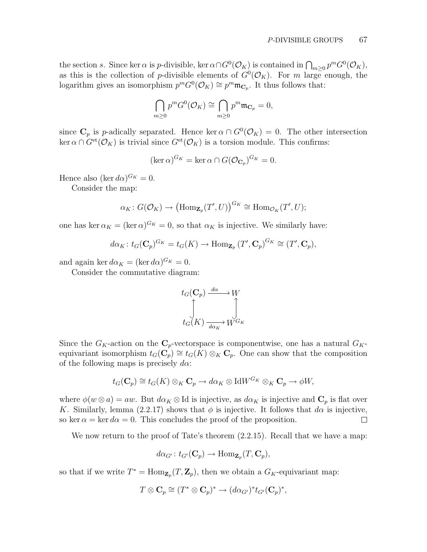the section s. Since ker  $\alpha$  is p-divisible, ker  $\alpha \cap G^0(\mathcal{O}_K)$  is contained in  $\bigcap_{m\geq 0} p^m G^0(\mathcal{O}_K)$ , as this is the collection of p-divisible elements of  $G^0(\mathcal{O}_K)$ . For m large enough, the logarithm gives an isomorphism  $p^m G^0(\mathcal{O}_K) \cong p^m \mathfrak{m}_{\mathbf{C}_p}$ . It thus follows that:

$$
\bigcap_{m\geq 0} p^m G^0(\mathcal{O}_K) \cong \bigcap_{m\geq 0} p^m \mathfrak{m}_{\mathbf{C}_p} = 0,
$$

since  $\mathbf{C}_p$  is p-adically separated. Hence ker  $\alpha \cap G^0(\mathcal{O}_K) = 0$ . The other intersection ker  $\alpha \cap G^{\text{et}}(\mathcal{O}_K)$  is trivial since  $G^{\text{et}}(\mathcal{O}_K)$  is a torsion module. This confirms:

$$
(\ker \alpha)^{G_K} = \ker \alpha \cap G(\mathcal{O}_{\mathbf{C}_p})^{G_K} = 0.
$$

Hence also  $(\ker d\alpha)^{G_K} = 0.$ 

Consider the map:

$$
\alpha_K\colon G(\mathcal{O}_K)\to \big(\text{Hom}_{\mathbf{Z}_p}(T',U)\big)^{G_K}\cong \text{Hom}_{\mathcal{O}_K}(T',U);
$$

one has ker  $\alpha_K = (\ker \alpha)^{G_K} = 0$ , so that  $\alpha_K$  is injective. We similarly have:

$$
d\alpha_K \colon t_G(\mathbf{C}_p)^{G_K} = t_G(K) \to \text{Hom}_{\mathbf{Z}_p}(T', \mathbf{C}_p)^{G_K} \cong (T', \mathbf{C}_p),
$$

and again ker  $d\alpha_K = (\ker d\alpha)^{G_K} = 0.$ 

Consider the commutative diagram:

$$
t_G(\mathbf{C}_p) \xrightarrow{d\alpha} W
$$
  

$$
\downarrow \qquad \qquad \downarrow
$$
  

$$
t_G(K) \xrightarrow{d\alpha_K} W^{G_K}
$$

Since the  $G_K$ -action on the  $\mathbb{C}_p$ -vectorspace is componentwise, one has a natural  $G_K$ equivariant isomorphism  $t_G(C_p) \cong t_G(K) \otimes_K C_p$ . One can show that the composition of the following maps is precisely  $d\alpha$ :

$$
t_G(\mathbf{C}_p) \cong t_G(K) \otimes_K \mathbf{C}_p \to d\alpha_K \otimes \mathrm{Id}W^{G_K} \otimes_K \mathbf{C}_p \to \phi W,
$$

where  $\phi(w \otimes a) = aw$ . But  $d\alpha_K \otimes \text{Id}$  is injective, as  $d\alpha_K$  is injective and  $\mathbb{C}_p$  is flat over K. Similarly, lemma (2.2.17) shows that  $\phi$  is injective. It follows that  $d\alpha$  is injective, so ker  $\alpha = \ker d\alpha = 0$ . This concludes the proof of the proposition.  $\Box$ 

We now return to the proof of Tate's theorem  $(2.2.15)$ . Recall that we have a map:

$$
d\alpha_{G'}: t_{G'}(\mathbf{C}_p) \to \text{Hom}_{\mathbf{Z}_p}(T, \mathbf{C}_p),
$$

so that if we write  $T^* = \text{Hom}_{\mathbf{Z}_p}(T, \mathbf{Z}_p)$ , then we obtain a  $G_K$ -equivariant map:

$$
T \otimes \mathbf{C}_p \cong (T^* \otimes \mathbf{C}_p)^* \to (d\alpha_{G'})^* t_{G'}(\mathbf{C}_p)^*,
$$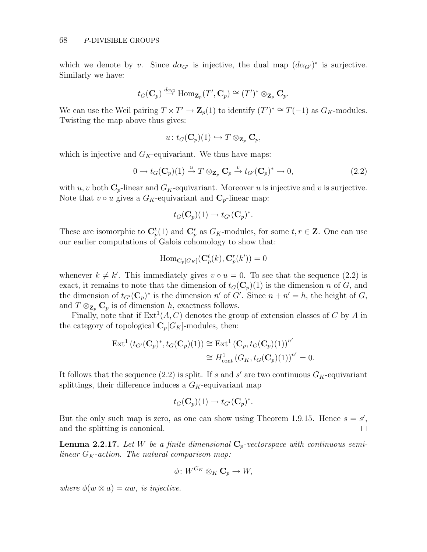which we denote by v. Since  $d\alpha_{G'}$  is injective, the dual map  $(d\alpha_{G'})^*$  is surjective. Similarly we have:

$$
t_G(\mathbf{C}_p) \stackrel{d_{\alpha_G}}{\to} \text{Hom}_{\mathbf{Z}_p}(T',\mathbf{C}_p) \cong (T')^* \otimes_{\mathbf{Z}_p} \mathbf{C}_p.
$$

We can use the Weil pairing  $T \times T' \to \mathbb{Z}_p(1)$  to identify  $(T')^* \cong T(-1)$  as  $G_K$ -modules. Twisting the map above thus gives:

$$
u\colon t_G(\mathbf{C}_p)(1) \hookrightarrow T \otimes_{\mathbf{Z}_p} \mathbf{C}_p,
$$

which is injective and  $G_K$ -equivariant. We thus have maps:

$$
0 \to t_G(\mathbf{C}_p)(1) \stackrel{u}{\to} T \otimes_{\mathbf{Z}_p} \mathbf{C}_p \stackrel{v}{\to} t_{G'}(\mathbf{C}_p)^* \to 0,
$$
\n(2.2)

with u, v both  $C_p$ -linear and  $G_K$ -equivariant. Moreover u is injective and v is surjective. Note that  $v \circ u$  gives a  $G_K$ -equivariant and  $C_p$ -linear map:

$$
t_G(\mathbf{C}_p)(1) \to t_{G'}(\mathbf{C}_p)^*.
$$

These are isomorphic to  $\mathbf{C}_p^t(1)$  and  $\mathbf{C}_p^r$  as  $G_K$ -modules, for some  $t, r \in \mathbf{Z}$ . One can use our earlier computations of Galois cohomology to show that:

$$
\mathrm{Hom}_{\mathbf{C}_p[G_K]}(\mathbf{C}^t_p(k),\mathbf{C}^r_p(k'))=0
$$

whenever  $k \neq k'$ . This immediately gives  $v \circ u = 0$ . To see that the sequence (2.2) is exact, it remains to note that the dimension of  $t_G(\mathbf{C}_p)(1)$  is the dimension n of G, and the dimension of  $t_{G'}(\mathbf{C}_p)^*$  is the dimension n' of G'. Since  $n + n' = h$ , the height of G, and  $T \otimes_{\mathbf{Z}_p} \mathbf{C}_p$  is of dimension h, exactness follows.

Finally, note that if  $\text{Ext}^1(A, C)$  denotes the group of extension classes of C by A in the category of topological  $\mathbf{C}_p[G_K]$ -modules, then:

$$
\operatorname{Ext}^1(t_{G'}(\mathbf{C}_p)^*, t_G(\mathbf{C}_p)(1)) \cong \operatorname{Ext}^1(\mathbf{C}_p, t_G(\mathbf{C}_p)(1))^{n'} \cong H^1_{\text{cont}}(G_K, t_G(\mathbf{C}_p)(1))^{n'} = 0.
$$

It follows that the sequence (2.2) is split. If s and s' are two continuous  $G_K$ -equivariant splittings, their difference induces a  $G_K$ -equivariant map

$$
t_G(\mathbf{C}_p)(1) \to t_{G'}(\mathbf{C}_p)^*.
$$

But the only such map is zero, as one can show using Theorem 1.9.15. Hence  $s = s'$ , and the splitting is canonical.  $\Box$ 

**Lemma 2.2.17.** Let W be a finite dimensional  $C_p$ -vectorspace with continuous semilinear  $G_K$ -action. The natural comparison map:

$$
\phi\colon W^{G_K}\otimes_K{\mathbf C}_p\to W,
$$

where  $\phi(w \otimes a) = aw$ , is injective.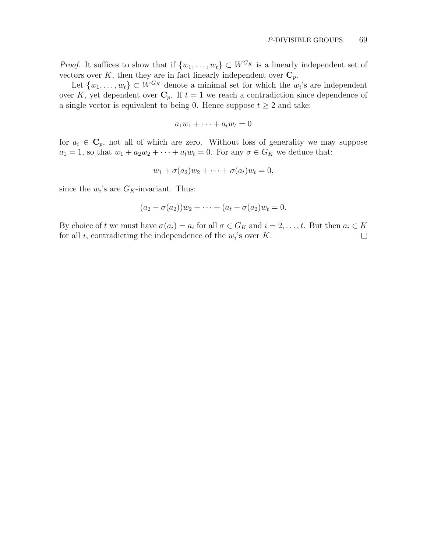*Proof.* It suffices to show that if  $\{w_1, \ldots, w_t\} \subset W^{G_K}$  is a linearly independent set of vectors over  $K$ , then they are in fact linearly independent over  $C_p$ .

Let  $\{w_1, \ldots, w_t\} \subset W^{G_K}$  denote a minimal set for which the  $w_i$ 's are independent over K, yet dependent over  $\mathbf{C}_p$ . If  $t = 1$  we reach a contradiction since dependence of a single vector is equivalent to being 0. Hence suppose  $t \geq 2$  and take:

$$
a_1w_1 + \cdots + a_tw_t = 0
$$

for  $a_i \in \mathbf{C}_p$ , not all of which are zero. Without loss of generality we may suppose  $a_1 = 1$ , so that  $w_1 + a_2w_2 + \cdots + a_tw_t = 0$ . For any  $\sigma \in G_K$  we deduce that:

$$
w_1 + \sigma(a_2)w_2 + \cdots + \sigma(a_t)w_t = 0,
$$

since the  $w_i$ 's are  $G_K$ -invariant. Thus:

$$
(a_2 - \sigma(a_2))w_2 + \cdots + (a_t - \sigma(a_2)w_t = 0.
$$

By choice of t we must have  $\sigma(a_i) = a_i$  for all  $\sigma \in G_K$  and  $i = 2, \ldots, t$ . But then  $a_i \in K$ for all *i*, contradicting the independence of the  $w_i$ 's over  $K$ .  $\Box$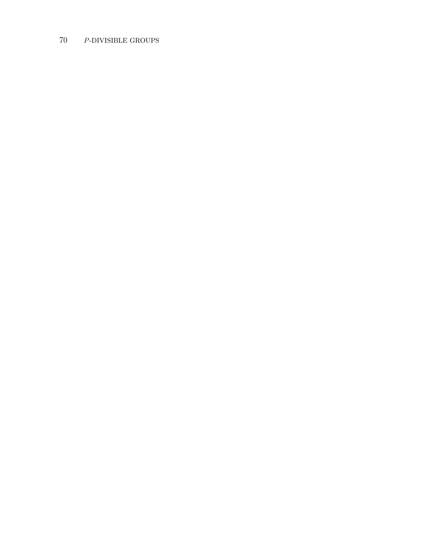### P-DIVISIBLE GROUPS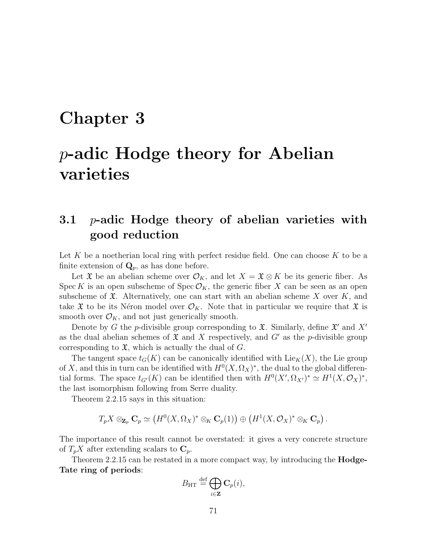# Chapter 3

# p-adic Hodge theory for Abelian varieties

# 3.1 *p*-adic Hodge theory of abelian varieties with good reduction

Let K be a noetherian local ring with perfect residue field. One can choose K to be a finite extension of  $\mathbf{Q}_p$ , as has done before.

Let  $\mathfrak X$  be an abelian scheme over  $\mathcal O_K$ , and let  $X = \mathfrak X \otimes K$  be its generic fiber. As Spec K is an open subscheme of Spec  $\mathcal{O}_K$ , the generic fiber X can be seen as an open subscheme of  $\mathfrak{X}$ . Alternatively, one can start with an abelian scheme X over K, and take  $\mathfrak X$  to be its Néron model over  $\mathcal O_K$ . Note that in particular we require that  $\mathfrak X$  is smooth over  $\mathcal{O}_K$ , and not just generically smooth.

Denote by G the p-divisible group corresponding to  $\mathfrak X$ . Similarly, define  $\mathfrak X'$  and  $X'$ as the dual abelian schemes of  $\mathfrak X$  and X respectively, and G' as the p-divisible group corresponding to  $\mathfrak{X}$ , which is actually the dual of  $G$ .

The tangent space  $t_G(K)$  can be canonically identified with  $\text{Lie}_K(X)$ , the Lie group of X, and this in turn can be identified with  $H^0(X, \Omega_X)^*$ , the dual to the global differential forms. The space  $t_{G'}(K)$  can be identified then with  $H^0(X', \Omega_{X'})^* \simeq H^1(X, \mathcal{O}_X)^*$ , the last isomorphism following from Serre duality.

Theorem 2.2.15 says in this situation:

$$
T_pX\otimes_{\mathbf{Z}_p}\mathbf{C}_p\simeq \left(H^0(X,\Omega_X)^*\otimes_K\mathbf{C}_p(1)\right)\oplus \left(H^1(X,\mathcal{O}_X)^*\otimes_K\mathbf{C}_p\right).
$$

The importance of this result cannot be overstated: it gives a very concrete structure of  $T_pX$  after extending scalars to  $\mathbf{C}_p$ .

Theorem 2.2.15 can be restated in a more compact way, by introducing the Hodge-Tate ring of periods:

$$
B_{\mathrm{HT}} \stackrel{\mathrm{def}}{=} \bigoplus_{i \in \mathbf{Z}} \mathbf{C}_p(i),
$$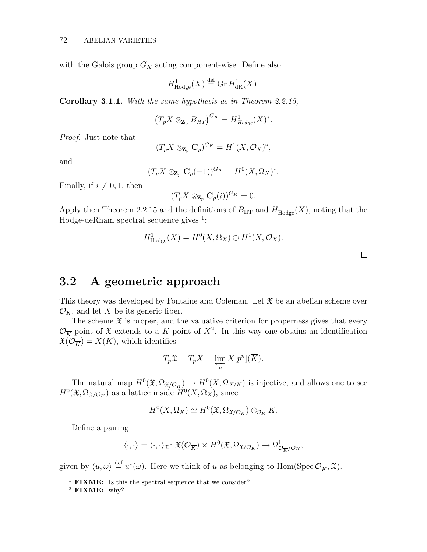with the Galois group  $G_K$  acting component-wise. Define also

$$
H^1_{\text{Hodge}}(X) \stackrel{\text{def}}{=} \text{Gr } H^1_{\text{dR}}(X).
$$

Corollary 3.1.1. With the same hypothesis as in Theorem 2.2.15,

$$
\left(T_p X \otimes_{\mathbf{Z}_p} B_{HT}\right)^{G_K} = H^1_{Hodge}(X)^*.
$$

Proof. Just note that

$$
(T_p X \otimes_{\mathbf{Z}_p} \mathbf{C}_p)^{G_K} = H^1(X, \mathcal{O}_X)^*,
$$

and

$$
(T_p X \otimes_{\mathbf{Z}_p} \mathbf{C}_p(-1))^{G_K} = H^0(X, \Omega_X)^*.
$$

Finally, if  $i \neq 0, 1$ , then

$$
(T_p X \otimes_{\mathbf{Z}_p} \mathbf{C}_p(i))^{G_K} = 0.
$$

Apply then Theorem 2.2.15 and the definitions of  $B_{\text{HT}}$  and  $H^1_{\text{Hodge}}(X)$ , noting that the Hodge-deRham spectral sequence gives <sup>1</sup>:

$$
H^1_{\text{Hodge}}(X) = H^0(X, \Omega_X) \oplus H^1(X, \mathcal{O}_X).
$$

 $\Box$ 

### 3.2 A geometric approach

This theory was developed by Fontaine and Coleman. Let  $\mathfrak X$  be an abelian scheme over  $\mathcal{O}_K$ , and let X be its generic fiber.

The scheme  $\mathfrak X$  is proper, and the valuative criterion for properness gives that every  $\mathcal{O}_{\overline{K}}$ -point of  $\mathfrak{X}$  extends to a  $\overline{K}$ -point of  $X^2$ . In this way one obtains an identification  $\mathfrak{X}(\mathcal{O}_{\overline{K}}) = X(\overline{K})$ , which identifies

$$
T_p \mathfrak{X} = T_p X = \varprojlim_n X[p^n](\overline{K}).
$$

The natural map  $H^0(\mathfrak{X}, \Omega_{\mathfrak{X}/\mathcal{O}_K}) \to H^0(X, \Omega_{X/K})$  is injective, and allows one to see  $H^0(\mathfrak{X}, \Omega_{\mathfrak{X}/\mathcal{O}_K})$  as a lattice inside  $H^0(X, \Omega_X)$ , since

$$
H^0(X, \Omega_X) \simeq H^0(\mathfrak{X}, \Omega_{\mathfrak{X}/\mathcal{O}_K}) \otimes_{\mathcal{O}_K} K.
$$

Define a pairing

$$
\langle \cdot, \cdot \rangle = \langle \cdot, \cdot \rangle_{\mathfrak{X}} \colon \mathfrak{X}(\mathcal{O}_{\overline{K}}) \times H^0(\mathfrak{X}, \Omega_{\mathfrak{X}/\mathcal{O}_K}) \to \Omega^1_{\mathcal{O}_{\overline{K}}/\mathcal{O}_K},
$$

given by  $\langle u, \omega \rangle \stackrel{\text{def}}{=} u^*(\omega)$ . Here we think of u as belonging to Hom(Spec  $\mathcal{O}_{\overline{K}}$ ,  $\mathfrak{X}$ ).

<sup>&</sup>lt;sup>1</sup> FIXME: Is this the spectral sequence that we consider?

<sup>2</sup> FIXME: why?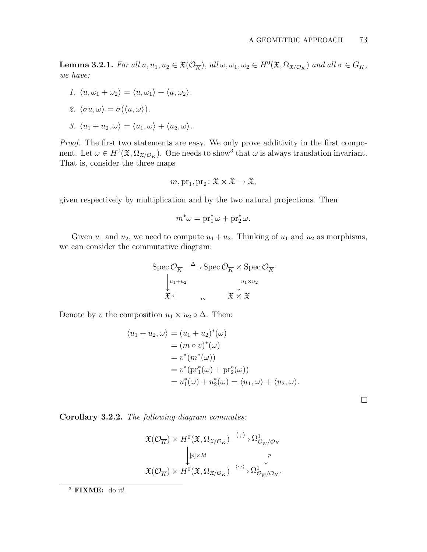**Lemma 3.2.1.** For all  $u, u_1, u_2 \in \mathfrak{X}(\mathcal{O}_{\overline{K}})$ , all  $\omega, \omega_1, \omega_2 \in H^0(\mathfrak{X}, \Omega_{\mathfrak{X}/\mathcal{O}_K})$  and all  $\sigma \in G_K$ , we have:

1.  $\langle u, \omega_1 + \omega_2 \rangle = \langle u, \omega_1 \rangle + \langle u, \omega_2 \rangle.$ 

2. 
$$
\langle \sigma u, \omega \rangle = \sigma(\langle u, \omega \rangle)
$$
.

3. 
$$
\langle u_1 + u_2, \omega \rangle = \langle u_1, \omega \rangle + \langle u_2, \omega \rangle
$$
.

Proof. The first two statements are easy. We only prove additivity in the first component. Let  $\omega \in H^0(\mathfrak{X}, \Omega_{\mathfrak{X}/\mathcal{O}_K})$ . One needs to show<sup>3</sup> that  $\omega$  is always translation invariant. That is, consider the three maps

$$
m, pr_1, pr_2: \mathfrak{X} \times \mathfrak{X} \to \mathfrak{X},
$$

given respectively by multiplication and by the two natural projections. Then

$$
m^*\omega = \mathrm{pr}_1^*\omega + \mathrm{pr}_2^*\omega.
$$

Given  $u_1$  and  $u_2$ , we need to compute  $u_1 + u_2$ . Thinking of  $u_1$  and  $u_2$  as morphisms, we can consider the commutative diagram:

$$
\operatorname{Spec}\mathcal{O}_{\overline{K}}\xrightarrow{\Delta} \operatorname{Spec}\mathcal{O}_{\overline{K}}\times \operatorname{Spec}\mathcal{O}_{\overline{K}}\\ \downarrow^{u_1+u_2}_{u_1\times u_2} \downarrow^{u_1\times u_2}_{\mathfrak{X}}\\ \star \xleftarrow{\phantom{star}} x \times \mathfrak{X}
$$

Denote by v the composition  $u_1 \times u_2 \circ \Delta$ . Then:

$$
\langle u_1 + u_2, \omega \rangle = (u_1 + u_2)^*(\omega)
$$
  
=  $(m \circ v)^*(\omega)$   
=  $v^*(m^*(\omega))$   
=  $v^*(pr_1^*(\omega) + pr_2^*(\omega))$   
=  $u_1^*(\omega) + u_2^*(\omega) = \langle u_1, \omega \rangle + \langle u_2, \omega \rangle.$ 

 $\Box$ 

Corollary 3.2.2. The following diagram commutes:

$$
\mathfrak{X}(\mathcal{O}_{\overline{K}}) \times H^0(\mathfrak{X}, \Omega_{\mathfrak{X}/\mathcal{O}_K}) \xrightarrow{\langle \cdot, \cdot \rangle} \Omega^1_{\mathcal{O}_{\overline{K}}/\mathcal{O}_K}
$$
\n
$$
\downarrow^{[p] \times Id} \qquad \qquad \downarrow^{p}
$$
\n
$$
\mathfrak{X}(\mathcal{O}_{\overline{K}}) \times H^0(\mathfrak{X}, \Omega_{\mathfrak{X}/\mathcal{O}_K}) \xrightarrow{\langle \cdot, \cdot \rangle} \Omega^1_{\mathcal{O}_{\overline{K}}/\mathcal{O}_K}.
$$

 $^3$  FIXME: do it!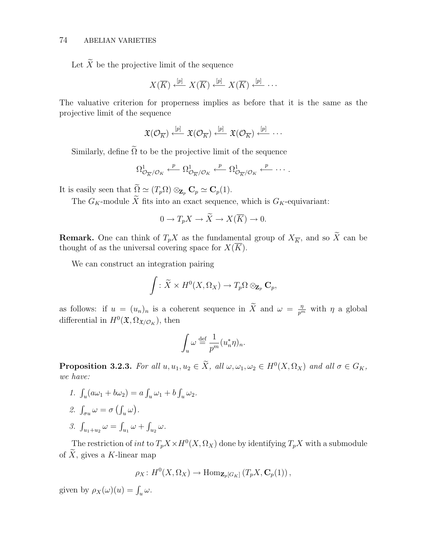Let  $\widetilde{X}$  be the projective limit of the sequence

$$
X(\overline{K}) \xleftarrow{[p]} X(\overline{K}) \xleftarrow{[p]} X(\overline{K}) \xleftarrow{[p]} \cdots
$$

The valuative criterion for properness implies as before that it is the same as the projective limit of the sequence

$$
\mathfrak{X}(\mathcal{O}_{\overline{K}}) \xleftarrow{[p]} \mathfrak{X}(\mathcal{O}_{\overline{K}}) \xleftarrow{[p]} \mathfrak{X}(\mathcal{O}_{\overline{K}}) \xleftarrow{[p]} \cdots
$$

Similarly, define  $\tilde{\Omega}$  to be the projective limit of the sequence

$$
\Omega^1_{\mathcal{O}_{\overline{K}}/\mathcal{O}_K} \xleftarrow{p} \Omega^1_{\mathcal{O}_{\overline{K}}/\mathcal{O}_K} \xleftarrow{p} \Omega^1_{\mathcal{O}_{\overline{K}}/\mathcal{O}_K} \xleftarrow{p} \cdots.
$$

It is easily seen that  $\widetilde{\Omega} \simeq (T_p \Omega) \otimes_{\mathbf{Z}_p} \mathbf{C}_p \simeq \mathbf{C}_p(1).$ 

The  $G_K$ -module  $\widetilde{X}$  fits into an exact sequence, which is  $G_K$ -equivariant:

$$
0 \to T_p X \to \widetilde{X} \to X(\overline{K}) \to 0.
$$

**Remark.** One can think of  $T_pX$  as the fundamental group of  $X_{\overline{K}}$ , and so  $\widetilde{X}$  can be thought of as the universal covering space for  $X(\overline{K})$ .

We can construct an integration pairing

$$
\int \colon \widetilde{X} \times H^0(X, \Omega_X) \to T_p\Omega \otimes_{\mathbf{Z}_p} \mathbf{C}_p,
$$

as follows: if  $u = (u_n)_n$  is a coherent sequence in  $\widetilde{X}$  and  $\omega = \frac{\eta}{p^m}$  with  $\eta$  a global differential in  $H^0(\mathfrak{X}, \Omega_{\mathfrak{X}/\mathcal{O}_K})$ , then

$$
\int_u \omega \stackrel{\text{def}}{=} \frac{1}{p^m} (u_n^*\eta)_n.
$$

**Proposition 3.2.3.** For all  $u, u_1, u_2 \in \tilde{X}$ , all  $\omega, \omega_1, \omega_2 \in H^0(X, \Omega_X)$  and all  $\sigma \in G_K$ , we have:

- 1.  $\int_u (a\omega_1 + b\omega_2) = a \int_u \omega_1 + b \int_u \omega_2$ .
- 2.  $\int_{\sigma u} \omega = \sigma \left( \int_u \omega \right)$ .
- 3.  $\int_{u_1+u_2} \omega = \int_{u_1} \omega + \int_{u_2} \omega$ .

The restriction of *int* to  $T_p X \times H^0(X, \Omega_X)$  done by identifying  $T_p X$  with a submodule of  $\widetilde{X}$ , gives a K-linear map

$$
\rho_X \colon H^0(X, \Omega_X) \to \text{Hom}_{\mathbf{Z}_p[G_K]} (T_p X, \mathbf{C}_p(1)),
$$

given by  $\rho_X(\omega)(u) = \int_u \omega$ .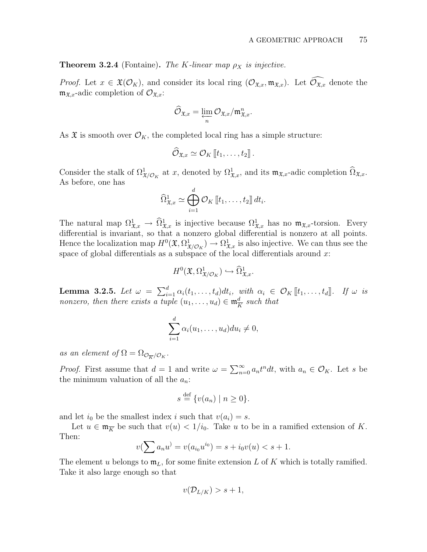**Theorem 3.2.4** (Fontaine). The K-linear map  $\rho_X$  is injective.

*Proof.* Let  $x \in \mathfrak{X}(\mathcal{O}_K)$ , and consider its local ring  $(\mathcal{O}_{\mathfrak{X},x}, \mathfrak{m}_{\mathfrak{X},x})$ . Let  $\widehat{\mathcal{O}_{\mathfrak{X},x}}$  denote the  $\mathfrak{m}_{\mathfrak{X},x}$ -adic completion of  $\mathcal{O}_{\mathfrak{X},x}$ :

$$
\widehat{\mathcal{O}}_{\mathfrak{X},x}=\varprojlim_n \mathcal{O}_{\mathfrak{X},x}/\mathfrak{m}_{\mathfrak{X},x}^n.
$$

As  $\mathfrak{X}$  is smooth over  $\mathcal{O}_K$ , the completed local ring has a simple structure:

$$
\widehat{\mathcal{O}}_{\mathfrak{X},x}\simeq \mathcal{O}_K\left[\!\left[t_1,\ldots,t_2\right]\!\right].
$$

Consider the stalk of  $\Omega^1_{\mathfrak{X}/\mathcal{O}_K}$  at x, denoted by  $\Omega^1_{\mathfrak{X},x}$ , and its  $\mathfrak{m}_{\mathfrak{X},x}$ -adic completion  $\widehat{\Omega}_{\mathfrak{X},x}$ . As before, one has

$$
\widehat{\Omega}^1_{\mathfrak{X},x} \simeq \bigoplus_{i=1}^d \mathcal{O}_K \left[ \left[t_1,\ldots,t_2\right]\right] dt_i.
$$

The natural map  $\Omega^1_{\mathfrak{X},x} \to \Omega^1_{\mathfrak{X},x}$  is injective because  $\Omega^1_{\mathfrak{X},x}$  has no  $\mathfrak{m}_{\mathfrak{X},x}$ -torsion. Every differential is invariant, so that a nonzero global differential is nonzero at all points. Hence the localization map  $H^0(\mathfrak{X}, \Omega^1_{\mathfrak{X}/\mathcal{O}_K}) \to \Omega^1_{\mathfrak{X},x}$  is also injective. We can thus see the space of global differentials as a subspace of the local differentials around  $x$ :

$$
H^0(\mathfrak{X}, \Omega^1_{\mathfrak{X}/\mathcal{O}_K}) \hookrightarrow \widehat{\Omega}^1_{\mathfrak{X},x}.
$$

**Lemma 3.2.5.** Let  $\omega = \sum_{i=1}^d \alpha_i(t_1,\ldots,t_d) dt_i$ , with  $\alpha_i \in \mathcal{O}_K[\![t_1,\ldots,t_d]\!]$ . If  $\omega$  is nonzero, then there exists a tuple  $(u_1, \ldots, u_d) \in \mathfrak{m}_{\overline{K}}^d$  such that

$$
\sum_{i=1}^d \alpha_i(u_1,\ldots,u_d)du_i\neq 0,
$$

as an element of  $\Omega = \Omega_{\mathcal{O}_{\overline{K}}/\mathcal{O}_K}$ .

*Proof.* First assume that  $d = 1$  and write  $\omega = \sum_{n=0}^{\infty} a_n t^n dt$ , with  $a_n \in \mathcal{O}_K$ . Let s be the minimum valuation of all the  $a_n$ :

$$
s \stackrel{\text{def}}{=} \{v(a_n) \mid n \ge 0\}.
$$

and let  $i_0$  be the smallest index i such that  $v(a_i) = s$ .

Let  $u \in \mathfrak{m}_{\overline{K}}$  be such that  $v(u) < 1/i_0$ . Take u to be in a ramified extension of K. Then:

$$
v(\sum a_n u^j = v(a_{i_0} u^{i_0}) = s + i_0 v(u) < s + 1.
$$

The element u belongs to  $\mathfrak{m}_L$ , for some finite extension L of K which is totally ramified. Take it also large enough so that

$$
v(\mathcal{D}_{L/K}) > s+1,
$$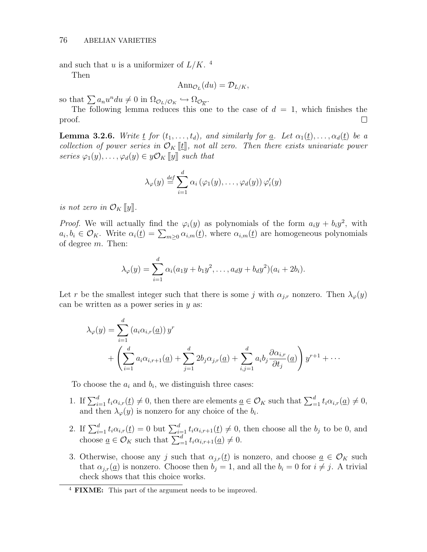and such that u is a uniformizer of  $L/K$ .<sup>4</sup>

Then

$$
\text{Ann}_{\mathcal{O}_L}(du) = \mathcal{D}_{L/K},
$$

so that  $\sum a_n u^n du \neq 0$  in  $\Omega_{\mathcal{O}_L/\mathcal{O}_K} \hookrightarrow \Omega_{\mathcal{O}_{\overline{K}}}$ .

The following lemma reduces this one to the case of  $d = 1$ , which finishes the  $\Box$ proof.

**Lemma 3.2.6.** Write  $\underline{t}$  for  $(t_1, \ldots, t_d)$ , and similarly for  $\underline{a}$ . Let  $\alpha_1(\underline{t}), \ldots, \alpha_d(\underline{t})$  be a collection of power series in  $\mathcal{O}_K[[t]]$ , not all zero. Then there exists univariate power series  $\varphi_1(y), \ldots, \varphi_d(y) \in y\mathcal{O}_K[[y]]$  such that

$$
\lambda_{\varphi}(y) \stackrel{\text{def}}{=} \sum_{i=1}^{d} \alpha_{i} (\varphi_{1}(y), \ldots, \varphi_{d}(y)) \varphi'_{i}(y)
$$

is not zero in  $\mathcal{O}_K[\![y]\!]$ .

*Proof.* We will actually find the  $\varphi_i(y)$  as polynomials of the form  $a_i y + b_i y^2$ , with  $a_i, b_i \in \mathcal{O}_K$ . Write  $\alpha_i(t) = \sum_{m \geq 0} \alpha_{i,m}(t)$ , where  $\alpha_{i,m}(t)$  are homogeneous polynomials of degree  $m$ . Then:

$$
\lambda_{\varphi}(y) = \sum_{i=1}^{d} \alpha_i (a_1y + b_1y^2, \dots, a_dy + b(dy^2)(a_i + 2b_i).
$$

Let r be the smallest integer such that there is some j with  $\alpha_{j,r}$  nonzero. Then  $\lambda_{\varphi}(y)$ can be written as a power series in y as:

$$
\lambda_{\varphi}(y) = \sum_{i=1}^{d} (a_i \alpha_{i,r}(\underline{a})) y^r
$$
  
+ 
$$
\left( \sum_{i=1}^{d} a_i \alpha_{i,r+1}(\underline{a}) + \sum_{j=1}^{d} 2b_j \alpha_{j,r}(\underline{a}) + \sum_{i,j=1}^{d} a_i b_j \frac{\partial \alpha_{i,r}}{\partial t_j}(\underline{a}) \right) y^{r+1} + \cdots
$$

To choose the  $a_i$  and  $b_i$ , we distinguish three cases:

- 1. If  $\sum_{i=1}^d t_i \alpha_{i,r}(\underline{t}) \neq 0$ , then there are elements  $\underline{a} \in \mathcal{O}_K$  such that  $\sum_{i=1}^d t_i \alpha_{i,r}(\underline{a}) \neq 0$ , and then  $\lambda_{\varphi}(y)$  is nonzero for any choice of the  $b_i$ .
- 2. If  $\sum_{i=1}^d t_i \alpha_{i,r}(\underline{t}) = 0$  but  $\sum_{i=1}^d t_i \alpha_{i,r+1}(\underline{t}) \neq 0$ , then choose all the  $b_j$  to be 0, and choose  $\underline{a} \in \mathcal{O}_K$  such that  $\sum_{i=1}^d t_i \alpha_{i,r+1}(\underline{a}) \neq 0$ .
- 3. Otherwise, choose any j such that  $\alpha_{i,r}(\underline{t})$  is nonzero, and choose  $\underline{a} \in \mathcal{O}_K$  such that  $\alpha_{j,r}(\underline{a})$  is nonzero. Choose then  $b_j = 1$ , and all the  $b_i = 0$  for  $i \neq j$ . A trivial check shows that this choice works.

<sup>4</sup> FIXME: This part of the argument needs to be improved.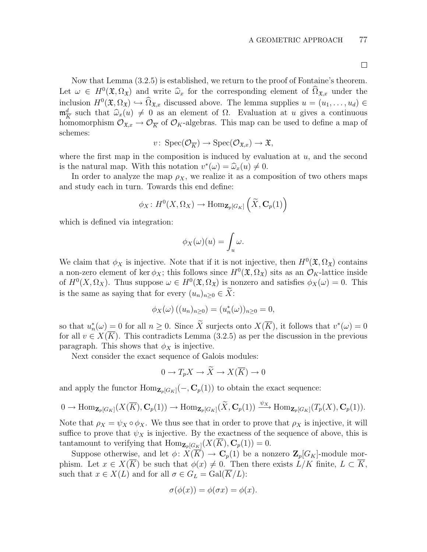$\Box$ 

Now that Lemma (3.2.5) is established, we return to the proof of Fontaine's theorem. Let  $\omega \in H^0(\mathfrak{X}, \Omega_{\mathfrak{X}})$  and write  $\widehat{\omega}_x$  for the corresponding element of  $\widehat{\Omega}_{\mathfrak{X},x}$  under the inclusion  $H^0(\mathfrak{X}, \Omega_{\mathfrak{X}}) \hookrightarrow \Omega_{\mathfrak{X},x}$  discussed above. The lemma supplies  $u = (u_1, \ldots, u_d) \in$  $\mathfrak{m}_{\overline{K}}^d$  such that  $\widehat{\omega}_x(u) \neq 0$  as an element of  $\Omega$ . Evaluation at u gives a continuous<br>homomorphism  $\Omega_{\omega} \longrightarrow \Omega_{\overline{K}}$  of  $\Omega_{\omega}$  algebras. This map can be used to define a map of homomorphism  $\mathcal{O}_{\mathfrak{X},x} \to \mathcal{O}_{\overline{K}}$  of  $\mathcal{O}_K$ -algebras. This map can be used to define a map of schemes:

$$
v\colon \operatorname{Spec}(\mathcal{O}_{\overline{K}})\to \operatorname{Spec}(\mathcal{O}_{\mathfrak{X},x})\to \mathfrak{X},
$$

where the first map in the composition is induced by evaluation at  $u$ , and the second is the natural map. With this notation  $v^*(\omega) = \hat{\omega}_x(u) \neq 0$ .<br>In order to analyze the map are we realize it as a some

In order to analyze the map  $\rho_X$ , we realize it as a composition of two others maps and study each in turn. Towards this end define:

$$
\phi_X\colon H^0(X,\Omega_X)\to \text{Hom}_{\mathbf{Z}_p[G_K]}\left(\widetilde{X},\mathbf{C}_p(1)\right)
$$

which is defined via integration:

$$
\phi_X(\omega)(u) = \int_u \omega.
$$

We claim that  $\phi_X$  is injective. Note that if it is not injective, then  $H^0(\mathfrak{X}, \Omega_{\mathfrak{X}})$  contains a non-zero element of ker  $\phi_X$ ; this follows since  $H^0(\mathfrak{X}, \Omega_{\mathfrak{X}})$  sits as an  $\mathcal{O}_K$ -lattice inside of  $H^0(X, \Omega_X)$ . Thus suppose  $\omega \in H^0(\mathfrak{X}, \Omega_X)$  is nonzero and satisfies  $\phi_X(\omega) = 0$ . This is the same as saying that for every  $(u_n)_{n>0} \in \widetilde{X}$ :

$$
\phi_X(\omega) ((u_n)_{n \ge 0}) = (u_n^*(\omega))_{n \ge 0} = 0,
$$

so that  $u_n^*(\omega) = 0$  for all  $n \ge 0$ . Since X surjects onto  $X(\overline{K})$ , it follows that  $v^*(\omega) = 0$ for all  $v \in X(K)$ . This contradicts Lemma (3.2.5) as per the discussion in the previous paragraph. This shows that  $\phi_X$  is injective.

Next consider the exact sequence of Galois modules:

$$
0 \to T_p X \to \widetilde{X} \to X(\overline{K}) \to 0
$$

and apply the functor  $\text{Hom}_{\mathbf{Z}_p[G_K]}(-,\mathbf{C}_p(1))$  to obtain the exact sequence:

$$
0 \to \text{Hom}_{\mathbf{Z}_p[G_K]}(X(\overline{K}), \mathbf{C}_p(1)) \to \text{Hom}_{\mathbf{Z}_p[G_K]}(\widetilde{X}, \mathbf{C}_p(1)) \xrightarrow{\psi_X} \text{Hom}_{\mathbf{Z}_p[G_K]}(T_p(X), \mathbf{C}_p(1)).
$$

Note that  $\rho_X = \psi_X \circ \phi_X$ . We thus see that in order to prove that  $\rho_X$  is injective, it will suffice to prove that  $\psi_X$  is injective. By the exactness of the sequence of above, this is tantamount to verifying that  $\text{Hom}_{\mathbf{Z}_p[G_K]}(X(\overline{K}), \mathbf{C}_p(1)) = 0.$ 

Suppose otherwise, and let  $\phi: X(\overline{K}) \to \mathbf{C}_p(1)$  be a nonzero  $\mathbf{Z}_p[G_K]$ -module morphism. Let  $x \in X(\overline{K})$  be such that  $\phi(x) \neq 0$ . Then there exists  $L/K$  finite,  $L \subset \overline{K}$ , such that  $x \in X(L)$  and for all  $\sigma \in G_L = \text{Gal}(K/L)$ :

$$
\sigma(\phi(x)) = \phi(\sigma x) = \phi(x).
$$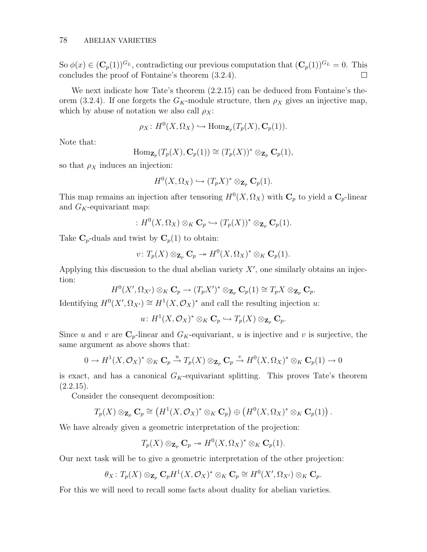So  $\phi(x) \in (\mathbf{C}_p(1))^{G_L}$ , contradicting our previous computation that  $(\mathbf{C}_p(1))^{G_L} = 0$ . This concludes the proof of Fontaine's theorem (3.2.4).  $\Box$ 

We next indicate how Tate's theorem (2.2.15) can be deduced from Fontaine's theorem (3.2.4). If one forgets the  $G_K$ -module structure, then  $\rho_X$  gives an injective map, which by abuse of notation we also call  $\rho_X$ :

$$
\rho_X \colon H^0(X, \Omega_X) \hookrightarrow \text{Hom}_{\mathbf{Z}_p}(\mathcal{T}_p(X), \mathbf{C}_p(1)).
$$

Note that:

$$
\mathrm{Hom}_{\mathbf{Z}_p}(T_p(X), \mathbf{C}_p(1)) \cong (T_p(X))^* \otimes_{\mathbf{Z}_p} \mathbf{C}_p(1),
$$

so that  $\rho_X$  induces an injection:

$$
H^0(X, \Omega_X) \hookrightarrow (T_pX)^* \otimes_{\mathbf{Z}_p} \mathbf{C}_p(1).
$$

This map remains an injection after tensoring  $H^0(X, \Omega_X)$  with  $\mathbb{C}_p$  to yield a  $\mathbb{C}_p$ -linear and  $G_K$ -equivariant map:

$$
: H^{0}(X, \Omega_{X}) \otimes_{K} \mathbf{C}_{p} \hookrightarrow (T_{p}(X))^{*} \otimes_{\mathbf{Z}_{p}} \mathbf{C}_{p}(1).
$$

Take  $C_p$ -duals and twist by  $C_p(1)$  to obtain:

$$
v: T_p(X) \otimes_{\mathbf{Z}_p} \mathbf{C}_p \twoheadrightarrow H^0(X, \Omega_X)^* \otimes_K \mathbf{C}_p(1).
$$

Applying this discussion to the dual abelian variety  $X'$ , one similarly obtains an injection:

$$
H^0(X',\Omega_{X'})\otimes_K{\mathbf{C}}_p\to (T_pX')^*\otimes_{{\mathbf{Z}}_p}{\mathbf{C}}_p(1)\cong T_pX\otimes_{{\mathbf{Z}}_p}{\mathbf{C}}_p.
$$

Identifying  $H^0(X', \Omega_{X'}) \cong H^1(X, \mathcal{O}_X)^*$  and call the resulting injection u:

 $u: H^1(X, \mathcal{O}_X)^* \otimes_K \mathbf{C}_p \hookrightarrow T_p(X) \otimes_{\mathbf{Z}_p} \mathbf{C}_p.$ 

Since u and v are  $\mathbb{C}_p$ -linear and  $G_K$ -equivariant, u is injective and v is surjective, the same argument as above shows that:

$$
0 \to H^1(X, \mathcal{O}_X)^* \otimes_K \mathbf{C}_p \stackrel{u}{\to} T_p(X) \otimes_{\mathbf{Z}_p} \mathbf{C}_p \stackrel{v}{\to} H^0(X, \Omega_X)^* \otimes_K \mathbf{C}_p(1) \to 0
$$

is exact, and has a canonical  $G_K$ -equivariant splitting. This proves Tate's theorem  $(2.2.15).$ 

Consider the consequent decomposition:

$$
T_p(X) \otimes_{\mathbf{Z}_p} \mathbf{C}_p \cong \left( H^1(X, \mathcal{O}_X)^* \otimes_K \mathbf{C}_p \right) \oplus \left( H^0(X, \Omega_X)^* \otimes_K \mathbf{C}_p(1) \right).
$$

We have already given a geometric interpretation of the projection:

$$
T_p(X) \otimes_{\mathbf{Z}_p} \mathbf{C}_p \to H^0(X, \Omega_X)^* \otimes_K \mathbf{C}_p(1).
$$

Our next task will be to give a geometric interpretation of the other projection:

$$
\theta_X\colon T_p(X)\otimes_{\mathbf{Z}_p}\mathbf{C}_pH^1(X,\mathcal{O}_X)^*\otimes_K\mathbf{C}_p\cong H^0(X',\Omega_{X'})\otimes_K\mathbf{C}_p.
$$

For this we will need to recall some facts about duality for abelian varieties.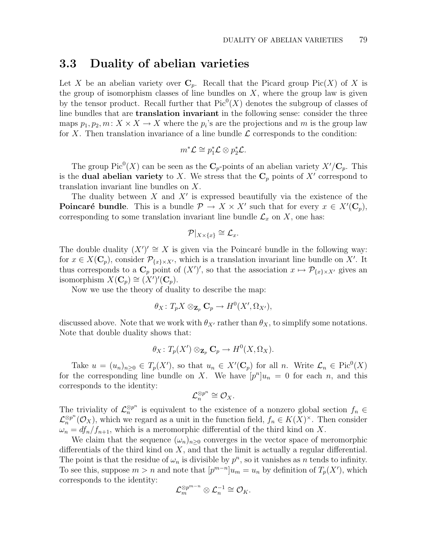### 3.3 Duality of abelian varieties

Let X be an abelian variety over  $\mathbb{C}_p$ . Recall that the Picard group Pic(X) of X is the group of isomorphism classes of line bundles on  $X$ , where the group law is given by the tensor product. Recall further that  $Pic^0(X)$  denotes the subgroup of classes of line bundles that are translation invariant in the following sense: consider the three maps  $p_1, p_2, m: X \times X \to X$  where the  $p_i$ 's are the projections and m is the group law for X. Then translation invariance of a line bundle  $\mathcal L$  corresponds to the condition:

$$
m^*\mathcal{L} \cong p_1^*\mathcal{L} \otimes p_2^*\mathcal{L}.
$$

The group Pic<sup>0</sup>(X) can be seen as the  $\mathbb{C}_p$ -points of an abelian variety  $X'/\mathbb{C}_p$ . This is the **dual abelian variety** to X. We stress that the  $\mathbb{C}_p$  points of X' correspond to translation invariant line bundles on X.

The duality between  $X$  and  $X'$  is expressed beautifully via the existence of the **Poincaré bundle**. This is a bundle  $\mathcal{P} \to X \times X'$  such that for every  $x \in X'(\mathbb{C}_p)$ , corresponding to some translation invariant line bundle  $\mathcal{L}_x$  on X, one has:

$$
\mathcal{P}|_{X\times\{x\}}\cong\mathcal{L}_x.
$$

The double duality  $(X')' \cong X$  is given via the Poincaré bundle in the following way: for  $x \in X(\mathbb{C}_p)$ , consider  $\mathcal{P}_{\{x\}\times X'}$ , which is a translation invariant line bundle on X'. It thus corresponds to a  $\mathbb{C}_p$  point of  $(X')'$ , so that the association  $x \mapsto \mathcal{P}_{\{x\}\times X'}$  gives an isomorphism  $X(\mathbf{C}_p) \cong (X')'(\mathbf{C}_p)$ .

Now we use the theory of duality to describe the map:

$$
\theta_X\colon T_pX\otimes_{\mathbf{Z}_p}\mathbf{C}_p\to H^0(X',\Omega_{X'}),
$$

discussed above. Note that we work with  $\theta_{X'}$  rather than  $\theta_X$ , to simplify some notations. Note that double duality shows that:

$$
\theta_X\colon T_p(X')\otimes_{\mathbf{Z}_p}\mathbf{C}_p\to H^0(X,\Omega_X).
$$

Take  $u = (u_n)_{n \geq 0} \in T_p(X')$ , so that  $u_n \in X'(\mathbb{C}_p)$  for all n. Write  $\mathcal{L}_n \in \text{Pic}^0(X)$ for the corresponding line bundle on X. We have  $[p^n]u_n = 0$  for each n, and this corresponds to the identity:

$$
\mathcal{L}_n^{\otimes p^n} \cong \mathcal{O}_X.
$$

The triviality of  $\mathcal{L}_n^{\otimes p^n}$  $\mathbb{S}_{n}^{p^{n}}$  is equivalent to the existence of a nonzero global section  $f_{n} \in$  ${\cal L}_n^{\otimes p^n}$  $\mathbb{S}_{n}^{p^{n}}(\mathcal{O}_{X})$ , which we regard as a unit in the function field,  $f_{n} \in K(X)^{\times}$ . Then consider  $\omega_n = df_n/f_{n+1}$ , which is a meromorphic differential of the third kind on X.

We claim that the sequence  $(\omega_n)_{n\geq 0}$  converges in the vector space of meromorphic differentials of the third kind on X, and that the limit is actually a regular differential. The point is that the residue of  $\omega_n$  is divisible by  $p^n$ , so it vanishes as n tends to infinity. To see this, suppose  $m > n$  and note that  $[p^{m-n}]u_m = u_n$  by definition of  $T_p(X')$ , which corresponds to the identity:

$$
{\mathcal L}_m^{\otimes p^{m-n}}\otimes {\mathcal L}_n^{-1}\cong {\mathcal O}_K.
$$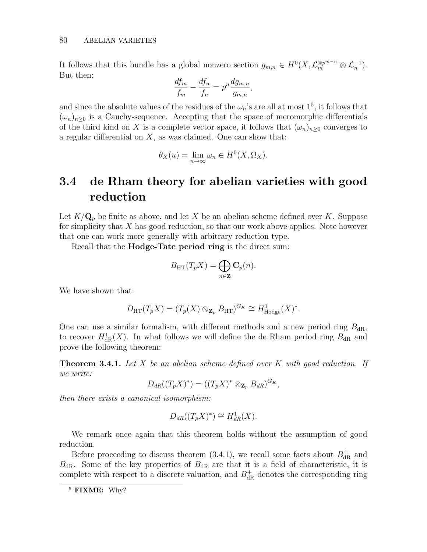It follows that this bundle has a global nonzero section  $g_{m,n} \in H^0(X, \mathcal{L}_m^{\otimes p^{m-n}} \otimes \mathcal{L}_n^{-1}).$ But then:

$$
\frac{df_m}{f_m} - \frac{df_n}{f_n} = p^n \frac{dg_{m,n}}{g_{m,n}},
$$

and since the absolute values of the residues of the  $\omega_n$ 's are all at most  $1^5$ , it follows that  $(\omega_n)_{n\geq 0}$  is a Cauchy-sequence. Accepting that the space of meromorphic differentials of the third kind on X is a complete vector space, it follows that  $(\omega_n)_{n>0}$  converges to a regular differential on  $X$ , as was claimed. One can show that:

$$
\theta_X(u) = \lim_{n \to \infty} \omega_n \in H^0(X, \Omega_X).
$$

# 3.4 de Rham theory for abelian varieties with good reduction

Let  $K/\mathbf{Q}_p$  be finite as above, and let X be an abelian scheme defined over K. Suppose for simplicity that  $X$  has good reduction, so that our work above applies. Note however that one can work more generally with arbitrary reduction type.

Recall that the **Hodge-Tate period ring** is the direct sum:

$$
B_{\rm HT}(T_p X) = \bigoplus_{n \in \mathbf{Z}} \mathbf{C}_p(n).
$$

We have shown that:

$$
D_{\mathrm{HT}}(T_pX)=(T_p(X)\otimes_{\mathbf{Z}_p}B_{\mathrm{HT}})^{G_K}\cong H^1_{\mathrm{Hodge}}(X)^*.
$$

One can use a similar formalism, with different methods and a new period ring  $B_{\rm dR}$ , to recover  $H^1_{\text{dR}}(X)$ . In what follows we will define the de Rham period ring  $B_{\text{dR}}$  and prove the following theorem:

**Theorem 3.4.1.** Let X be an abelian scheme defined over K with good reduction. If we write:

$$
D_{dR}((T_pX)^*) = ((T_pX)^* \otimes_{\mathbf{Z}_p} B_{dR})^{G_K},
$$

then there exists a canonical isomorphism:

$$
D_{dR}((T_pX)^*) \cong H_{dR}^1(X).
$$

We remark once again that this theorem holds without the assumption of good reduction.

Before proceeding to discuss theorem (3.4.1), we recall some facts about  $B_{\rm dR}^+$  and  $B_{\rm dR}$ . Some of the key properties of  $B_{\rm dR}$  are that it is a field of characteristic, it is complete with respect to a discrete valuation, and  $B_{\rm dR}^+$  denotes the corresponding ring

<sup>&</sup>lt;sup>5</sup> FIXME: Why?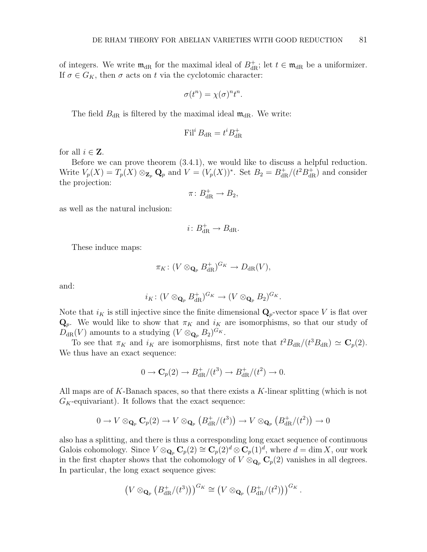of integers. We write  $\mathfrak{m}_{dR}$  for the maximal ideal of  $B_{dR}^+$ ; let  $t \in \mathfrak{m}_{dR}$  be a uniformizer. If  $\sigma \in G_K$ , then  $\sigma$  acts on t via the cyclotomic character:

$$
\sigma(t^n) = \chi(\sigma)^n t^n.
$$

The field  $B_{dR}$  is filtered by the maximal ideal  $\mathfrak{m}_{dR}$ . We write:

$$
\mathrm{Fil}^i B_{\mathrm{dR}} = t^i B_{\mathrm{dR}}^+
$$

for all  $i \in \mathbf{Z}$ .

Before we can prove theorem (3.4.1), we would like to discuss a helpful reduction. Write  $V_p(X) = T_p(X) \otimes_{\mathbf{Z}_p} \mathbf{Q}_p$  and  $V = (V_p(X))^*$ . Set  $B_2 = B_{dR}^+/(t^2 B_{dR}^+)$  and consider the projection:

$$
\pi\colon B_{\mathrm{dR}}^+\to B_2,
$$

as well as the natural inclusion:

$$
i\colon B_{\mathrm{dR}}^+\to B_{\mathrm{dR}}.
$$

These induce maps:

$$
\pi_K\colon (V\otimes_{\mathbf{Q}_p}B^+_{\mathrm{dR}})^{G_K}\to D_{\mathrm{dR}}(V),
$$

and:

$$
i_K\colon (V\otimes_{\mathbf{Q}_p}B_{\mathrm{dR}}^+)^{G_K}\to (V\otimes_{\mathbf{Q}_p}B_2)^{G_K}.
$$

Note that  $i<sub>K</sub>$  is still injective since the finite dimensional  $\mathbf{Q}_p$ -vector space V is flat over  $\mathbf{Q}_p$ . We would like to show that  $\pi_K$  and  $i_K$  are isomorphisms, so that our study of  $D_{\text{dR}}(V)$  amounts to a studying  $(V \otimes_{\mathbf{Q}_p} B_2)^{G_K}$ .

To see that  $\pi_K$  and  $i_K$  are isomorphisms, first note that  $t^2 B_{\rm dR}/(t^3 B_{\rm dR}) \simeq \mathbf{C}_p(2)$ . We thus have an exact sequence:

$$
0 \to \mathbf{C}_p(2) \to B_{\rm dR}^+/(t^3) \to B_{\rm dR}^+/(t^2) \to 0.
$$

All maps are of  $K$ -Banach spaces, so that there exists a  $K$ -linear splitting (which is not  $G_K$ -equivariant). It follows that the exact sequence:

$$
0 \to V \otimes_{\mathbf{Q}_p} \mathbf{C}_p(2) \to V \otimes_{\mathbf{Q}_p} \left( B_{\mathrm{dR}}^+/(t^3) \right) \to V \otimes_{\mathbf{Q}_p} \left( B_{\mathrm{dR}}^+/(t^2) \right) \to 0
$$

also has a splitting, and there is thus a corresponding long exact sequence of continuous Galois cohomology. Since  $V \otimes_{\mathbf{Q}_p} \mathbf{C}_p(2) \cong \mathbf{C}_p(2)^d \otimes \mathbf{C}_p(1)^d$ , where  $d = \dim X$ , our work in the first chapter shows that the cohomology of  $V \otimes_{\mathbf{Q}_p} \mathbf{C}_p(2)$  vanishes in all degrees. In particular, the long exact sequence gives:

$$
\left(V\otimes_{\mathbf{Q}_p}\left(B_{\mathrm{dR}}^+/(t^3)\right)\right)^{G_K}\cong \left(V\otimes_{\mathbf{Q}_p}\left(B_{\mathrm{dR}}^+/(t^2)\right)\right)^{G_K}
$$

.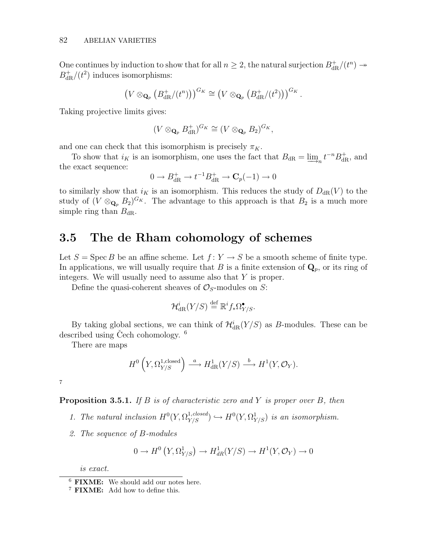One continues by induction to show that for all  $n \geq 2$ , the natural surjection  $B_{\rm dR}^+/(t^n) \rightarrow$  $B_{\text{dR}}^+/(t^2)$  induces isomorphisms:

$$
\left(V\otimes_{\mathbf{Q}_p}\left(B_{\mathrm{dR}}^+/(t^n)\right)\right)^{G_K}\cong\left(V\otimes_{\mathbf{Q}_p}\left(B_{\mathrm{dR}}^+/(t^2)\right)\right)^{G_K}.
$$

Taking projective limits gives:

$$
(V\otimes_{\mathbf{Q}_p}B_{\mathrm{dR}}^+)^{G_K}\cong (V\otimes_{\mathbf{Q}_p}B_2)^{G_K},
$$

and one can check that this isomorphism is precisely  $\pi_K$ .

To show that  $i_K$  is an isomorphism, one uses the fact that  $B_{\text{dR}} = \underline{\lim}_n t^{-n} B_{\text{dR}}^+$ , and the exact sequence:

$$
0 \to B_{\rm dR}^+ \to t^{-1} B_{\rm dR}^+ \to \mathbf{C}_p(-1) \to 0
$$

to similarly show that  $i_K$  is an isomorphism. This reduces the study of  $D_{\rm dR}(V)$  to the study of  $(V \otimes_{\mathbf{Q}_p} B_2)^{G_K}$ . The advantage to this approach is that  $B_2$  is a much more simple ring than  $B_{\rm dR}$ .

### 3.5 The de Rham cohomology of schemes

Let  $S = \operatorname{Spec} B$  be an affine scheme. Let  $f: Y \to S$  be a smooth scheme of finite type. In applications, we will usually require that B is a finite extension of  $\mathbf{Q}_p$ , or its ring of integers. We will usually need to assume also that Y is proper.

Define the quasi-coherent sheaves of  $\mathcal{O}_S$ -modules on S:

$$
\mathcal{H}^i_{\mathrm{dR}}(Y/S) \stackrel{\mathrm{def}}{=} \mathbb{R}^i f_* \Omega^{\bullet}_{Y/S}.
$$

By taking global sections, we can think of  $\mathcal{H}_{\text{dR}}^{i}(Y/S)$  as B-modules. These can be described using Cech cohomology.<sup>6</sup>

There are maps

$$
H^0\left(Y,\Omega_{Y/S}^{1,\text{closed}}\right) \stackrel{a}{\longrightarrow} H^1_{\text{dR}}(Y/S) \stackrel{b}{\longrightarrow} H^1(Y,\mathcal{O}_Y).
$$

7

**Proposition 3.5.1.** If B is of characteristic zero and Y is proper over B, then

- 1. The natural inclusion  $H^0(Y, \Omega_{Y/S}^{1, closed}) \hookrightarrow H^0(Y, \Omega_{Y/S}^1)$  is an isomorphism.
- 2. The sequence of B-modules

$$
0 \to H^0(Y, \Omega^1_{Y/S}) \to H^1_{dR}(Y/S) \to H^1(Y, \mathcal{O}_Y) \to 0
$$

is exact.

<sup>&</sup>lt;sup>6</sup> FIXME: We should add our notes here.

<sup>7</sup> FIXME: Add how to define this.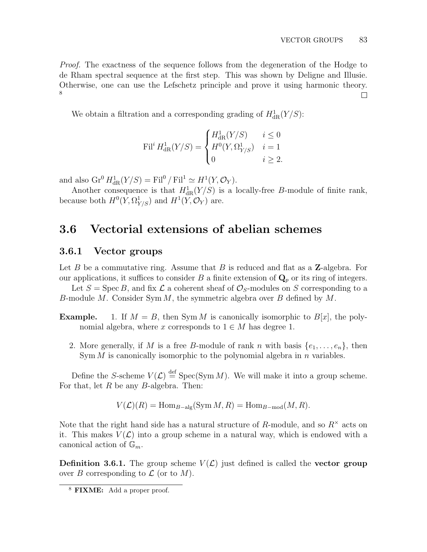Proof. The exactness of the sequence follows from the degeneration of the Hodge to de Rham spectral sequence at the first step. This was shown by Deligne and Illusie. Otherwise, one can use the Lefschetz principle and prove it using harmonic theory. 8  $\Box$ 

We obtain a filtration and a corresponding grading of  $H^1_{\text{dR}}(Y/S)$ :

$$
\mathrm{Fil}^i \, H^1_{\mathrm{dR}}(Y/S) = \begin{cases} H^1_{\mathrm{dR}}(Y/S) & i \le 0 \\ H^0(Y, \Omega^1_{Y/S}) & i = 1 \\ 0 & i \ge 2. \end{cases}
$$

and also  $\text{Gr}^0 H^1_{\text{dR}}(Y/S) = \text{Fil}^0 / \text{Fil}^1 \simeq H^1(Y, \mathcal{O}_Y).$ 

Another consequence is that  $H^1_{\text{dR}}(Y/S)$  is a locally-free B-module of finite rank, because both  $H^0(Y, \Omega^1_{Y/S})$  and  $H^1(Y, \mathcal{O}_Y)$  are.

### 3.6 Vectorial extensions of abelian schemes

### 3.6.1 Vector groups

Let B be a commutative ring. Assume that B is reduced and flat as a  $\mathbb{Z}$ -algebra. For our applications, it suffices to consider B a finite extension of  $\mathbf{Q}_p$  or its ring of integers.

Let  $S = \text{Spec } B$ , and fix  $\mathcal L$  a coherent sheaf of  $\mathcal O_S$ -modules on S corresponding to a B-module M. Consider Sym  $M$ , the symmetric algebra over  $B$  defined by  $M$ .

- **Example.** 1. If  $M = B$ , then Sym M is canonically isomorphic to  $B[x]$ , the polynomial algebra, where x corresponds to  $1 \in M$  has degree 1.
	- 2. More generally, if M is a free B-module of rank n with basis  $\{e_1, \ldots, e_n\}$ , then Sym  $M$  is canonically isomorphic to the polynomial algebra in  $n$  variables.

Define the S-scheme  $V(\mathcal{L}) \stackrel{\text{def}}{=} \text{Spec}(\text{Sym }M)$ . We will make it into a group scheme. For that, let  $R$  be any  $B$ -algebra. Then:

$$
V(\mathcal{L})(R) = \text{Hom}_{B-\text{alg}}(\text{Sym }M, R) = \text{Hom}_{B-\text{mod}}(M, R).
$$

Note that the right hand side has a natural structure of R-module, and so  $R^{\times}$  acts on it. This makes  $V(\mathcal{L})$  into a group scheme in a natural way, which is endowed with a canonical action of  $\mathbb{G}_m$ .

**Definition 3.6.1.** The group scheme  $V(\mathcal{L})$  just defined is called the **vector group** over B corresponding to  $\mathcal L$  (or to  $M$ ).

<sup>8</sup> FIXME: Add a proper proof.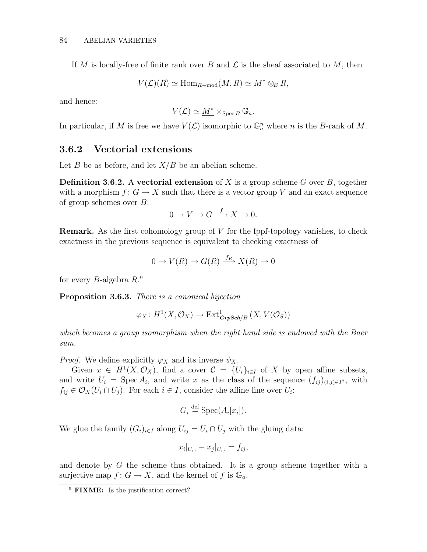If M is locally-free of finite rank over B and  $\mathcal L$  is the sheaf associated to M, then

$$
V(\mathcal{L})(R) \simeq \text{Hom}_{R-\text{mod}}(M, R) \simeq M^* \otimes_B R,
$$

and hence:

$$
V(\mathcal{L}) \simeq \underline{M^*} \times_{\operatorname{Spec} B} \mathbb{G}_a.
$$

In particular, if M is free we have  $V(\mathcal{L})$  isomorphic to  $\mathbb{G}_a^n$  where n is the B-rank of M.

#### 3.6.2 Vectorial extensions

Let B be as before, and let  $X/B$  be an abelian scheme.

**Definition 3.6.2.** A vectorial extension of X is a group scheme G over B, together with a morphism  $f: G \to X$  such that there is a vector group V and an exact sequence of group schemes over  $B$ :

$$
0 \to V \to G \xrightarrow{f} X \to 0.
$$

**Remark.** As the first cohomology group of  $V$  for the fppf-topology vanishes, to check exactness in the previous sequence is equivalent to checking exactness of

$$
0 \to V(R) \to G(R) \xrightarrow{f_R} X(R) \to 0
$$

for every *B*-algebra  $R^9$ .

Proposition 3.6.3. There is a canonical bijection

$$
\varphi_X \colon H^1(X, \mathcal{O}_X) \to \text{Ext}^1_{\mathbf{GrpSch}/B} (X, V(\mathcal{O}_S))
$$

which becomes a group isomorphism when the right hand side is endowed with the Baer sum.

*Proof.* We define explicitly  $\varphi_X$  and its inverse  $\psi_X$ .

Given  $x \in H^1(X, \mathcal{O}_X)$ , find a cover  $\mathcal{C} = \{U_i\}_{i \in I}$  of X by open affine subsets, and write  $U_i = \text{Spec } A_i$ , and write x as the class of the sequence  $(f_{ij})_{(i,j)\in I^2}$ , with  $f_{ij} \in \mathcal{O}_X(U_i \cap U_j)$ . For each  $i \in I$ , consider the affine line over  $U_i$ :

$$
G_i \stackrel{\text{def}}{=} \text{Spec}(A_i[x_i]).
$$

We glue the family  $(G_i)_{i\in I}$  along  $U_{ij} = U_i \cap U_j$  with the gluing data:

$$
x_i|_{U_{ij}} - x_j|_{U_{ij}} = f_{ij},
$$

and denote by G the scheme thus obtained. It is a group scheme together with a surjective map  $f: G \to X$ , and the kernel of f is  $\mathbb{G}_a$ .

<sup>&</sup>lt;sup>9</sup> FIXME: Is the justification correct?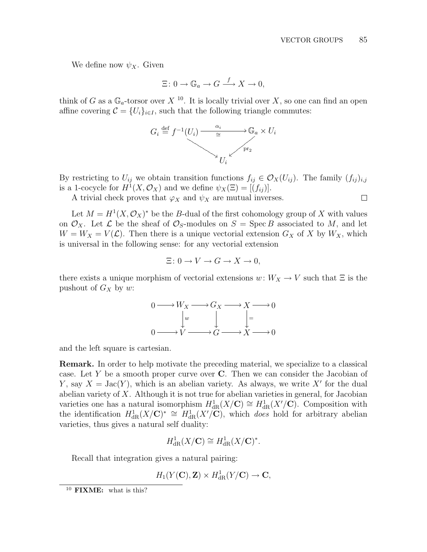$\Box$ 

We define now  $\psi_X$ . Given

$$
\Xi\colon 0\to \mathbb{G}_a\to G\stackrel{f}{\longrightarrow} X\to 0,
$$

think of G as a  $\mathbb{G}_a$ -torsor over  $X^{10}$ . It is locally trivial over X, so one can find an open affine covering  $\mathcal{C} = \{U_i\}_{i \in I}$ , such that the following triangle commutes:



By restricting to  $U_{ij}$  we obtain transition functions  $f_{ij} \in \mathcal{O}_X(U_{ij})$ . The family  $(f_{ij})_{i,j}$ is a 1-cocycle for  $H^1(X, \mathcal{O}_X)$  and we define  $\psi_X(\Xi) = [(f_{ij})]$ .

A trivial check proves that  $\varphi_X$  and  $\psi_X$  are mutual inverses.

Let  $M = H^1(X, \mathcal{O}_X)^*$  be the B-dual of the first cohomology group of X with values on  $\mathcal{O}_X$ . Let  $\mathcal L$  be the sheaf of  $\mathcal{O}_S$ -modules on  $S = \text{Spec } B$  associated to M, and let  $W = W_X = V(\mathcal{L})$ . Then there is a unique vectorial extension  $G_X$  of X by  $W_X$ , which is universal in the following sense: for any vectorial extension

$$
\Xi\colon 0\to V\to G\to X\to 0,
$$

there exists a unique morphism of vectorial extensions  $w: W_X \to V$  such that  $\Xi$  is the pushout of  $G_X$  by w:

$$
0 \longrightarrow W_X \longrightarrow G_X \longrightarrow X \longrightarrow 0
$$
  
\n
$$
\downarrow w \qquad \qquad \downarrow \qquad \downarrow =
$$
  
\n
$$
0 \longrightarrow V \longrightarrow G \longrightarrow X \longrightarrow 0
$$

and the left square is cartesian.

Remark. In order to help motivate the preceding material, we specialize to a classical case. Let  $Y$  be a smooth proper curve over  $C$ . Then we can consider the Jacobian of Y, say  $X = \text{Jac}(Y)$ , which is an abelian variety. As always, we write X' for the dual abelian variety of  $X$ . Although it is not true for abelian varieties in general, for Jacobian varieties one has a natural isomorphism  $H^1_{\text{dR}}(X/\mathbf{C}) \cong H^1_{\text{dR}}(X'/\mathbf{C})$ . Composition with the identification  $H^1_{\text{dR}}(X/\mathbf{C})^* \cong H^1_{\text{dR}}(X'/\mathbf{C})$ , which *does* hold for arbitrary abelian varieties, thus gives a natural self duality:

$$
H^1_{\rm dR}(X/\mathbf{C})\cong H^1_{\rm dR}(X/\mathbf{C})^*.
$$

Recall that integration gives a natural pairing:

$$
H_1(Y(\mathbf{C}), \mathbf{Z}) \times H^1_{\text{dR}}(Y/\mathbf{C}) \to \mathbf{C},
$$

<sup>10</sup> FIXME: what is this?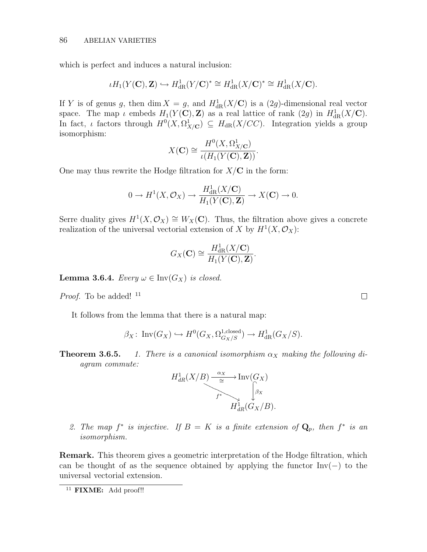which is perfect and induces a natural inclusion:

$$
\iota H_1(Y(\mathbf{C}), \mathbf{Z}) \hookrightarrow H^1_{\rm dR}(Y/\mathbf{C})^* \cong H^1_{\rm dR}(X/\mathbf{C})^* \cong H^1_{\rm dR}(X/\mathbf{C}).
$$

If Y is of genus g, then dim  $X = g$ , and  $H^1_{\text{dR}}(X/\mathbf{C})$  is a  $(2g)$ -dimensional real vector space. The map  $\iota$  embeds  $H_1(Y(\mathbf{C}), \mathbf{Z})$  as a real lattice of rank  $(2g)$  in  $H^1_{dR}(X/\mathbf{C})$ . In fact,  $\iota$  factors through  $H^0(X, \Omega^1_{X/\mathbb{C}}) \subseteq H_{\text{dR}}(X/CC)$ . Integration yields a group isomorphism:

$$
X(\mathbf{C}) \cong \frac{H^0(X, \Omega^1_{X/\mathbf{C}})}{\iota(H_1(Y(\mathbf{C}), \mathbf{Z}))}.
$$

One may thus rewrite the Hodge filtration for  $X/C$  in the form:

$$
0 \to H^1(X, \mathcal{O}_X) \to \frac{H^1_{\text{dR}}(X/\mathbf{C})}{H_1(Y(\mathbf{C}), \mathbf{Z})} \to X(\mathbf{C}) \to 0.
$$

Serre duality gives  $H^1(X, \mathcal{O}_X) \cong W_X(\mathbf{C})$ . Thus, the filtration above gives a concrete realization of the universal vectorial extension of X by  $H^1(X, \mathcal{O}_X)$ :

$$
G_X(\mathbf{C}) \cong \frac{H^1_{\text{dR}}(X/\mathbf{C})}{H_1(Y(\mathbf{C}), \mathbf{Z})}.
$$

 $\Box$ 

**Lemma 3.6.4.** Every  $\omega \in \text{Inv}(G_X)$  is closed.

*Proof.* To be added!  $^{11}$ 

It follows from the lemma that there is a natural map:

$$
\beta_X
$$
: Inv $(G_X) \hookrightarrow H^0(G_X, \Omega_{G_X/S}^{1, closed}) \to H^1_{dR}(G_X/S).$ 

**Theorem 3.6.5.** 1. There is a canonical isomorphism  $\alpha_X$  making the following diagram commute:

$$
H_{dR}^{1}(X/B) \xrightarrow{\alpha_X} \text{Inv}(G_X)
$$
  
 $f^* \searrow \downarrow^{\beta_X} \text{Inv}(G_X/B).$ 

2. The map  $f^*$  is injective. If  $B = K$  is a finite extension of  $\mathbf{Q}_p$ , then  $f^*$  is an isomorphism.

Remark. This theorem gives a geometric interpretation of the Hodge filtration, which can be thought of as the sequence obtained by applying the functor  $\text{Inv}(-)$  to the universal vectorial extension.

<sup>&</sup>lt;sup>11</sup> FIXME: Add proof!!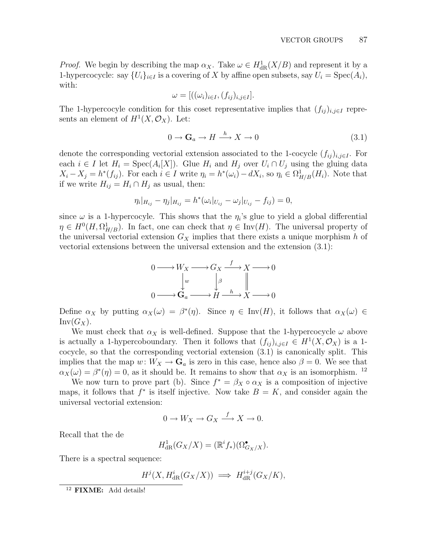*Proof.* We begin by describing the map  $\alpha_X$ . Take  $\omega \in H^1_{\text{dR}}(X/B)$  and represent it by a 1-hypercocycle: say  $\{U_i\}_{i\in I}$  is a covering of X by affine open subsets, say  $U_i = \text{Spec}(A_i)$ , with:

$$
\omega = [((\omega_i)_{i \in I}, (f_{ij})_{i,j \in I}].
$$

The 1-hypercocyle condition for this coset representative implies that  $(f_{ij})_{i,j\in I}$  represents an element of  $H^1(X, \mathcal{O}_X)$ . Let:

$$
0 \to \mathbf{G}_a \to H \xrightarrow{h} X \to 0 \tag{3.1}
$$

denote the corresponding vectorial extension associated to the 1-cocycle  $(f_{ij})_{i,j\in I}$ . For each  $i \in I$  let  $H_i = \text{Spec}(A_i[X])$ . Glue  $H_i$  and  $H_j$  over  $U_i \cap U_j$  using the gluing data  $X_i - X_j = h^*(f_{ij})$ . For each  $i \in I$  write  $\eta_i = h^*(\omega_i) - dX_i$ , so  $\eta_i \in \Omega^1_{H/B}(H_i)$ . Note that if we write  $H_{ij} = H_i \cap H_j$  as usual, then:

$$
\eta_i|_{H_{ij}} - \eta_j|_{H_{ij}} = h^*(\omega_i|_{U_{ij}} - \omega_j|_{U_{ij}} - f_{ij}) = 0,
$$

since  $\omega$  is a 1-hypercocyle. This shows that the  $\eta_i$ 's glue to yield a global differential  $\eta \in H^0(H, \Omega^1_{H/B})$ . In fact, one can check that  $\eta \in Inv(H)$ . The universal property of the universal vectorial extension  $G_X$  implies that there exists a unique morphism h of vectorial extensions between the universal extension and the extension (3.1):



Define  $\alpha_X$  by putting  $\alpha_X(\omega) = \beta^*(\eta)$ . Since  $\eta \in \text{Inv}(H)$ , it follows that  $\alpha_X(\omega) \in$  $Inv(G_X)$ .

We must check that  $\alpha_X$  is well-defined. Suppose that the 1-hypercocycle  $\omega$  above is actually a 1-hypercoboundary. Then it follows that  $(f_{ij})_{i,j\in I} \in H^1(X,\mathcal{O}_X)$  is a 1cocycle, so that the corresponding vectorial extension (3.1) is canonically split. This implies that the map  $w: W_X \to \mathbf{G}_a$  is zero in this case, hence also  $\beta = 0$ . We see that  $\alpha_X(\omega) = \beta^*(\eta) = 0$ , as it should be. It remains to show that  $\alpha_X$  is an isomorphism. <sup>12</sup>

We now turn to prove part (b). Since  $f^* = \beta_X \circ \alpha_X$  is a composition of injective maps, it follows that  $f^*$  is itself injective. Now take  $B = K$ , and consider again the universal vectorial extension:

$$
0 \to W_X \to G_X \xrightarrow{f} X \to 0.
$$

Recall that the de

$$
H^1_{\rm dR}(G_X/X)=(\mathbb{R}^i f_*)(\Omega_{G_X/X}^{\bullet}).
$$

There is a spectral sequence:

$$
H^j(X, H^i_{\mathrm{dR}}(G_X/X)) \implies H^{i+j}_{\mathrm{dR}}(G_X/K),
$$

<sup>12</sup> FIXME: Add details!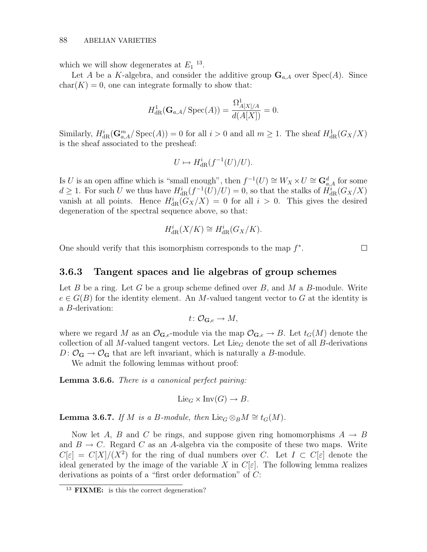which we will show degenerates at  $E_1$ <sup>13</sup>.

Let A be a K-algebra, and consider the additive group  $\mathbf{G}_{a,A}$  over  $\text{Spec}(A)$ . Since  $char(K) = 0$ , one can integrate formally to show that:

$$
H^1_{\text{dR}}(\mathbf{G}_{a,A}/\operatorname{Spec}(A)) = \frac{\Omega^1_{A[X]/A}}{d(A[X])} = 0.
$$

Similarly,  $H^i_{\text{dR}}(\mathbf{G}^m_{a,A}/\text{Spec}(A)) = 0$  for all  $i > 0$  and all  $m \geq 1$ . The sheaf  $H^1_{\text{dR}}(G_X/X)$ is the sheaf associated to the presheaf:

$$
U \mapsto H_{\text{dR}}^i(f^{-1}(U)/U).
$$

Is U is an open affine which is "small enough", then  $f^{-1}(U) \cong W_X \times U \cong \mathbf{G}_{a,A}^d$  for some  $d \geq 1$ . For such U we thus have  $H^i_{dR}(f^{-1}(U)/U) = 0$ , so that the stalks of  $H^i_{dR}(G_X/X)$ vanish at all points. Hence  $H^i_{\text{dR}}(G_X/X) = 0$  for all  $i > 0$ . This gives the desired degeneration of the spectral sequence above, so that:

$$
H_{\text{dR}}^i(X/K) \cong H_{\text{dR}}^i(G_X/K).
$$

 $\Box$ 

One should verify that this isomorphism corresponds to the map  $f^*$ .

### 3.6.3 Tangent spaces and lie algebras of group schemes

Let B be a ring. Let G be a group scheme defined over B, and M a B-module. Write  $e \in G(B)$  for the identity element. An M-valued tangent vector to G at the identity is a B-derivation:

$$
t\colon \mathcal{O}_{\mathbf{G},e}\to M,
$$

where we regard M as an  $\mathcal{O}_{\mathbf{G},e}$ -module via the map  $\mathcal{O}_{\mathbf{G},e} \to B$ . Let  $t_G(M)$  denote the collection of all M-valued tangent vectors. Let  $Lie_G$  denote the set of all B-derivations  $D: \mathcal{O}_{\mathbf{G}} \to \mathcal{O}_{\mathbf{G}}$  that are left invariant, which is naturally a B-module.

We admit the following lemmas without proof:

Lemma 3.6.6. There is a canonical perfect pairing:

$$
\mathrm{Lie}_G \times \mathrm{Inv}(G) \to B.
$$

**Lemma 3.6.7.** If M is a B-module, then Lie<sub>G</sub> ⊗<sub>B</sub>M  $\cong$  t<sub>G</sub>(M).

Now let A, B and C be rings, and suppose given ring homomorphisms  $A \rightarrow B$ and  $B \to C$ . Regard C as an A-algebra via the composite of these two maps. Write  $C[\varepsilon] = C[X]/(X^2)$  for the ring of dual numbers over C. Let  $I \subset C[\varepsilon]$  denote the ideal generated by the image of the variable X in  $C[\varepsilon]$ . The following lemma realizes derivations as points of a "first order deformation" of C:

<sup>&</sup>lt;sup>13</sup> FIXME: is this the correct degeneration?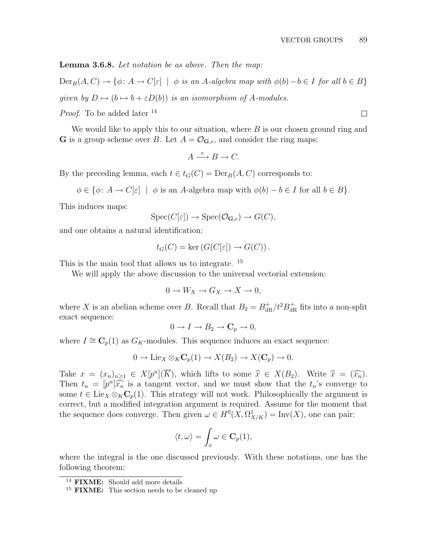Lemma 3.6.8. Let notation be as above. Then the map:

 $Der_B(A, C) \to \{\phi \colon A \to C[\varepsilon] \mid \phi \text{ is an } A\text{-algebra map with } \phi(b)-b \in I \text{ for all } b \in B\}$ given by  $D \mapsto (b \mapsto b + \varepsilon D(b))$  is an isomorphism of A-modules. *Proof.* To be added later <sup>14</sup>  $\Box$ 

We would like to apply this to our situation, where  $B$  is our chosen ground ring and **G** is a group scheme over B. Let  $A = \mathcal{O}_{\mathbf{G},e}$ , and consider the ring maps:

$$
A \xrightarrow{e} B \to C.
$$

By the preceding lemma, each  $t \in t_G(C) = \text{Der}_B(A, C)$  corresponds to:

$$
\phi \in \{ \phi \colon A \to C[\varepsilon] \mid \phi \text{ is an } A\text{-algebra map with } \phi(b) - b \in I \text{ for all } b \in B \}.
$$

This induces maps:

$$
Spec(C[\varepsilon]) \to Spec(\mathcal{O}_{\mathbf{G},e}) \to G(C),
$$

and one obtains a natural identification:

$$
t_G(C) = \ker\left(G(C[\varepsilon]) \to G(C)\right).
$$

This is the main tool that allows us to integrate. <sup>15</sup>

We will apply the above discussion to the universal vectorial extension:

$$
0 \to W_X \to G_X \to X \to 0,
$$

where X is an abelian scheme over B. Recall that  $B_2 = B_{\rm dR}^+/t^2 B_{\rm dR}^+$  fits into a non-split exact sequence:

$$
0 \to I \to B_2 \to \mathbf{C}_p \to 0,
$$

where  $I \cong \mathbf{C}_p(1)$  as  $G_K$ -modules. This sequence induces an exact sequence:

$$
0 \to \mathrm{Lie}_X \otimes_K \mathbf{C}_p(1) \to X(B_2) \to X(\mathbf{C}_p) \to 0.
$$

Take  $x = (x_n)_{n \geq 1} \in X[p^n](\overline{K})$ , which lifts to some  $\hat{x} \in X(B_2)$ . Write  $\hat{x} = (\widehat{x_n})$ .<br>Then  $t = [x^n] \widehat{x}$  is a tangent vector, and we must show that the t is converge to Then  $t_n = [p^n] \widehat{x_n}$  is a tangent vector, and we must show that the  $t_n$ 's converge to some  $t \in \text{Lie}_n \otimes_{\text{C}} \mathbb{C}$  (1). This strategy will not work. Philosophically the argument is some  $t \in \text{Lie}_X \otimes_K \mathbb{C}_p(1)$ . This strategy will not work. Philosophically the argument is correct, but a modified integration argument is required. Assume for the moment that the sequence does converge. Then given  $\omega \in H^0(X, \Omega^1_{X/K}) = \text{Inv}(X)$ , one can pair:

$$
\langle t, \omega \rangle = \int_x \omega \in \mathbf{C}_p(1),
$$

where the integral is the one discussed previously. With these notations, one has the following theorem:

<sup>&</sup>lt;sup>14</sup> FIXME: Should add more details

<sup>&</sup>lt;sup>15</sup> FIXME: This section needs to be cleaned up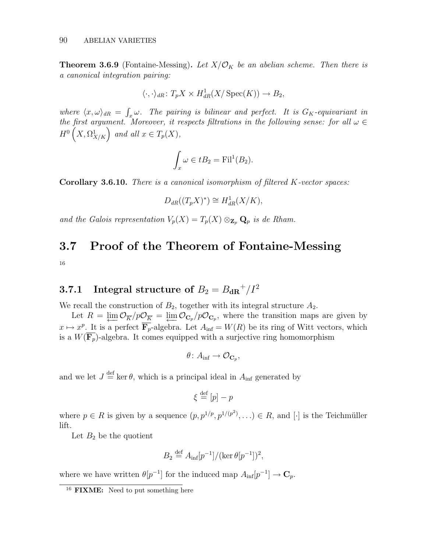**Theorem 3.6.9** (Fontaine-Messing). Let  $X/\mathcal{O}_K$  be an abelian scheme. Then there is a canonical integration pairing:

$$
\langle \cdot, \cdot \rangle_{dR} \colon T_p X \times H^1_{dR}(X/\operatorname{Spec}(K)) \to B_2,
$$

where  $\langle x, \omega \rangle_{dR} = \int_x \omega$ . The pairing is bilinear and perfect. It is  $G_K$ -equivariant in the first argument. Moreover, it respects filtrations in the following sense: for all  $\omega \in$  $H^0(X, \Omega^1_{X/K})$  and all  $x \in T_p(X)$ ,

$$
\int_x \omega \in tB_2 = \mathrm{Fil}^1(B_2).
$$

Corollary 3.6.10. There is a canonical isomorphism of filtered K-vector spaces:

$$
D_{dR}((T_pX)^*) \cong H_{dR}^1(X/K),
$$

and the Galois representation  $V_p(X) = T_p(X) \otimes_{\mathbf{Z}_p} \mathbf{Q}_p$  is de Rham.

# 3.7 Proof of the Theorem of Fontaine-Messing 16

## ${\bf 3.7.1} \quad {\bf Integral \ structure \ of} \ B_2 = B_{\bf dR}{}^+/I^2$

We recall the construction of  $B_2$ , together with its integral structure  $A_2$ .

Let  $R = \varprojlim \mathcal{O}_{\overline{K}}/p \mathcal{O}_{\overline{K}} = \varprojlim \mathcal{O}_{\mathbf{C}_p}/p \mathcal{O}_{\mathbf{C}_p}$ , where the transition maps are given by  $x \mapsto x^p$ . It is a perfect  $\overline{\mathbf{F}_p}$ -algebra. Let  $A_{\text{inf}} = W(R)$  be its ring of Witt vectors, which is a  $W(\overline{F_p})$ -algebra. It comes equipped with a surjective ring homomorphism

$$
\theta\colon A_{\inf}\to {\mathcal O}_{\mathbf{C}_p},
$$

and we let  $J \stackrel{\text{def}}{=} \ker \theta$ , which is a principal ideal in  $A_{\text{inf}}$  generated by

$$
\xi \stackrel{\text{def}}{=} [p] - p
$$

where  $p \in R$  is given by a sequence  $(p, p^{1/p}, p^{1/(p^2)}, \ldots) \in R$ , and  $[\cdot]$  is the Teichmüller lift.

Let  $B_2$  be the quotient

$$
B_2 \stackrel{\text{def}}{=} A_{\inf}[p^{-1}]/(\ker \theta[p^{-1}])^2,
$$

where we have written  $\theta[p^{-1}]$  for the induced map  $A_{\text{inf}}[p^{-1}] \to \mathbb{C}_p$ .

 $16$  FIXME: Need to put something here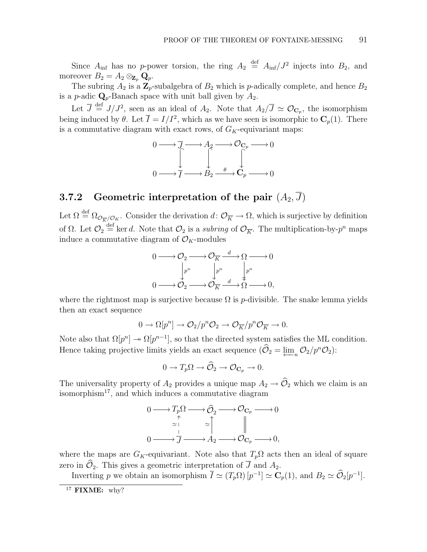Since  $A_{\text{inf}}$  has no p-power torsion, the ring  $A_2 \stackrel{\text{def}}{=} A_{\text{inf}}/J^2$  injects into  $B_2$ , and moreover  $B_2 = A_2 \otimes_{\mathbf{Z}_p} \mathbf{Q}_p$ .

The subring  $A_2$  is a  $\mathbb{Z}_p$ -subalgebra of  $B_2$  which is p-adically complete, and hence  $B_2$ is a *p*-adic  $\mathbf{Q}_p$ -Banach space with unit ball given by  $A_2$ .

Let  $\overline{J} \stackrel{\text{def}}{=} J/J^2$ , seen as an ideal of  $A_2$ . Note that  $A_2/\overline{J} \simeq \mathcal{O}_{\mathbf{C}_p}$ , the isomorphism being induced by  $\theta$ . Let  $\overline{I} = I/I^2$ , which as we have seen is isomorphic to  $\mathbf{C}_p(1)$ . There is a commutative diagram with exact rows, of  $G_K$ -equivariant maps:



# 3.7.2 Geometric interpretation of the pair  $(A_2, \overline{J})$

Let  $\Omega \stackrel{\text{def}}{=} \Omega_{\mathcal{O}_{\overline{K}}/\mathcal{O}_K}$ . Consider the derivation  $d: \mathcal{O}_{\overline{K}} \to \Omega$ , which is surjective by definition of  $\Omega$ . Let  $\mathcal{O}_2 \stackrel{\text{def}}{=} \ker d$ . Note that  $\mathcal{O}_2$  is a *subring* of  $\mathcal{O}_{\overline{K}}$ . The multiplication-by- $p^n$  maps induce a commutative diagram of  $\mathcal{O}_K$ -modules

$$
\begin{array}{ccc}\n0 & \longrightarrow {\mathcal{O}}_2 & \longrightarrow {\mathcal{O}}_{\overline{K}} \xrightarrow{d} \Omega \longrightarrow 0 \\
& \downarrow^{p^n} & \downarrow^{p^n} \\
0 & \longrightarrow {\mathcal{O}}_2 & \longrightarrow {\mathcal{O}}_{\overline{K}} \xrightarrow{d} \Omega \longrightarrow 0,\n\end{array}
$$

where the rightmost map is surjective because  $\Omega$  is p-divisible. The snake lemma yields then an exact sequence

$$
0 \to \Omega[p^n] \to \mathcal{O}_2/p^n\mathcal{O}_2 \to \mathcal{O}_{\overline{K}}/p^n\mathcal{O}_{\overline{K}} \to 0.
$$

Note also that  $\Omega[p^n] \to \Omega[p^{n-1}]$ , so that the directed system satisfies the ML condition. Hence taking projective limits yields an exact sequence  $(\hat{\mathcal{O}}_2 = \varprojlim_n \mathcal{O}_2/p^n \mathcal{O}_2)$ :

$$
0 \to T_p \Omega \to \widehat{\mathcal{O}}_2 \to \mathcal{O}_{\mathbf{C}_p} \to 0.
$$

The universality property of  $A_2$  provides a unique map  $A_2 \to \widehat{\mathcal{O}}_2$  which we claim is an isomorphism<sup>17</sup>, and which induces a commutative diagram

$$
\begin{array}{ccc}\n0 & \longrightarrow T_p\Omega \longrightarrow \widehat{O}_2 \longrightarrow \mathcal{O}_{\mathbf{C}_p} \longrightarrow 0 \\
& \uparrow & \downarrow \\
0 & \longrightarrow J \longrightarrow A_2 \longrightarrow \mathcal{O}_{\mathbf{C}_p} \longrightarrow 0,\n\end{array}
$$

where the maps are  $G_K$ -equivariant. Note also that  $T_p\Omega$  acts then an ideal of square zero in  $\widehat{\mathcal{O}}_2$ . This gives a geometric interpretation of  $\overline{J}$  and  $A_2$ .

Inverting p we obtain an isomorphism  $\overline{I} \simeq (T_p \Omega) [p^{-1}] \simeq \mathbf{C}_p(1)$ , and  $B_2 \simeq \widehat{\mathcal{O}}_2[p^{-1}]$ .

 $17$  FIXME: why?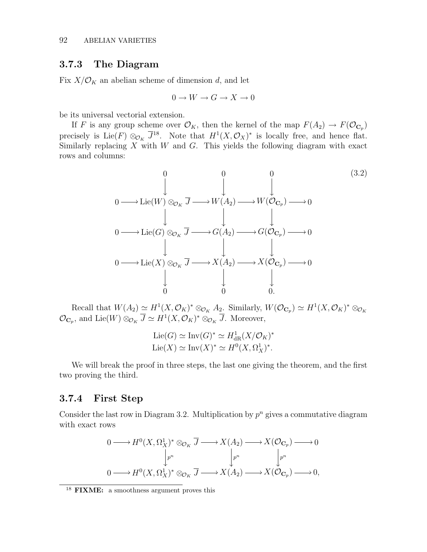### 3.7.3 The Diagram

Fix  $X/\mathcal{O}_K$  an abelian scheme of dimension d, and let

$$
0\to W\to G\to X\to 0
$$

be its universal vectorial extension.

If F is any group scheme over  $\mathcal{O}_K$ , then the kernel of the map  $F(A_2) \to F(\mathcal{O}_{\mathbf{C}_p})$ precisely is Lie(F)  $\otimes_{\mathcal{O}_K} \overline{J}^{18}$ . Note that  $H^1(X, \mathcal{O}_X)^*$  is locally free, and hence flat. Similarly replacing  $X$  with  $W$  and  $G$ . This yields the following diagram with exact rows and columns:

$$
\begin{array}{cccc}\n & 0 & 0 & 0 & 0 \\
 & \downarrow & \downarrow & \downarrow & \downarrow & \\
0 & \longrightarrow \text{Lie}(W) \otimes_{\mathcal{O}_K} \overline{J} \longrightarrow W(A_2) \longrightarrow W(\mathcal{O}_{\mathbf{C}_p}) \longrightarrow 0 \\
 & \downarrow & \downarrow & \downarrow & \downarrow & \\
0 & \longrightarrow \text{Lie}(G) \otimes_{\mathcal{O}_K} \overline{J} \longrightarrow G(A_2) \longrightarrow G(\mathcal{O}_{\mathbf{C}_p}) \longrightarrow 0 \\
 & \downarrow & \downarrow & \downarrow & \downarrow & \\
0 & \longrightarrow \text{Lie}(X) \otimes_{\mathcal{O}_K} \overline{J} \longrightarrow X(A_2) \longrightarrow X(\mathcal{O}_{\mathbf{C}_p}) \longrightarrow 0 \\
 & \downarrow & \downarrow & \downarrow & \downarrow & \\
 & 0 & 0 & 0 & \dots\n\end{array}
$$
\n
$$
(3.2)
$$

Recall that  $W(A_2) \simeq H^1(X, \mathcal{O}_K)^* \otimes_{\mathcal{O}_K} A_2$ . Similarly,  $W(\mathcal{O}_{\mathbf{C}_p}) \simeq H^1(X, \mathcal{O}_K)^* \otimes_{\mathcal{O}_K} A_2$  $\mathcal{O}_{\mathbf{C}_p}$ , and Lie $(W) \otimes_{\mathcal{O}_K} \overline{J} \simeq H^1(X, \mathcal{O}_K)^* \otimes_{\mathcal{O}_K} \overline{J}$ . Moreover,

$$
\text{Lie}(G) \simeq \text{Inv}(G)^* \simeq H^1_{\text{dR}}(X/\mathcal{O}_K)^*
$$
  

$$
\text{Lie}(X) \simeq \text{Inv}(X)^* \simeq H^0(X, \Omega_X^1)^*.
$$

We will break the proof in three steps, the last one giving the theorem, and the first two proving the third.

### 3.7.4 First Step

Consider the last row in Diagram 3.2. Multiplication by  $p^n$  gives a commutative diagram with exact rows

$$
0 \longrightarrow H^{0}(X,\Omega_{X}^{1})^{*} \otimes_{\mathcal{O}_{K}} \overline{J} \longrightarrow X(A_{2}) \longrightarrow X(\mathcal{O}_{\mathbf{C}_{p}}) \longrightarrow 0
$$
  
\n
$$
\downarrow p^{n} \qquad \qquad \downarrow p^{n} \qquad \qquad \downarrow p^{n}
$$
  
\n
$$
0 \longrightarrow H^{0}(X,\Omega_{X}^{1})^{*} \otimes_{\mathcal{O}_{K}} \overline{J} \longrightarrow X(A_{2}) \longrightarrow X(\mathcal{O}_{\mathbf{C}_{p}}) \longrightarrow 0,
$$

<sup>18</sup> FIXME: a smoothness argument proves this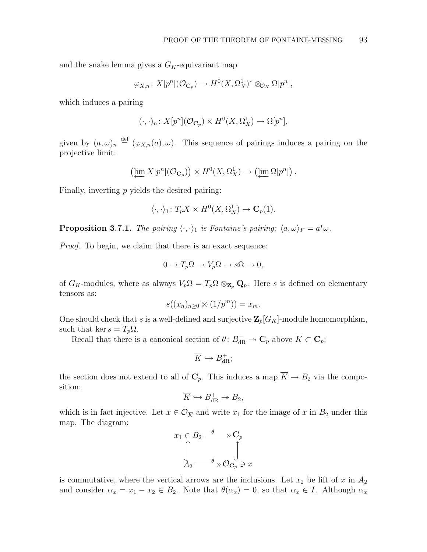and the snake lemma gives a  $G_K$ -equivariant map

$$
\varphi_{X,n} \colon X[p^n](\mathcal{O}_{\mathbf{C}_p}) \to H^0(X, \Omega_X^1)^* \otimes_{\mathcal{O}_K} \Omega[p^n],
$$

which induces a pairing

$$
(\cdot, \cdot)_n \colon X[p^n](\mathcal{O}_{\mathbf{C}_p}) \times H^0(X, \Omega^1_X) \to \Omega[p^n],
$$

given by  $(a, \omega)_n \stackrel{\text{def}}{=} (\varphi_{X,n}(a), \omega)$ . This sequence of pairings induces a pairing on the projective limit:

$$
\left(\varprojlim X[p^n](\mathcal{O}_{\mathbf{C}_p})\right) \times H^0(X, \Omega_X^1) \to \left(\varprojlim \Omega[p^n]\right).
$$

Finally, inverting  $p$  yields the desired pairing:

$$
\langle \cdot, \cdot \rangle_1 \colon T_p X \times H^0(X, \Omega^1_X) \to \mathbf{C}_p(1).
$$

**Proposition 3.7.1.** The pairing  $\langle \cdot, \cdot \rangle$  is Fontaine's pairing:  $\langle a, \omega \rangle_F = a^* \omega$ .

Proof. To begin, we claim that there is an exact sequence:

$$
0 \to T_p \Omega \to V_p \Omega \to s\Omega \to 0,
$$

of  $G_K$ -modules, where as always  $V_p \Omega = T_p \Omega \otimes_{\mathbf{Z}_p} \mathbf{Q}_p$ . Here s is defined on elementary tensors as:

$$
s((x_n)_{n\geq 0}\otimes (1/p^m))=x_m.
$$

One should check that s is a well-defined and surjective  $\mathbf{Z}_p[G_K]$ -module homomorphism, such that ker  $s = T_p \Omega$ .

Recall that there is a canonical section of  $\theta: B_{\text{dR}}^+ \to \mathbf{C}_p$  above  $\overline{K} \subset \mathbf{C}_p$ :

$$
\overline{K} \hookrightarrow B_{\mathrm{dR}}^{+};
$$

the section does not extend to all of  $\mathbb{C}_p$ . This induces a map  $\overline{K} \to B_2$  via the composition:

$$
\overline{K} \hookrightarrow B_{\mathrm{dR}}^+ \twoheadrightarrow B_2,
$$

which is in fact injective. Let  $x \in \mathcal{O}_{\overline{K}}$  and write  $x_1$  for the image of x in  $B_2$  under this map. The diagram:

$$
x_1 \in B_2 \xrightarrow{\theta} \mathbf{C}_p
$$
  

$$
\int_{A_2} \xrightarrow{\theta} \mathcal{O}_{\mathbf{C}_p} \ni x
$$

is commutative, where the vertical arrows are the inclusions. Let  $x_2$  be lift of x in  $A_2$ and consider  $\alpha_x = x_1 - x_2 \in B_2$ . Note that  $\theta(\alpha_x) = 0$ , so that  $\alpha_x \in I$ . Although  $\alpha_x$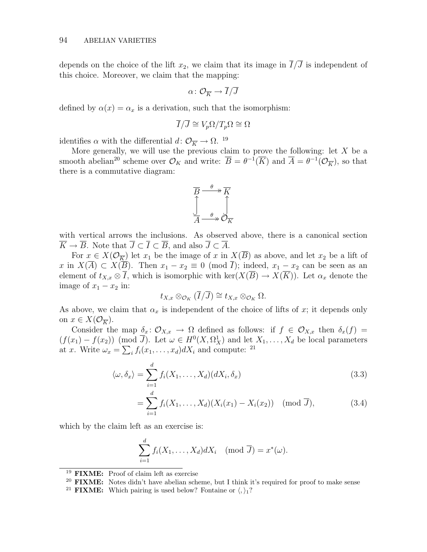depends on the choice of the lift  $x_2$ , we claim that its image in  $\overline{I}/\overline{J}$  is independent of this choice. Moreover, we claim that the mapping:

$$
\alpha\colon \mathcal{O}_{\overline{K}}\to \overline{I}/\overline{J}
$$

defined by  $\alpha(x) = \alpha_x$  is a derivation, such that the isomorphism:

$$
\overline{I}/\overline{J}\cong V_p\Omega/T_p\Omega\cong\Omega
$$

identifies  $\alpha$  with the differential  $d: \mathcal{O}_{\overline{K}} \to \Omega$ . <sup>19</sup>

More generally, we will use the previous claim to prove the following: let  $X$  be a smooth abelian<sup>20</sup> scheme over  $\mathcal{O}_K$  and write:  $\overline{B} = \theta^{-1}(\overline{K})$  and  $\overline{A} = \theta^{-1}(\mathcal{O}_{\overline{K}})$ , so that there is a commutative diagram:



with vertical arrows the inclusions. As observed above, there is a canonical section  $\overline{K} \to \overline{B}$ . Note that  $\overline{J} \subset \overline{I} \subset \overline{B}$ , and also  $\overline{J} \subset \overline{A}$ .

For  $x \in X(\mathcal{O}_{\overline{K}})$  let  $x_1$  be the image of x in  $X(\overline{B})$  as above, and let  $x_2$  be a lift of x in  $X(\overline{A}) \subset X(\overline{B})$ . Then  $x_1 - x_2 \equiv 0 \pmod{\overline{I}}$ ; indeed,  $x_1 - x_2$  can be seen as an element of  $t_{X,x} \otimes \overline{I}$ , which is isomorphic with ker $(X(\overline{B}) \to X(\overline{K}))$ . Let  $\alpha_x$  denote the image of  $x_1 - x_2$  in:

$$
t_{X,x} \otimes_{\mathcal{O}_K} (\overline{I}/\overline{J}) \cong t_{X,x} \otimes_{\mathcal{O}_K} \Omega.
$$

As above, we claim that  $\alpha_x$  is independent of the choice of lifts of x; it depends only on  $x \in X(\mathcal{O}_{\overline{K}})$ .

Consider the map  $\delta_x \colon \mathcal{O}_{X,x} \to \Omega$  defined as follows: if  $f \in \mathcal{O}_{X,x}$  then  $\delta_x(f) =$  $(f(x_1) - f(x_2)) \pmod{\overline{J}}$ . Let  $\omega \in H^0(X, \Omega_X^1)$  and let  $X_1, \ldots, X_d$  be local parameters at x. Write  $\omega_x = \sum_i f_i(x_1, \ldots, x_d) dX_i$  and compute: <sup>21</sup>

$$
\langle \omega, \delta_x \rangle = \sum_{i=1}^d f_i(X_1, \dots, X_d)(dX_i, \delta_x)
$$
\n(3.3)

$$
= \sum_{i=1}^{d} f_i(X_1, \dots, X_d)(X_i(x_1) - X_i(x_2)) \pmod{\overline{J}},
$$
 (3.4)

which by the claim left as an exercise is:

$$
\sum_{i=1}^d f_i(X_1,\ldots,X_d)dX_i \pmod{\overline{J}} = x^*(\omega).
$$

<sup>19</sup> FIXME: Proof of claim left as exercise

<sup>&</sup>lt;sup>20</sup> FIXME: Notes didn't have abelian scheme, but I think it's required for proof to make sense

<sup>&</sup>lt;sup>21</sup> FIXME: Which pairing is used below? Fontaine or  $\langle, \rangle_1$ ?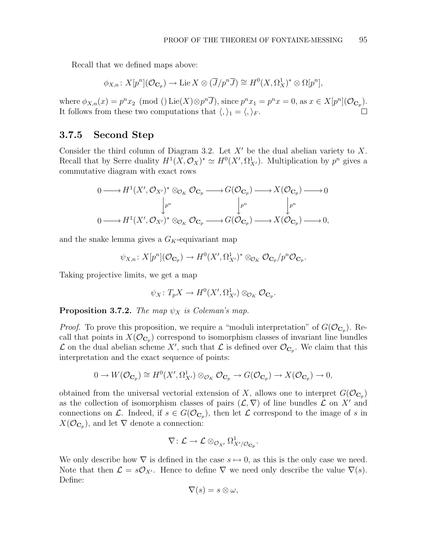Recall that we defined maps above:

$$
\phi_{X,n} \colon X[p^n](\mathcal{O}_{\mathbf{C}_p}) \to \mathrm{Lie} \, X \otimes (\overline{J}/p^n \overline{J}) \cong H^0(X, \Omega_X^1)^* \otimes \Omega[p^n],
$$

where  $\phi_{X,n}(x) = p^n x_2 \pmod{(\text{Lie}(X) \otimes p^n \overline{J})}$ , since  $p^n x_1 = p^n x = 0$ , as  $x \in X[p^n](\mathcal{O}_{\mathbf{C}_p})$ . It follows from these two computations that  $\langle, \rangle_1 = \langle, \rangle_F$ .

### 3.7.5 Second Step

Consider the third column of Diagram 3.2. Let  $X'$  be the dual abelian variety to X. Recall that by Serre duality  $H^1(X, \mathcal{O}_X)^* \simeq H^0(X', \Omega^1_{X'})$ . Multiplication by  $p^n$  gives a commutative diagram with exact rows

$$
0 \longrightarrow H^{1}(X', \mathcal{O}_{X'})^{*} \otimes_{\mathcal{O}_{K}} \mathcal{O}_{\mathbf{C}_{p}} \longrightarrow G(\mathcal{O}_{\mathbf{C}_{p}}) \longrightarrow X(\mathcal{O}_{\mathbf{C}_{p}}) \longrightarrow 0
$$
  
\n
$$
\downarrow_{p^{n}} \qquad \qquad \downarrow_{p^{n}} \qquad \qquad \downarrow_{p^{n}} \qquad \qquad \downarrow_{p^{n}}
$$
  
\n
$$
0 \longrightarrow H^{1}(X', \mathcal{O}_{X'})^{*} \otimes_{\mathcal{O}_{K}} \mathcal{O}_{\mathbf{C}_{p}} \longrightarrow G(\mathcal{O}_{\mathbf{C}_{p}}) \longrightarrow X(\mathcal{O}_{\mathbf{C}_{p}}) \longrightarrow 0,
$$

and the snake lemma gives a  $G_K$ -equivariant map

$$
\psi_{X,n} \colon X[p^n](\mathcal{O}_{\mathbf{C}_p}) \to H^0(X', \Omega^1_{X'})^* \otimes_{\mathcal{O}_K} \mathcal{O}_{\mathbf{C}_p}/p^n\mathcal{O}_{\mathbf{C}_p}.
$$

Taking projective limits, we get a map

$$
\psi_X\colon T_pX\to H^0(X',\Omega^1_{X'})\otimes_{{\mathcal O}_K}{\mathcal O}_{{\mathbf C}_p}.
$$

**Proposition 3.7.2.** The map  $\psi_X$  is Coleman's map.

*Proof.* To prove this proposition, we require a "moduli interpretation" of  $G(\mathcal{O}_{\mathbf{C}_p})$ . Recall that points in  $X(\mathcal{O}_{\mathbf{C}_p})$  correspond to isomorphism classes of invariant line bundles  $\mathcal L$  on the dual abelian scheme X', such that  $\mathcal L$  is defined over  $\mathcal O_{\mathbf C_p}$ . We claim that this interpretation and the exact sequence of points:

$$
0 \to W(\mathcal{O}_{\mathbf{C}_p}) \cong H^0(X', \Omega^1_{X'}) \otimes_{\mathcal{O}_K} \mathcal{O}_{\mathbf{C}_p} \to G(\mathcal{O}_{\mathbf{C}_p}) \to X(\mathcal{O}_{\mathbf{C}_p}) \to 0,
$$

obtained from the universal vectorial extension of X, allows one to interpret  $G(\mathcal{O}_{\mathbf{C}_p})$ as the collection of isomorphism classes of pairs  $(\mathcal{L}, \nabla)$  of line bundles  $\mathcal L$  on X' and connections on L. Indeed, if  $s \in G(\mathcal{O}_{\mathbf{C}_p})$ , then let L correspond to the image of s in  $X(\mathcal{O}_{\mathbf{C}_p})$ , and let  $\nabla$  denote a connection:

$$
\nabla\colon {\mathcal L}\to {\mathcal L}\otimes_{{\mathcal O}_{X'}}\Omega^1_{X'/{\mathcal O}_{{\mathbf C}_p}}.
$$

We only describe how  $\nabla$  is defined in the case  $s \mapsto 0$ , as this is the only case we need. Note that then  $\mathcal{L} = s\mathcal{O}_{X'}$ . Hence to define  $\nabla$  we need only describe the value  $\nabla(s)$ . Define:

$$
\nabla(s)=s\otimes\omega,
$$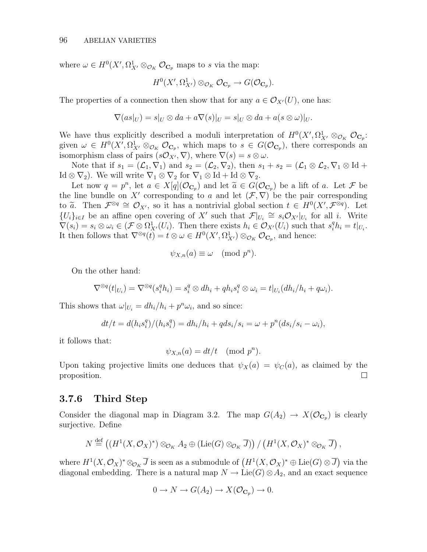where  $\omega \in H^0(X', \Omega^1_{X'} \otimes_{\mathcal{O}_K} \mathcal{O}_{\mathbf{C}_p}$  maps to s via the map:

$$
H^0(X',\Omega^1_{X'})\otimes_{{\mathcal O}_K}{\mathcal O}_{\mathbf{C}_p}\to G({\mathcal O}_{\mathbf{C}_p}).
$$

The properties of a connection then show that for any  $a \in \mathcal{O}_{X'}(U)$ , one has:

$$
\nabla(as|_U)=s|_U\otimes da+a\nabla(s)|_U=s|_U\otimes da+a(s\otimes\omega)|_U.
$$

We have thus explicitly described a moduli interpretation of  $H^0(X', \Omega^1_{X'} \otimes_{\mathcal{O}_K} \mathcal{O}_{\mathbf{C}_p})$ : given  $\omega \in H^0(X', \Omega^1_{X'} \otimes_{\mathcal{O}_K} \mathcal{O}_{\mathbf{C}_p}$ , which maps to  $s \in G(\mathcal{O}_{\mathbf{C}_p})$ , there corresponds an isomorphism class of pairs  $(s\mathcal{O}_{X}, \nabla)$ , where  $\nabla(s) = s \otimes \omega$ .

Note that if  $s_1 = (\mathcal{L}_1, \nabla_1)$  and  $s_2 = (\mathcal{L}_2, \nabla_2)$ , then  $s_1 + s_2 = (\mathcal{L}_1 \otimes \mathcal{L}_2, \nabla_1 \otimes \mathrm{Id} + \mathcal{L}_2)$ Id  $\otimes \nabla_2$ ). We will write  $\nabla_1 \otimes \nabla_2$  for  $\nabla_1 \otimes \mathrm{Id} + \mathrm{Id} \otimes \nabla_2$ .

Let now  $q = p^n$ , let  $a \in X[q](\mathcal{O}_{\mathbf{C}_p})$  and let  $\widetilde{a} \in G(\mathcal{O}_{\mathbf{C}_p})$  be a lift of a. Let  $\mathcal F$  be<br>line bundle on  $X'$  corresponding to a and let  $(\mathcal F, \nabla)$  be the pair corresponding the line bundle on X' corresponding to a and let  $(\mathcal{F}, \nabla)$  be the pair corresponding to  $\tilde{a}$ . Then  $\mathcal{F}^{\otimes q} \cong \mathcal{O}_{X'}$ , so it has a nontrivial global section  $t \in H^0(X', \mathcal{F}^{\otimes q})$ . Let  $\{U_i\}_{i\in I}$  be an affine open covering of X' such that  $\mathcal{F}|_{U_i} \cong s_i\mathcal{O}_{X'}|_{U_i}$  for all i. Write  $\nabla(s_i) = s_i \otimes \omega_i \in (\mathcal{F} \otimes \Omega^1_{X'}(U_i)$ . Then there exists  $h_i \in \mathcal{O}_{X'}(U_i)$  such that  $s_i^q h_i = t|_{U_i}$ . It then follows that  $\nabla^{\otimes q}(t) = t \otimes \omega \in H^0(X', \Omega^1_{X'}) \otimes_{\mathcal{O}_K} \mathcal{O}_{\mathbf{C}_p}$ , and hence:

$$
\psi_{X,n}(a) \equiv \omega \pmod{p^n}.
$$

On the other hand:

$$
\nabla^{\otimes q}(t|_{U_i}) = \nabla^{\otimes q}(s_i^q h_i) = s_i^q \otimes dh_i + q h_i s_i^q \otimes \omega_i = t|_{U_i}(dh_i/h_i + q \omega_i).
$$

This shows that  $\omega|_{U_i} = dh_i/h_i + p^n \omega_i$ , and so since:

$$
dt/t = d(h_i s_i^q)/(h_i s_i^q) = dh_i/h_i + q ds_i/s_i = \omega + p^n(ds_i/s_i - \omega_i),
$$

it follows that:

$$
\psi_{X,n}(a) = dt/t \pmod{p^n}.
$$

Upon taking projective limits one deduces that  $\psi_X(a) = \psi_C(a)$ , as claimed by the proposition.  $\Box$ 

#### 3.7.6 Third Step

Consider the diagonal map in Diagram 3.2. The map  $G(A_2) \to X(\mathcal{O}_{\mathbf{C}_p})$  is clearly surjective. Define

$$
N \stackrel{\text{def}}{=} ((H^1(X, \mathcal{O}_X)^*) \otimes_{\mathcal{O}_K} A_2 \oplus (\text{Lie}(G) \otimes_{\mathcal{O}_K} \overline{J})) / (H^1(X, \mathcal{O}_X)^* \otimes_{\mathcal{O}_K} \overline{J}),
$$

where  $H^1(X,\mathcal{O}_X)^*\otimes_{\mathcal{O}_K}\overline{J}$  is seen as a submodule of  $\big(H^1(X,\mathcal{O}_X)^*\oplus \mathrm{Lie}(G)\otimes \overline{J}\big)$  via the diagonal embedding. There is a natural map  $N \to \text{Lie}(G) \otimes A_2$ , and an exact sequence

$$
0 \to N \to G(A_2) \to X(\mathcal{O}_{\mathbf{C}_p}) \to 0.
$$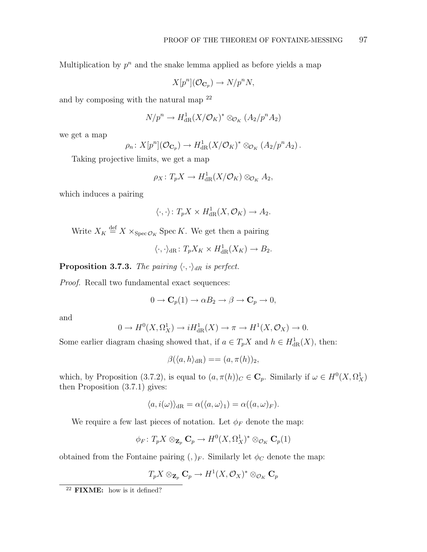Multiplication by  $p^n$  and the snake lemma applied as before yields a map

$$
X[p^n](\mathcal{O}_{\mathbf{C}_p}) \to N/p^nN,
$$

and by composing with the natural map <sup>22</sup>

$$
N/p^n \to H^1_{\mathrm{dR}}(X/\mathcal{O}_K)^* \otimes_{\mathcal{O}_K} (A_2/p^n A_2)
$$

we get a map

$$
\rho_n\colon X[p^n](\mathcal{O}_{\mathbf{C}_p})\to H^1_{\mathrm{dR}}(X/\mathcal{O}_K)^*\otimes_{\mathcal{O}_K} (A_2/p^nA_2).
$$

Taking projective limits, we get a map

$$
\rho_X\colon T_pX\to H^1_{\rm dR}(X/\mathcal{O}_K)\otimes_{\mathcal{O}_K}A_2,
$$

which induces a pairing

$$
\langle \cdot, \cdot \rangle \colon T_p X \times H^1_{\text{dR}}(X, \mathcal{O}_K) \to A_2.
$$

Write  $X_K \stackrel{\text{def}}{=} X \times_{\text{Spec } \mathcal{O}_K} \text{Spec } K$ . We get then a pairing

$$
\langle \cdot, \cdot \rangle_{\mathrm{dR}} \colon T_p X_K \times H^1_{\mathrm{dR}}(X_K) \to B_2.
$$

**Proposition 3.7.3.** The pairing  $\langle \cdot, \cdot \rangle_{dR}$  is perfect.

Proof. Recall two fundamental exact sequences:

$$
0 \to \mathbf{C}_p(1) \to \alpha B_2 \to \beta \to \mathbf{C}_p \to 0,
$$

and

$$
0 \to H^0(X, \Omega^1_X) \to iH^1_{\text{dR}}(X) \to \pi \to H^1(X, \mathcal{O}_X) \to 0.
$$

Some earlier diagram chasing showed that, if  $a \in T_pX$  and  $h \in H^1_{\text{dR}}(X)$ , then:

$$
\beta(\langle a, h \rangle_{\text{dR}}) == (a, \pi(h))_2,
$$

which, by Proposition (3.7.2), is equal to  $(a, \pi(h))_C \in \mathbb{C}_p$ . Similarly if  $\omega \in H^0(X, \Omega_X^1)$ then Proposition (3.7.1) gives:

$$
\langle a, i(\omega) \rangle_{\text{dR}} = \alpha(\langle a, \omega \rangle_1) = \alpha((a, \omega)_F).
$$

We require a few last pieces of notation. Let  $\phi_F$  denote the map:

$$
\phi_F\colon T_pX\otimes_{\mathbf{Z}_p}\mathbf{C}_p\to H^0(X,\Omega_X^1)^*\otimes_{\mathcal{O}_K}\mathbf{C}_p(1)
$$

obtained from the Fontaine pairing  $(,)_F$ . Similarly let  $\phi_C$  denote the map:

$$
T_p X \otimes_{\mathbf{Z}_p} \mathbf{C}_p \to H^1(X, \mathcal{O}_X)^* \otimes_{\mathcal{O}_K} \mathbf{C}_p
$$

<sup>22</sup> FIXME: how is it defined?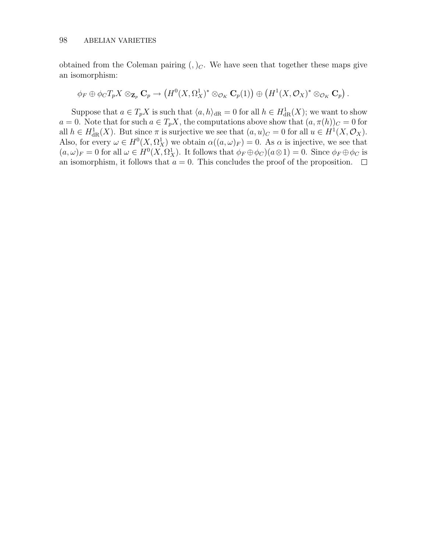obtained from the Coleman pairing  $(,)$ . We have seen that together these maps give an isomorphism:

$$
\phi_F \oplus \phi_C T_p X \otimes_{\mathbf{Z}_p} \mathbf{C}_p \to (H^0(X,\Omega_X^1)^* \otimes_{\mathcal{O}_K} \mathbf{C}_p(1)) \oplus (H^1(X,\mathcal{O}_X)^* \otimes_{\mathcal{O}_K} \mathbf{C}_p).
$$

Suppose that  $a \in T_p X$  is such that  $\langle a, h \rangle_{\text{dR}} = 0$  for all  $h \in H^1_{\text{dR}}(X)$ ; we want to show  $a = 0$ . Note that for such  $a \in T_p X$ , the computations above show that  $(a, \pi(h))_C = 0$  for all  $h \in H^1_{\text{dR}}(X)$ . But since  $\pi$  is surjective we see that  $(a, u)_C = 0$  for all  $u \in H^1(X, \mathcal{O}_X)$ . Also, for every  $\omega \in H^0(X, \Omega_X^1)$  we obtain  $\alpha((a, \omega)_F) = 0$ . As  $\alpha$  is injective, we see that  $(a,\omega)_F = 0$  for all  $\omega \in H^0(X, \Omega_X^1)$ . It follows that  $\phi_F \oplus \phi_C (a \otimes 1) = 0$ . Since  $\phi_F \oplus \phi_C$  is an isomorphism, it follows that  $a = 0$ . This concludes the proof of the proposition.  $\Box$